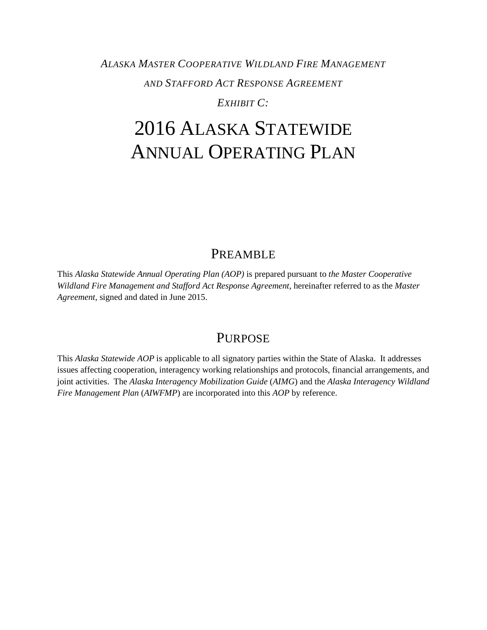## *ALASKA MASTER COOPERATIVE WILDLAND FIRE MANAGEMENT AND STAFFORD ACT RESPONSE AGREEMENT EXHIBIT C:*

# 2016 ALASKA STATEWIDE ANNUAL OPERATING PLAN

## PREAMBLE

<span id="page-0-0"></span>This *Alaska Statewide Annual Operating Plan (AOP)* is prepared pursuant to *the Master Cooperative Wildland Fire Management and Stafford Act Response Agreement*, hereinafter referred to as the *Master Agreement*, signed and dated in June 2015.

## **PURPOSE**

<span id="page-0-1"></span>This *Alaska Statewide AOP* is applicable to all signatory parties within the State of Alaska. It addresses issues affecting cooperation, interagency working relationships and protocols, financial arrangements, and joint activities. The *Alaska Interagency Mobilization Guide* (*AIMG*) and the *Alaska Interagency Wildland Fire Management Plan* (*AIWFMP*) are incorporated into this *AOP* by reference.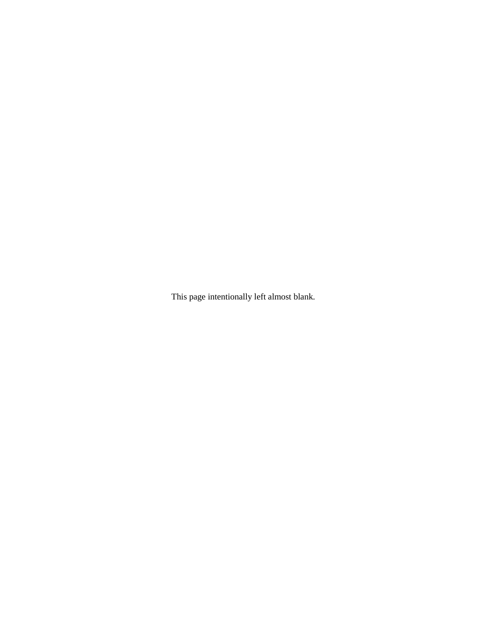This page intentionally left almost blank.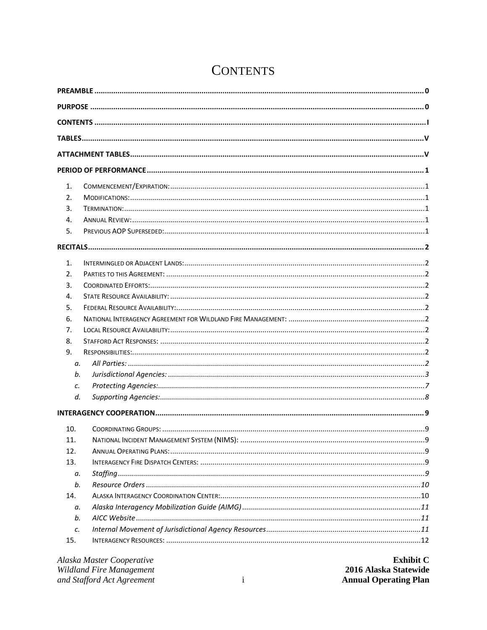<span id="page-2-0"></span>

| 1.  |  |  |
|-----|--|--|
| 2.  |  |  |
| 3.  |  |  |
| 4.  |  |  |
| 5.  |  |  |
|     |  |  |
| 1.  |  |  |
| 2.  |  |  |
| 3.  |  |  |
| 4.  |  |  |
| 5.  |  |  |
| 6.  |  |  |
| 7.  |  |  |
| 8.  |  |  |
| 9.  |  |  |
| а.  |  |  |
| b.  |  |  |
| c.  |  |  |
| d.  |  |  |
|     |  |  |
| 10. |  |  |
| 11. |  |  |
| 12. |  |  |
| 13. |  |  |
| а.  |  |  |
| b.  |  |  |
| 14. |  |  |
| а.  |  |  |
| b.  |  |  |
| c.  |  |  |
| 15. |  |  |

## **CONTENTS**

| Alaska Master Cooperative  | <b>Exhibit C</b>             |
|----------------------------|------------------------------|
| Wildland Fire Management   | 2016 Alaska Statewide        |
| and Stafford Act Agreement | <b>Annual Operating Plan</b> |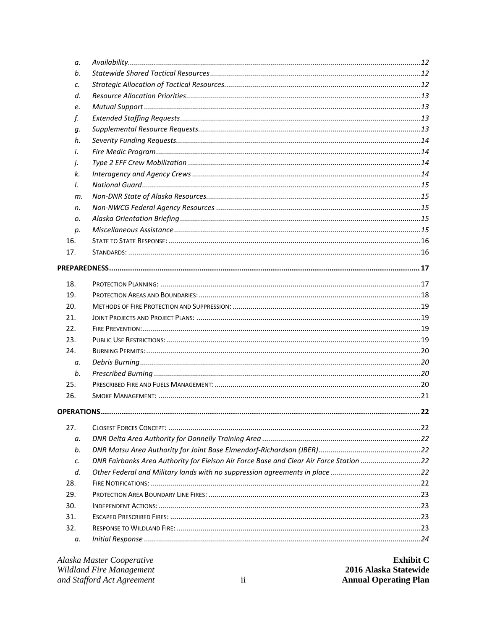| a.            |                                                                                        |  |
|---------------|----------------------------------------------------------------------------------------|--|
| b.            |                                                                                        |  |
| c.            |                                                                                        |  |
| d.            |                                                                                        |  |
| e.            |                                                                                        |  |
| f.            |                                                                                        |  |
| q.            |                                                                                        |  |
| h.            |                                                                                        |  |
| i.            |                                                                                        |  |
| j.            |                                                                                        |  |
| k.            |                                                                                        |  |
| $\mathcal{L}$ |                                                                                        |  |
| m.            |                                                                                        |  |
| n.            |                                                                                        |  |
| 0.            |                                                                                        |  |
| p.            |                                                                                        |  |
| 16.           |                                                                                        |  |
| 17.           |                                                                                        |  |
|               |                                                                                        |  |
|               |                                                                                        |  |
| 18.           |                                                                                        |  |
| 19.           |                                                                                        |  |
| 20.           |                                                                                        |  |
| 21.           |                                                                                        |  |
| 22.           |                                                                                        |  |
| 23.           |                                                                                        |  |
| 24.           |                                                                                        |  |
| a.            |                                                                                        |  |
| b.            |                                                                                        |  |
| 25.           |                                                                                        |  |
| 26.           |                                                                                        |  |
|               |                                                                                        |  |
| 27.           |                                                                                        |  |
|               |                                                                                        |  |
| а.<br>b.      |                                                                                        |  |
|               | DNR Fairbanks Area Authority for Eielson Air Force Base and Clear Air Force Station 22 |  |
| c.<br>d.      |                                                                                        |  |
| 28.           |                                                                                        |  |
| 29.           |                                                                                        |  |
| 30.           |                                                                                        |  |
| 31.           |                                                                                        |  |
| 32.           |                                                                                        |  |
|               |                                                                                        |  |
| а.            |                                                                                        |  |
|               |                                                                                        |  |

| Alaska Master Cooperative  |                 | <b>Exhibit C</b>             |
|----------------------------|-----------------|------------------------------|
| Wildland Fire Management   |                 | 2016 Alaska Statewide        |
| and Stafford Act Agreement | $\cdot$ $\cdot$ | <b>Annual Operating Plan</b> |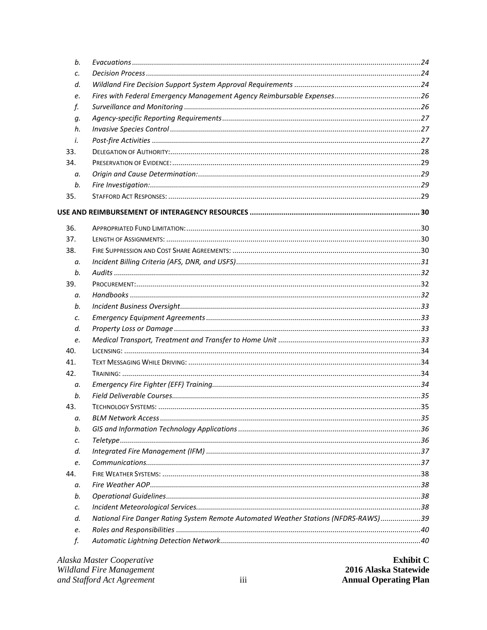| b.        |                                                                                     |  |
|-----------|-------------------------------------------------------------------------------------|--|
| c.        |                                                                                     |  |
| d.        |                                                                                     |  |
| e.        |                                                                                     |  |
| f.        |                                                                                     |  |
| g.        |                                                                                     |  |
| h.        |                                                                                     |  |
| $\dot{L}$ |                                                                                     |  |
| 33.       |                                                                                     |  |
| 34.       |                                                                                     |  |
| а.        |                                                                                     |  |
| b.        |                                                                                     |  |
| 35.       |                                                                                     |  |
|           |                                                                                     |  |
| 36.       |                                                                                     |  |
| 37.       |                                                                                     |  |
| 38.       |                                                                                     |  |
| a.        |                                                                                     |  |
| b.        |                                                                                     |  |
| 39.       |                                                                                     |  |
| a.        |                                                                                     |  |
| b.        |                                                                                     |  |
| c.        |                                                                                     |  |
| d.        |                                                                                     |  |
| e.        |                                                                                     |  |
| 40.       |                                                                                     |  |
| 41.       |                                                                                     |  |
| 42.       |                                                                                     |  |
| а.        |                                                                                     |  |
| b.        |                                                                                     |  |
| 43.       |                                                                                     |  |
| а.        |                                                                                     |  |
| b.        |                                                                                     |  |
| c.        |                                                                                     |  |
| d.        |                                                                                     |  |
| e.        |                                                                                     |  |
| 44.       |                                                                                     |  |
| а.        |                                                                                     |  |
| b.        |                                                                                     |  |
| с.        |                                                                                     |  |
| d.        | National Fire Danger Rating System Remote Automated Weather Stations (NFDRS-RAWS)39 |  |
| e.        |                                                                                     |  |
| f.        |                                                                                     |  |
|           |                                                                                     |  |

| Alaska Master Cooperative  |  |
|----------------------------|--|
| Wildland Fire Management   |  |
| and Stafford Act Agreement |  |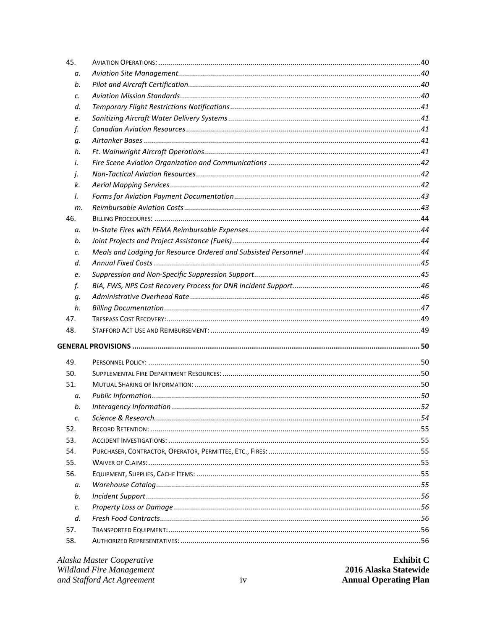| 45.             |  |
|-----------------|--|
| а.              |  |
| b.              |  |
| c.              |  |
| d.              |  |
| e.              |  |
| f.              |  |
| q.              |  |
| h.              |  |
| i.              |  |
| j.              |  |
| k.              |  |
| I.              |  |
| m.              |  |
| 46.             |  |
| а.              |  |
| b.              |  |
| c.              |  |
| d.              |  |
| e.              |  |
| f.              |  |
| g.              |  |
| h.              |  |
| 47.             |  |
| 48.             |  |
|                 |  |
|                 |  |
| 49.             |  |
| 50.             |  |
| 51.             |  |
| а.              |  |
| b.              |  |
| c.              |  |
| 52.             |  |
| 53.             |  |
| 54.             |  |
| 55.             |  |
| 56.             |  |
| а.              |  |
| b.              |  |
| $\mathcal{C}$ . |  |
| d.              |  |
| 57.             |  |

| Alaska Master Cooperative  | <b>Exhibit C</b>             |
|----------------------------|------------------------------|
| Wildland Fire Management   | 2016 Alaska Statewide        |
| and Stafford Act Agreement | <b>Annual Operating Plan</b> |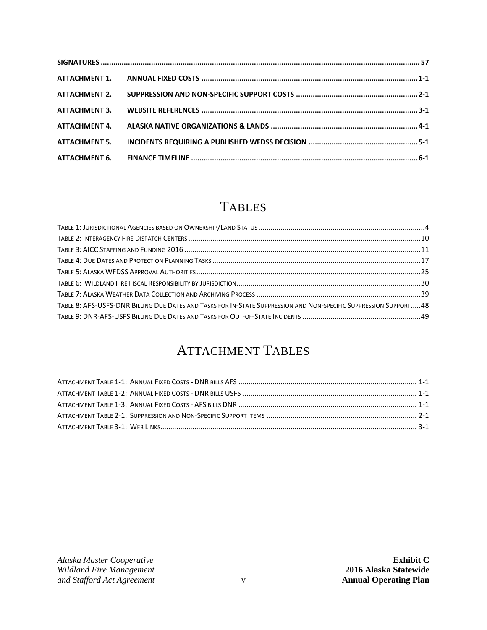## **TABLES**

<span id="page-6-0"></span>

| TABLE 8: AFS-USFS-DNR BILLING DUE DATES AND TASKS FOR IN-STATE SUPPRESSION AND NON-SPECIFIC SUPPRESSION SUPPORT48 |  |
|-------------------------------------------------------------------------------------------------------------------|--|
|                                                                                                                   |  |

## ATTACHMENT TABLES

<span id="page-6-1"></span>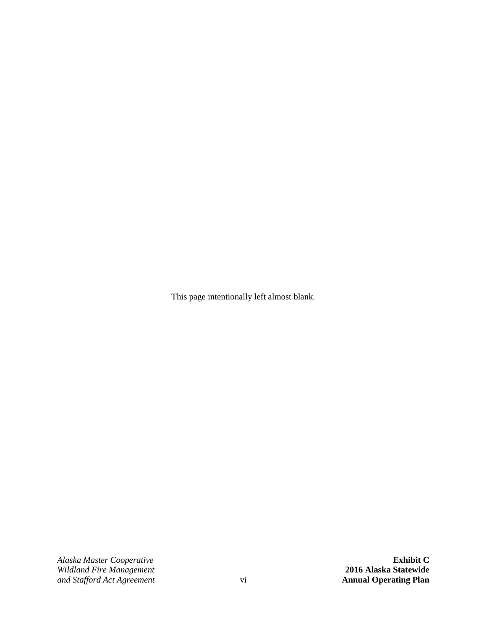This page intentionally left almost blank.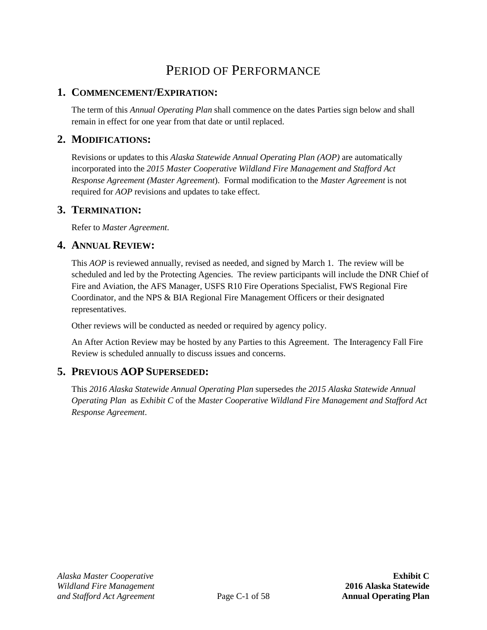## PERIOD OF PERFORMANCE

### <span id="page-8-1"></span><span id="page-8-0"></span>**1. COMMENCEMENT/EXPIRATION:**

The term of this *Annual Operating Plan* shall commence on the dates Parties sign below and shall remain in effect for one year from that date or until replaced.

## <span id="page-8-2"></span>**2. MODIFICATIONS:**

Revisions or updates to this *Alaska Statewide Annual Operating Plan (AOP)* are automatically incorporated into the *2015 Master Cooperative Wildland Fire Management and Stafford Act Response Agreement (Master Agreement*). Formal modification to the *Master Agreement* is not required for *AOP* revisions and updates to take effect.

#### <span id="page-8-3"></span>**3. TERMINATION:**

Refer to *Master Agreement*.

#### <span id="page-8-4"></span>**4. ANNUAL REVIEW:**

This *AOP* is reviewed annually, revised as needed, and signed by March 1. The review will be scheduled and led by the Protecting Agencies. The review participants will include the DNR Chief of Fire and Aviation, the AFS Manager, USFS R10 Fire Operations Specialist, FWS Regional Fire Coordinator, and the NPS & BIA Regional Fire Management Officers or their designated representatives.

Other reviews will be conducted as needed or required by agency policy.

An After Action Review may be hosted by any Parties to this Agreement. The Interagency Fall Fire Review is scheduled annually to discuss issues and concerns.

## <span id="page-8-5"></span>**5. PREVIOUS AOP SUPERSEDED:**

This *2016 Alaska Statewide Annual Operating Plan* supersedes *the 2015 Alaska Statewide Annual Operating Plan* as *Exhibit C* of the *Master Cooperative Wildland Fire Management and Stafford Act Response Agreement*.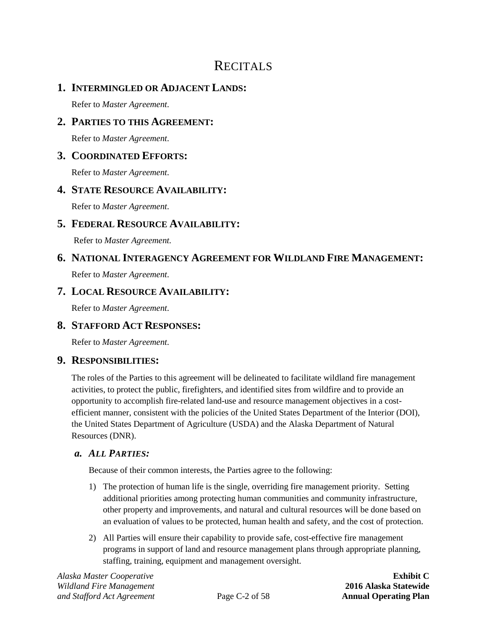## **RECITALS**

## <span id="page-9-1"></span><span id="page-9-0"></span>**1. INTERMINGLED OR ADJACENT LANDS:**

Refer to *Master Agreement*.

## <span id="page-9-2"></span>**2. PARTIES TO THIS AGREEMENT:**

Refer to *Master Agreement*.

### <span id="page-9-3"></span>**3. COORDINATED EFFORTS:**

Refer to *Master Agreement*.

## <span id="page-9-4"></span>**4. STATE RESOURCE AVAILABILITY:**

Refer to *Master Agreement*.

## <span id="page-9-5"></span>**5. FEDERAL RESOURCE AVAILABILITY:**

Refer to *Master Agreement*.

## <span id="page-9-6"></span>**6. NATIONAL INTERAGENCY AGREEMENT FOR WILDLAND FIRE MANAGEMENT:**

Refer to *Master Agreement*.

### <span id="page-9-7"></span>**7. LOCAL RESOURCE AVAILABILITY:**

Refer to *Master Agreement*.

## <span id="page-9-8"></span>**8. STAFFORD ACT RESPONSES:**

Refer to *Master Agreement*.

#### <span id="page-9-9"></span>**9. RESPONSIBILITIES:**

The roles of the Parties to this agreement will be delineated to facilitate wildland fire management activities, to protect the public, firefighters, and identified sites from wildfire and to provide an opportunity to accomplish fire-related land-use and resource management objectives in a costefficient manner, consistent with the policies of the United States Department of the Interior (DOI), the United States Department of Agriculture (USDA) and the Alaska Department of Natural Resources (DNR).

#### <span id="page-9-10"></span>*a. ALL PARTIES:*

Because of their common interests, the Parties agree to the following:

- 1) The protection of human life is the single, overriding fire management priority. Setting additional priorities among protecting human communities and community infrastructure, other property and improvements, and natural and cultural resources will be done based on an evaluation of values to be protected, human health and safety, and the cost of protection.
- 2) All Parties will ensure their capability to provide safe, cost-effective fire management programs in support of land and resource management plans through appropriate planning, staffing, training, equipment and management oversight.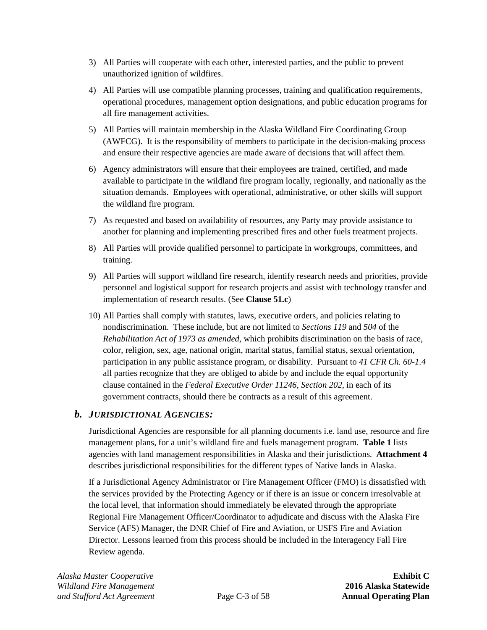- 3) All Parties will cooperate with each other, interested parties, and the public to prevent unauthorized ignition of wildfires.
- 4) All Parties will use compatible planning processes, training and qualification requirements, operational procedures, management option designations, and public education programs for all fire management activities.
- 5) All Parties will maintain membership in the Alaska Wildland Fire Coordinating Group (AWFCG). It is the responsibility of members to participate in the decision-making process and ensure their respective agencies are made aware of decisions that will affect them.
- 6) Agency administrators will ensure that their employees are trained, certified, and made available to participate in the wildland fire program locally, regionally, and nationally as the situation demands. Employees with operational, administrative, or other skills will support the wildland fire program.
- 7) As requested and based on availability of resources, any Party may provide assistance to another for planning and implementing prescribed fires and other fuels treatment projects.
- 8) All Parties will provide qualified personnel to participate in workgroups, committees, and training.
- 9) All Parties will support wildland fire research, identify research needs and priorities, provide personnel and logistical support for research projects and assist with technology transfer and implementation of research results. (See **Clause [51.c](#page-61-0)**)
- 10) All Parties shall comply with statutes, laws, executive orders, and policies relating to nondiscrimination. These include, but are not limited to *Sections 119* and *504* of the *Rehabilitation Act of 1973 as amended*, which prohibits discrimination on the basis of race, color, religion, sex, age, national origin, marital status, familial status, sexual orientation, participation in any public assistance program, or disability. Pursuant to *41 CFR Ch. 60-1.4* all parties recognize that they are obliged to abide by and include the equal opportunity clause contained in the *Federal Executive Order 11246, Section 202*, in each of its government contracts, should there be contracts as a result of this agreement.

#### <span id="page-10-0"></span>*b. JURISDICTIONAL AGENCIES:*

Jurisdictional Agencies are responsible for all planning documents i.e. land use, resource and fire management plans, for a unit's wildland fire and fuels management program. **[Table 1](#page-11-0)** lists agencies with land management responsibilities in Alaska and their jurisdictions. **[Attachment 4](#page-74-0)** describes jurisdictional responsibilities for the different types of Native lands in Alaska.

If a Jurisdictional Agency Administrator or Fire Management Officer (FMO) is dissatisfied with the services provided by the Protecting Agency or if there is an issue or concern irresolvable at the local level, that information should immediately be elevated through the appropriate Regional Fire Management Officer/Coordinator to adjudicate and discuss with the Alaska Fire Service (AFS) Manager, the DNR Chief of Fire and Aviation, or USFS Fire and Aviation Director. Lessons learned from this process should be included in the Interagency Fall Fire Review agenda.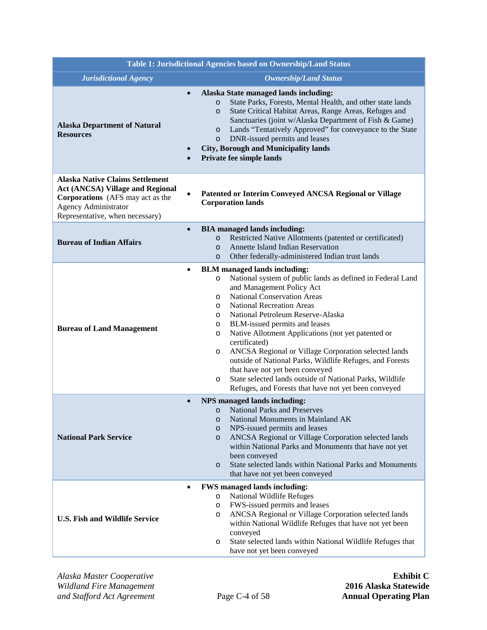<span id="page-11-0"></span>

| Table 1: Jurisdictional Agencies based on Ownership/Land Status                                                                                                                                |                                                                                                                                                                                                                                                                                                                                                                                                                                                                                                                                                                                                                                                                                      |  |
|------------------------------------------------------------------------------------------------------------------------------------------------------------------------------------------------|--------------------------------------------------------------------------------------------------------------------------------------------------------------------------------------------------------------------------------------------------------------------------------------------------------------------------------------------------------------------------------------------------------------------------------------------------------------------------------------------------------------------------------------------------------------------------------------------------------------------------------------------------------------------------------------|--|
| <b>Jurisdictional Agency</b><br><b>Ownership/Land Status</b>                                                                                                                                   |                                                                                                                                                                                                                                                                                                                                                                                                                                                                                                                                                                                                                                                                                      |  |
| $\bullet$<br><b>Alaska Department of Natural</b><br><b>Resources</b><br>$\bullet$                                                                                                              | Alaska State managed lands including:<br>State Parks, Forests, Mental Health, and other state lands<br>$\circ$<br>State Critical Habitat Areas, Range Areas, Refuges and<br>$\circ$<br>Sanctuaries (joint w/Alaska Department of Fish & Game)<br>Lands "Tentatively Approved" for conveyance to the State<br>$\circ$<br>DNR-issued permits and leases<br>$\circ$<br><b>City, Borough and Municipality lands</b><br>Private fee simple lands                                                                                                                                                                                                                                          |  |
| <b>Alaska Native Claims Settlement</b><br><b>Act (ANCSA) Village and Regional</b><br><b>Corporations</b> (AFS may act as the<br><b>Agency Administrator</b><br>Representative, when necessary) | Patented or Interim Conveyed ANCSA Regional or Village<br><b>Corporation lands</b>                                                                                                                                                                                                                                                                                                                                                                                                                                                                                                                                                                                                   |  |
| $\bullet$<br><b>Bureau of Indian Affairs</b>                                                                                                                                                   | <b>BIA</b> managed lands including:<br>Restricted Native Allotments (patented or certificated)<br>$\circ$<br><b>Annette Island Indian Reservation</b><br>$\circ$<br>Other federally-administered Indian trust lands<br>$\circ$                                                                                                                                                                                                                                                                                                                                                                                                                                                       |  |
| $\bullet$<br><b>Bureau of Land Management</b>                                                                                                                                                  | <b>BLM</b> managed lands including:<br>National system of public lands as defined in Federal Land<br>$\circ$<br>and Management Policy Act<br><b>National Conservation Areas</b><br>$\circ$<br><b>National Recreation Areas</b><br>O<br>National Petroleum Reserve-Alaska<br>O<br>BLM-issued permits and leases<br>O<br>Native Allotment Applications (not yet patented or<br>O<br>certificated)<br>ANCSA Regional or Village Corporation selected lands<br>O<br>outside of National Parks, Wildlife Refuges, and Forests<br>that have not yet been conveyed<br>State selected lands outside of National Parks, Wildlife<br>O<br>Refuges, and Forests that have not yet been conveyed |  |
| $\bullet$<br><b>National Park Service</b>                                                                                                                                                      | NPS managed lands including:<br><b>National Parks and Preserves</b><br>$\circ$<br>National Monuments in Mainland AK<br>$\circ$<br>NPS-issued permits and leases<br>$\circ$<br>ANCSA Regional or Village Corporation selected lands<br>$\circ$<br>within National Parks and Monuments that have not yet<br>been conveyed<br>State selected lands within National Parks and Monuments<br>$\circ$<br>that have not yet been conveyed                                                                                                                                                                                                                                                    |  |
| $\bullet$<br><b>U.S. Fish and Wildlife Service</b>                                                                                                                                             | <b>FWS</b> managed lands including:<br>National Wildlife Refuges<br>$\circ$<br>FWS-issued permits and leases<br>O<br>ANCSA Regional or Village Corporation selected lands<br>O<br>within National Wildlife Refuges that have not yet been<br>conveyed<br>State selected lands within National Wildlife Refuges that<br>O<br>have not yet been conveyed                                                                                                                                                                                                                                                                                                                               |  |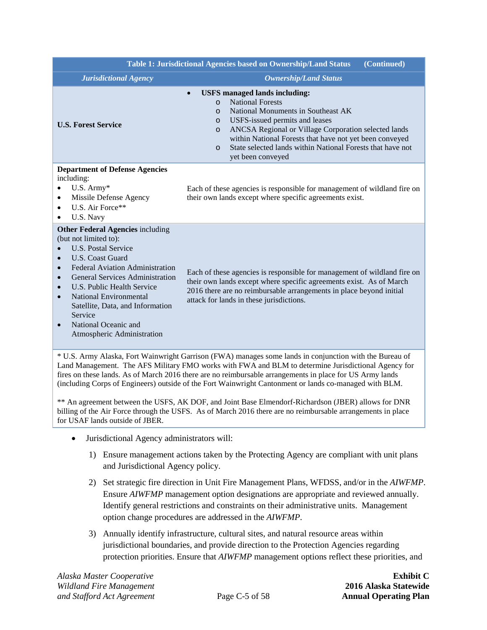|                                                                                                                                                                                                                                                                                                                                                                                                                                                                       | Table 1: Jurisdictional Agencies based on Ownership/Land Status<br>(Continued)                                                                                                                                                                                                                                                                                                                                      |
|-----------------------------------------------------------------------------------------------------------------------------------------------------------------------------------------------------------------------------------------------------------------------------------------------------------------------------------------------------------------------------------------------------------------------------------------------------------------------|---------------------------------------------------------------------------------------------------------------------------------------------------------------------------------------------------------------------------------------------------------------------------------------------------------------------------------------------------------------------------------------------------------------------|
| <b>Jurisdictional Agency</b>                                                                                                                                                                                                                                                                                                                                                                                                                                          | <b>Ownership/Land Status</b>                                                                                                                                                                                                                                                                                                                                                                                        |
| <b>U.S. Forest Service</b>                                                                                                                                                                                                                                                                                                                                                                                                                                            | <b>USFS</b> managed lands including:<br>$\bullet$<br><b>National Forests</b><br>$\circ$<br>National Monuments in Southeast AK<br>$\circ$<br>USFS-issued permits and leases<br>$\Omega$<br>ANCSA Regional or Village Corporation selected lands<br>$\circ$<br>within National Forests that have not yet been conveyed<br>State selected lands within National Forests that have not<br>$\Omega$<br>yet been conveyed |
| <b>Department of Defense Agencies</b><br>including:<br>U.S. Army*<br>$\bullet$<br>Missile Defense Agency<br>$\bullet$<br>U.S. Air Force**<br>$\bullet$<br>U.S. Navy<br>$\bullet$                                                                                                                                                                                                                                                                                      | Each of these agencies is responsible for management of wildland fire on<br>their own lands except where specific agreements exist.                                                                                                                                                                                                                                                                                 |
| <b>Other Federal Agencies including</b><br>(but not limited to):<br><b>U.S. Postal Service</b><br>$\bullet$<br>U.S. Coast Guard<br>$\bullet$<br><b>Federal Aviation Administration</b><br>$\bullet$<br><b>General Services Administration</b><br>$\bullet$<br>U.S. Public Health Service<br>$\bullet$<br><b>National Environmental</b><br>$\bullet$<br>Satellite, Data, and Information<br>Service<br>National Oceanic and<br>$\bullet$<br>Atmospheric Administration | Each of these agencies is responsible for management of wildland fire on<br>their own lands except where specific agreements exist. As of March<br>2016 there are no reimbursable arrangements in place beyond initial<br>attack for lands in these jurisdictions.                                                                                                                                                  |
|                                                                                                                                                                                                                                                                                                                                                                                                                                                                       | * U.S. Army Alaska, Fort Wainwright Garrison (FWA) manages some lands in conjunction with the Bureau of<br>Land Management. The AFS Military FMO works with FWA and BLM to determine Jurisdictional Agency for                                                                                                                                                                                                      |

fires on these lands. As of March 2016 there are no reimbursable arrangements in place for US Army lands (including Corps of Engineers) outside of the Fort Wainwright Cantonment or lands co-managed with BLM.

\*\* An agreement between the USFS, AK DOF, and Joint Base Elmendorf-Richardson (JBER) allows for DNR billing of the Air Force through the USFS. As of March 2016 there are no reimbursable arrangements in place for USAF lands outside of JBER.

- Jurisdictional Agency administrators will:
	- 1) Ensure management actions taken by the Protecting Agency are compliant with unit plans and Jurisdictional Agency policy.
	- 2) Set strategic fire direction in Unit Fire Management Plans, WFDSS, and/or in the *AIWFMP*. Ensure *AIWFMP* management option designations are appropriate and reviewed annually. Identify general restrictions and constraints on their administrative units. Management option change procedures are addressed in the *AIWFMP*.
	- 3) Annually identify infrastructure, cultural sites, and natural resource areas within jurisdictional boundaries, and provide direction to the Protection Agencies regarding protection priorities. Ensure that *AIWFMP* management options reflect these priorities, and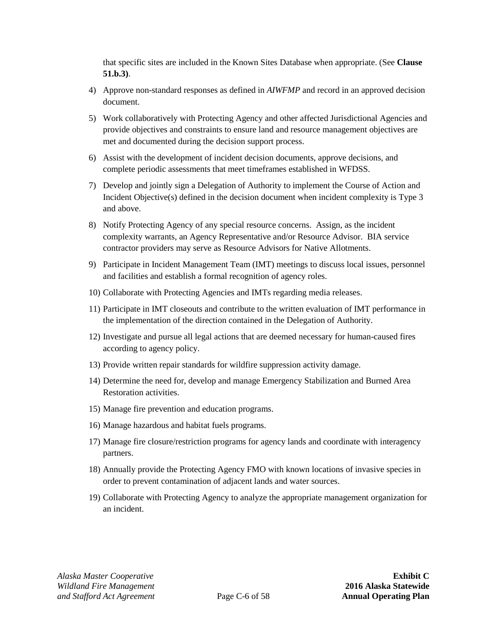that specific sites are included in the Known Sites Database when appropriate. (See **Clause [51.b.3\)](#page-60-0)**.

- 4) Approve non-standard responses as defined in *AIWFMP* and record in an approved decision document.
- 5) Work collaboratively with Protecting Agency and other affected Jurisdictional Agencies and provide objectives and constraints to ensure land and resource management objectives are met and documented during the decision support process.
- 6) Assist with the development of incident decision documents, approve decisions, and complete periodic assessments that meet timeframes established in WFDSS.
- 7) Develop and jointly sign a Delegation of Authority to implement the Course of Action and Incident Objective(s) defined in the decision document when incident complexity is Type 3 and above.
- 8) Notify Protecting Agency of any special resource concerns. Assign, as the incident complexity warrants, an Agency Representative and/or Resource Advisor. BIA service contractor providers may serve as Resource Advisors for Native Allotments.
- 9) Participate in Incident Management Team (IMT) meetings to discuss local issues, personnel and facilities and establish a formal recognition of agency roles.
- 10) Collaborate with Protecting Agencies and IMTs regarding media releases.
- 11) Participate in IMT closeouts and contribute to the written evaluation of IMT performance in the implementation of the direction contained in the Delegation of Authority.
- 12) Investigate and pursue all legal actions that are deemed necessary for human-caused fires according to agency policy.
- 13) Provide written repair standards for wildfire suppression activity damage.
- 14) Determine the need for, develop and manage Emergency Stabilization and Burned Area Restoration activities.
- 15) Manage fire prevention and education programs.
- 16) Manage hazardous and habitat fuels programs.
- 17) Manage fire closure/restriction programs for agency lands and coordinate with interagency partners.
- 18) Annually provide the Protecting Agency FMO with known locations of invasive species in order to prevent contamination of adjacent lands and water sources.
- 19) Collaborate with Protecting Agency to analyze the appropriate management organization for an incident.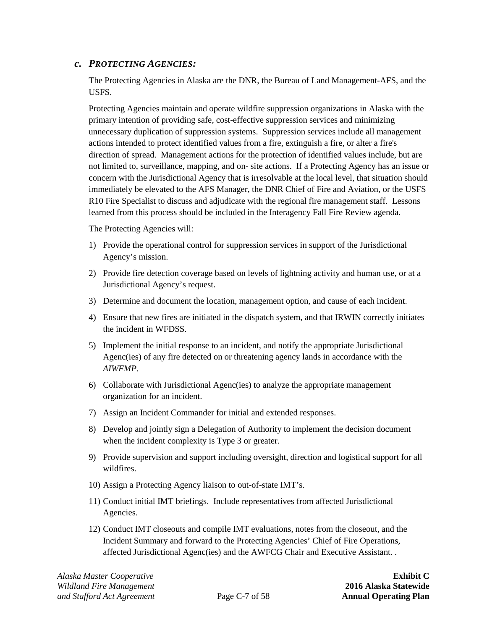#### <span id="page-14-0"></span>*c. PROTECTING AGENCIES:*

The Protecting Agencies in Alaska are the DNR, the Bureau of Land Management-AFS, and the USFS.

Protecting Agencies maintain and operate wildfire suppression organizations in Alaska with the primary intention of providing safe, cost-effective suppression services and minimizing unnecessary duplication of suppression systems. Suppression services include all management actions intended to protect identified values from a fire, extinguish a fire, or alter a fire's direction of spread. Management actions for the protection of identified values include, but are not limited to, surveillance, mapping, and on- site actions. If a Protecting Agency has an issue or concern with the Jurisdictional Agency that is irresolvable at the local level, that situation should immediately be elevated to the AFS Manager, the DNR Chief of Fire and Aviation, or the USFS R10 Fire Specialist to discuss and adjudicate with the regional fire management staff. Lessons learned from this process should be included in the Interagency Fall Fire Review agenda.

The Protecting Agencies will:

- 1) Provide the operational control for suppression services in support of the Jurisdictional Agency's mission.
- 2) Provide fire detection coverage based on levels of lightning activity and human use, or at a Jurisdictional Agency's request.
- 3) Determine and document the location, management option, and cause of each incident.
- 4) Ensure that new fires are initiated in the dispatch system, and that IRWIN correctly initiates the incident in WFDSS.
- 5) Implement the initial response to an incident, and notify the appropriate Jurisdictional Agenc(ies) of any fire detected on or threatening agency lands in accordance with the *AIWFMP*.
- 6) Collaborate with Jurisdictional Agenc(ies) to analyze the appropriate management organization for an incident.
- 7) Assign an Incident Commander for initial and extended responses.
- 8) Develop and jointly sign a Delegation of Authority to implement the decision document when the incident complexity is Type 3 or greater.
- 9) Provide supervision and support including oversight, direction and logistical support for all wildfires.
- 10) Assign a Protecting Agency liaison to out-of-state IMT's.
- 11) Conduct initial IMT briefings. Include representatives from affected Jurisdictional Agencies.
- 12) Conduct IMT closeouts and compile IMT evaluations, notes from the closeout, and the Incident Summary and forward to the Protecting Agencies' Chief of Fire Operations, affected Jurisdictional Agenc(ies) and the AWFCG Chair and Executive Assistant. .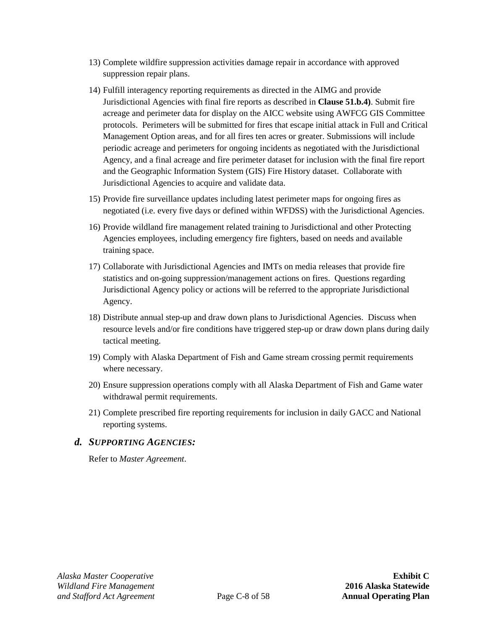- 13) Complete wildfire suppression activities damage repair in accordance with approved suppression repair plans.
- 14) Fulfill interagency reporting requirements as directed in the AIMG and provide Jurisdictional Agencies with final fire reports as described in **Clause [51.b.4\)](#page-60-1)**. Submit fire acreage and perimeter data for display on the AICC website using AWFCG GIS Committee protocols. Perimeters will be submitted for fires that escape initial attack in Full and Critical Management Option areas, and for all fires ten acres or greater. Submissions will include periodic acreage and perimeters for ongoing incidents as negotiated with the Jurisdictional Agency, and a final acreage and fire perimeter dataset for inclusion with the final fire report and the Geographic Information System (GIS) Fire History dataset. Collaborate with Jurisdictional Agencies to acquire and validate data.
- 15) Provide fire surveillance updates including latest perimeter maps for ongoing fires as negotiated (i.e. every five days or defined within WFDSS) with the Jurisdictional Agencies.
- 16) Provide wildland fire management related training to Jurisdictional and other Protecting Agencies employees, including emergency fire fighters, based on needs and available training space.
- 17) Collaborate with Jurisdictional Agencies and IMTs on media releases that provide fire statistics and on-going suppression/management actions on fires. Questions regarding Jurisdictional Agency policy or actions will be referred to the appropriate Jurisdictional Agency.
- 18) Distribute annual step-up and draw down plans to Jurisdictional Agencies. Discuss when resource levels and/or fire conditions have triggered step-up or draw down plans during daily tactical meeting.
- 19) Comply with Alaska Department of Fish and Game stream crossing permit requirements where necessary.
- 20) Ensure suppression operations comply with all Alaska Department of Fish and Game water withdrawal permit requirements.
- 21) Complete prescribed fire reporting requirements for inclusion in daily GACC and National reporting systems.

#### <span id="page-15-0"></span>*d. SUPPORTING AGENCIES:*

Refer to *Master Agreement*.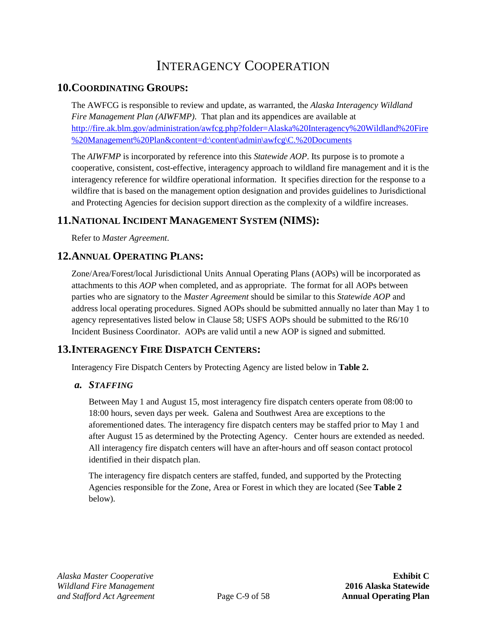## INTERAGENCY COOPERATION

### <span id="page-16-1"></span><span id="page-16-0"></span>**10.COORDINATING GROUPS:**

The AWFCG is responsible to review and update, as warranted, the *Alaska Interagency Wildland Fire Management Plan (AIWFMP)*. That plan and its appendices are available at [http://fire.ak.blm.gov/administration/awfcg.php?folder=Alaska%20Interagency%20Wildland%20Fire](http://fire.ak.blm.gov/administration/awfcg.php?folder=Alaska%20Interagency%20Wildland%20Fire%20Management%20Plan&content=d:%5Ccontent%5Cadmin%5Cawfcg%5CC.%20Documents) [%20Management%20Plan&content=d:\content\admin\awfcg\C.%20Documents](http://fire.ak.blm.gov/administration/awfcg.php?folder=Alaska%20Interagency%20Wildland%20Fire%20Management%20Plan&content=d:%5Ccontent%5Cadmin%5Cawfcg%5CC.%20Documents)

The *AIWFMP* is incorporated by reference into this *Statewide AOP*. Its purpose is to promote a cooperative, consistent, cost-effective, interagency approach to wildland fire management and it is the interagency reference for wildfire operational information. It specifies direction for the response to a wildfire that is based on the management option designation and provides guidelines to Jurisdictional and Protecting Agencies for decision support direction as the complexity of a wildfire increases.

## <span id="page-16-2"></span>**11.NATIONAL INCIDENT MANAGEMENT SYSTEM (NIMS):**

Refer to *Master Agreement*.

## <span id="page-16-3"></span>**12.ANNUAL OPERATING PLANS:**

Zone/Area/Forest/local Jurisdictional Units Annual Operating Plans (AOPs) will be incorporated as attachments to this *AOP* when completed, and as appropriate. The format for all AOPs between parties who are signatory to the *Master Agreement* should be similar to this *Statewide AOP* and address local operating procedures. Signed AOPs should be submitted annually no later than May 1 to agency representatives listed below in Clause [58;](#page-63-4) USFS AOPs should be submitted to the R6/10 Incident Business Coordinator. AOPs are valid until a new AOP is signed and submitted.

## <span id="page-16-4"></span>**13.INTERAGENCY FIRE DISPATCH CENTERS:**

Interagency Fire Dispatch Centers by Protecting Agency are listed below in **[Table 2.](#page-17-2)**

#### <span id="page-16-5"></span>*a. STAFFING*

Between May 1 and August 15, most interagency fire dispatch centers operate from 08:00 to 18:00 hours, seven days per week. Galena and Southwest Area are exceptions to the aforementioned dates. The interagency fire dispatch centers may be staffed prior to May 1 and after August 15 as determined by the Protecting Agency. Center hours are extended as needed. All interagency fire dispatch centers will have an after-hours and off season contact protocol identified in their dispatch plan.

The interagency fire dispatch centers are staffed, funded, and supported by the Protecting Agencies responsible for the Zone, Area or Forest in which they are located (See **[Table 2](#page-17-2)** below).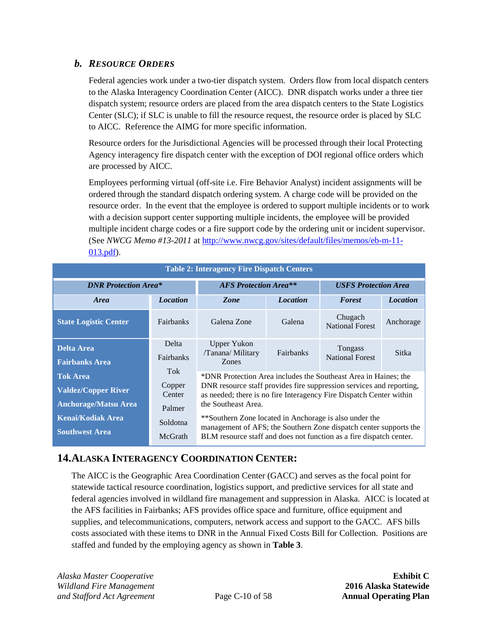### <span id="page-17-0"></span>*b. RESOURCE ORDERS*

Federal agencies work under a two-tier dispatch system. Orders flow from local dispatch centers to the Alaska Interagency Coordination Center (AICC). DNR dispatch works under a three tier dispatch system; resource orders are placed from the area dispatch centers to the State Logistics Center (SLC); if SLC is unable to fill the resource request, the resource order is placed by SLC to AICC. Reference the AIMG for more specific information.

Resource orders for the Jurisdictional Agencies will be processed through their local Protecting Agency interagency fire dispatch center with the exception of DOI regional office orders which are processed by AICC.

Employees performing virtual (off-site i.e. Fire Behavior Analyst) incident assignments will be ordered through the standard dispatch ordering system. A charge code will be provided on the resource order. In the event that the employee is ordered to support multiple incidents or to work with a decision support center supporting multiple incidents, the employee will be provided multiple incident charge codes or a fire support code by the ordering unit or incident supervisor. (See *NWCG Memo #13-2011* at [http://www.nwcg.gov/sites/default/files/memos/eb-m-11-](http://www.nwcg.gov/sites/default/files/memos/eb-m-11-013.pdf) [013.pdf\)](http://www.nwcg.gov/sites/default/files/memos/eb-m-11-013.pdf).

<span id="page-17-2"></span>

| <b>Table 2: Interagency Fire Dispatch Centers</b>                            |                                   |                                                                                                                                                                                                                                       |                 |                                   |                 |
|------------------------------------------------------------------------------|-----------------------------------|---------------------------------------------------------------------------------------------------------------------------------------------------------------------------------------------------------------------------------------|-----------------|-----------------------------------|-----------------|
| <b>DNR Protection Area*</b>                                                  |                                   | <b>AFS</b> Protection Area <sup>**</sup>                                                                                                                                                                                              |                 | <b>USFS Protection Area</b>       |                 |
| <b>Area</b>                                                                  | <b>Location</b>                   | Zone                                                                                                                                                                                                                                  | <b>Location</b> | <b>Forest</b>                     | <b>Location</b> |
| <b>State Logistic Center</b>                                                 | <b>Fairbanks</b>                  | Galena Zone                                                                                                                                                                                                                           | Galena          | Chugach<br><b>National Forest</b> | Anchorage       |
| <b>Delta Area</b><br><b>Fairbanks Area</b>                                   | Delta<br>Fairbanks                | <b>Upper Yukon</b><br>/Tanana/ Military<br>Zones                                                                                                                                                                                      | Fairbanks       | Tongass<br><b>National Forest</b> | Sitka           |
| <b>Tok Area</b><br><b>Valdez/Copper River</b><br><b>Anchorage/Matsu Area</b> | Tok<br>Copper<br>Center<br>Palmer | *DNR Protection Area includes the Southeast Area in Haines; the<br>DNR resource staff provides fire suppression services and reporting,<br>as needed; there is no fire Interagency Fire Dispatch Center within<br>the Southeast Area. |                 |                                   |                 |
| <b>Kenai/Kodiak Area</b><br><b>Southwest Area</b>                            | Soldotna<br>McGrath               | **Southern Zone located in Anchorage is also under the<br>management of AFS; the Southern Zone dispatch center supports the<br>BLM resource staff and does not function as a fire dispatch center.                                    |                 |                                   |                 |

## <span id="page-17-1"></span>**14.ALASKA INTERAGENCY COORDINATION CENTER:**

The AICC is the Geographic Area Coordination Center (GACC) and serves as the focal point for statewide tactical resource coordination, logistics support, and predictive services for all state and federal agencies involved in wildland fire management and suppression in Alaska. AICC is located at the AFS facilities in Fairbanks; AFS provides office space and furniture, office equipment and supplies, and telecommunications, computers, network access and support to the GACC. AFS bills costs associated with these items to DNR in the Annual Fixed Costs Bill for Collection. Positions are staffed and funded by the employing agency as shown in **[Table 3](#page-18-3)**.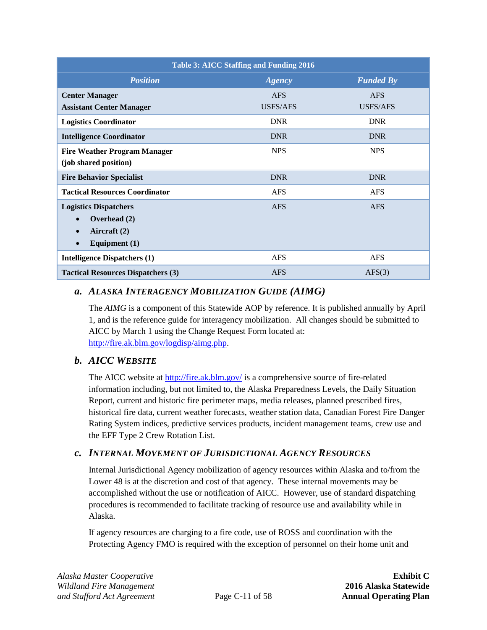<span id="page-18-3"></span>

| Table 3: AICC Staffing and Funding 2016                                                                                |                 |                  |  |
|------------------------------------------------------------------------------------------------------------------------|-----------------|------------------|--|
| <b>Position</b>                                                                                                        | <b>Agency</b>   | <b>Funded By</b> |  |
| <b>Center Manager</b>                                                                                                  | <b>AFS</b>      | <b>AFS</b>       |  |
| <b>Assistant Center Manager</b>                                                                                        | <b>USFS/AFS</b> | <b>USFS/AFS</b>  |  |
| <b>Logistics Coordinator</b>                                                                                           | <b>DNR</b>      | <b>DNR</b>       |  |
| <b>Intelligence Coordinator</b>                                                                                        | <b>DNR</b>      | <b>DNR</b>       |  |
| <b>Fire Weather Program Manager</b><br>(job shared position)                                                           | <b>NPS</b>      | <b>NPS</b>       |  |
| <b>Fire Behavior Specialist</b>                                                                                        | <b>DNR</b>      | <b>DNR</b>       |  |
| <b>Tactical Resources Coordinator</b>                                                                                  | <b>AFS</b>      | <b>AFS</b>       |  |
| <b>Logistics Dispatchers</b><br>Overhead (2)<br>$\bullet$<br>Aircraft (2)<br>$\bullet$<br>Equipment $(1)$<br>$\bullet$ | <b>AFS</b>      | <b>AFS</b>       |  |
| <b>Intelligence Dispatchers (1)</b>                                                                                    | <b>AFS</b>      | <b>AFS</b>       |  |
| <b>Tactical Resources Dispatchers (3)</b>                                                                              | <b>AFS</b>      | AFS(3)           |  |

### <span id="page-18-0"></span>*a. ALASKA INTERAGENCY MOBILIZATION GUIDE (AIMG)*

The *AIMG* is a component of this Statewide AOP by reference. It is published annually by April 1, and is the reference guide for interagency mobilization. All changes should be submitted to AICC by March 1 using the Change Request Form located at: [http://fire.ak.blm.gov/logdisp/aimg.php.](http://fire.ak.blm.gov/logdisp/aimg.php)

## <span id="page-18-1"></span>*b. AICC WEBSITE*

The AICC website at<http://fire.ak.blm.gov/> is a comprehensive source of fire-related information including, but not limited to, the Alaska Preparedness Levels, the Daily Situation Report, current and historic fire perimeter maps, media releases, planned prescribed fires, historical fire data, current weather forecasts, weather station data, Canadian Forest Fire Danger Rating System indices, predictive services products, incident management teams, crew use and the EFF Type 2 Crew Rotation List.

#### <span id="page-18-2"></span>*c. INTERNAL MOVEMENT OF JURISDICTIONAL AGENCY RESOURCES*

Internal Jurisdictional Agency mobilization of agency resources within Alaska and to/from the Lower 48 is at the discretion and cost of that agency. These internal movements may be accomplished without the use or notification of AICC. However, use of standard dispatching procedures is recommended to facilitate tracking of resource use and availability while in Alaska.

If agency resources are charging to a fire code, use of ROSS and coordination with the Protecting Agency FMO is required with the exception of personnel on their home unit and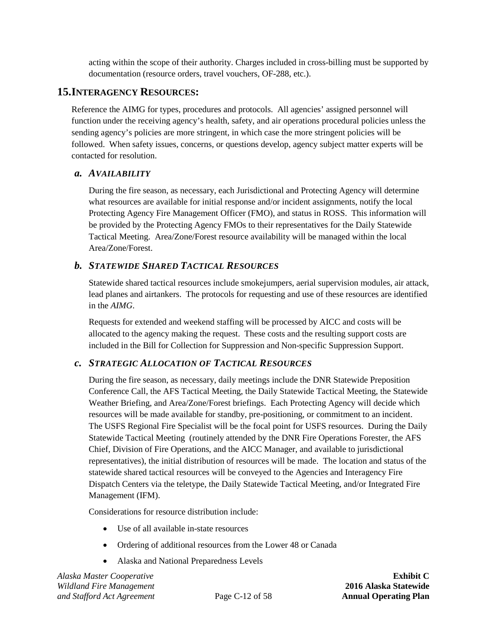acting within the scope of their authority. Charges included in cross-billing must be supported by documentation (resource orders, travel vouchers, OF-288, etc.).

### <span id="page-19-0"></span>**15.INTERAGENCY RESOURCES:**

Reference the AIMG for types, procedures and protocols. All agencies' assigned personnel will function under the receiving agency's health, safety, and air operations procedural policies unless the sending agency's policies are more stringent, in which case the more stringent policies will be followed. When safety issues, concerns, or questions develop, agency subject matter experts will be contacted for resolution.

#### <span id="page-19-1"></span>*a. AVAILABILITY*

During the fire season, as necessary, each Jurisdictional and Protecting Agency will determine what resources are available for initial response and/or incident assignments, notify the local Protecting Agency Fire Management Officer (FMO), and status in ROSS. This information will be provided by the Protecting Agency FMOs to their representatives for the Daily Statewide Tactical Meeting. Area/Zone/Forest resource availability will be managed within the local Area/Zone/Forest.

#### <span id="page-19-2"></span>*b. STATEWIDE SHARED TACTICAL RESOURCES*

Statewide shared tactical resources include smokejumpers, aerial supervision modules, air attack, lead planes and airtankers. The protocols for requesting and use of these resources are identified in the *AIMG*.

Requests for extended and weekend staffing will be processed by AICC and costs will be allocated to the agency making the request. These costs and the resulting support costs are included in the Bill for Collection for Suppression and Non-specific Suppression Support.

#### <span id="page-19-3"></span>*c. STRATEGIC ALLOCATION OF TACTICAL RESOURCES*

During the fire season, as necessary, daily meetings include the DNR Statewide Preposition Conference Call, the AFS Tactical Meeting, the Daily Statewide Tactical Meeting, the Statewide Weather Briefing, and Area/Zone/Forest briefings. Each Protecting Agency will decide which resources will be made available for standby, pre-positioning, or commitment to an incident. The USFS Regional Fire Specialist will be the focal point for USFS resources. During the Daily Statewide Tactical Meeting (routinely attended by the DNR Fire Operations Forester, the AFS Chief, Division of Fire Operations, and the AICC Manager, and available to jurisdictional representatives), the initial distribution of resources will be made. The location and status of the statewide shared tactical resources will be conveyed to the Agencies and Interagency Fire Dispatch Centers via the teletype, the Daily Statewide Tactical Meeting, and/or Integrated Fire Management (IFM).

Considerations for resource distribution include:

- Use of all available in-state resources
- Ordering of additional resources from the Lower 48 or Canada
- Alaska and National Preparedness Levels

*Alaska Master Cooperative* **Exhibit C** *Wildland Fire Management* **2016 Alaska Statewide** *and Stafford Act Agreement* Page C-12 of 58 **Annual Operating Plan**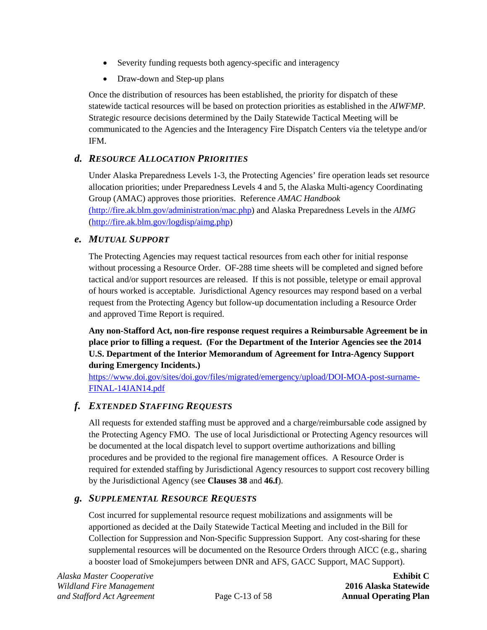- Severity funding requests both agency-specific and interagency
- Draw-down and Step-up plans

Once the distribution of resources has been established, the priority for dispatch of these statewide tactical resources will be based on protection priorities as established in the *AIWFMP*. Strategic resource decisions determined by the Daily Statewide Tactical Meeting will be communicated to the Agencies and the Interagency Fire Dispatch Centers via the teletype and/or IFM.

### <span id="page-20-0"></span>*d. RESOURCE ALLOCATION PRIORITIES*

Under Alaska Preparedness Levels 1-3, the Protecting Agencies' fire operation leads set resource allocation priorities; under Preparedness Levels 4 and 5, the Alaska Multi-agency Coordinating Group (AMAC) approves those priorities. Reference *AMAC Handbook* [\(http://fire.ak.blm.gov/administration/mac.php\)](http://fire.ak.blm.gov/administration/mac.php) and Alaska Preparedness Levels in the *AIMG* [\(http://fire.ak.blm.gov/logdisp/aimg.php\)](http://fire.ak.blm.gov/logdisp/aimg.php)

#### <span id="page-20-1"></span>*e. MUTUAL SUPPORT*

The Protecting Agencies may request tactical resources from each other for initial response without processing a Resource Order. OF-288 time sheets will be completed and signed before tactical and/or support resources are released. If this is not possible, teletype or email approval of hours worked is acceptable. Jurisdictional Agency resources may respond based on a verbal request from the Protecting Agency but follow-up documentation including a Resource Order and approved Time Report is required.

**Any non-Stafford Act, non-fire response request requires a Reimbursable Agreement be in place prior to filling a request. (For the Department of the Interior Agencies see the 2014 U.S. Department of the Interior Memorandum of Agreement for Intra-Agency Support during Emergency Incidents.)**

[https://www.doi.gov/sites/doi.gov/files/migrated/emergency/upload/DOI-MOA-post-surname-](https://www.doi.gov/sites/doi.gov/files/migrated/emergency/upload/DOI-MOA-post-surname-FINAL-14JAN14.pdf)[FINAL-14JAN14.pdf](https://www.doi.gov/sites/doi.gov/files/migrated/emergency/upload/DOI-MOA-post-surname-FINAL-14JAN14.pdf)

#### <span id="page-20-2"></span>*f. EXTENDED STAFFING REQUESTS*

All requests for extended staffing must be approved and a charge/reimbursable code assigned by the Protecting Agency FMO. The use of local Jurisdictional or Protecting Agency resources will be documented at the local dispatch level to support overtime authorizations and billing procedures and be provided to the regional fire management offices. A Resource Order is required for extended staffing by Jurisdictional Agency resources to support cost recovery billing by the Jurisdictional Agency (see **Clauses [38](#page-37-3)** and **[46.f](#page-53-0)**).

#### <span id="page-20-3"></span>*g. SUPPLEMENTAL RESOURCE REQUESTS*

Cost incurred for supplemental resource request mobilizations and assignments will be apportioned as decided at the Daily Statewide Tactical Meeting and included in the Bill for Collection for Suppression and Non-Specific Suppression Support. Any cost-sharing for these supplemental resources will be documented on the Resource Orders through AICC (e.g., sharing a booster load of Smokejumpers between DNR and AFS, GACC Support, MAC Support).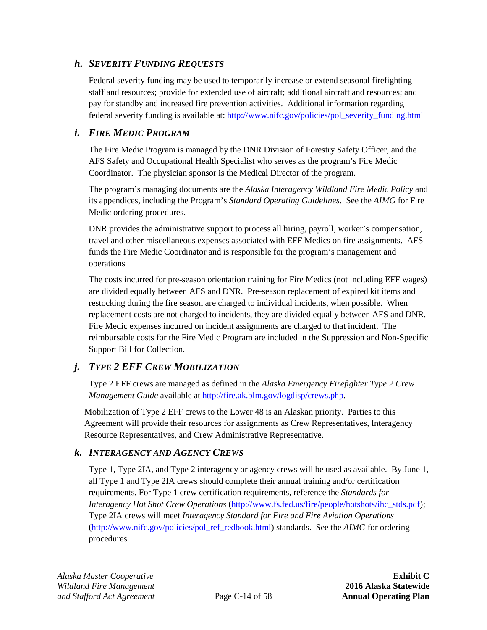### <span id="page-21-0"></span>*h. SEVERITY FUNDING REQUESTS*

Federal severity funding may be used to temporarily increase or extend seasonal firefighting staff and resources; provide for extended use of aircraft; additional aircraft and resources; and pay for standby and increased fire prevention activities. Additional information regarding federal severity funding is available at[: http://www.nifc.gov/policies/pol\\_severity\\_funding.html](http://www.nifc.gov/policies/pol_severity_funding.html)

#### <span id="page-21-1"></span>*i. FIRE MEDIC PROGRAM*

The Fire Medic Program is managed by the DNR Division of Forestry Safety Officer, and the AFS Safety and Occupational Health Specialist who serves as the program's Fire Medic Coordinator. The physician sponsor is the Medical Director of the program.

The program's managing documents are the *Alaska Interagency Wildland Fire Medic Policy* and its appendices, including the Program's *Standard Operating Guidelines*. See the *AIMG* for Fire Medic ordering procedures.

DNR provides the administrative support to process all hiring, payroll, worker's compensation, travel and other miscellaneous expenses associated with EFF Medics on fire assignments. AFS funds the Fire Medic Coordinator and is responsible for the program's management and operations

The costs incurred for pre-season orientation training for Fire Medics (not including EFF wages) are divided equally between AFS and DNR. Pre-season replacement of expired kit items and restocking during the fire season are charged to individual incidents, when possible. When replacement costs are not charged to incidents, they are divided equally between AFS and DNR. Fire Medic expenses incurred on incident assignments are charged to that incident. The reimbursable costs for the Fire Medic Program are included in the Suppression and Non-Specific Support Bill for Collection.

## <span id="page-21-2"></span>*j. TYPE 2 EFF CREW MOBILIZATION*

Type 2 EFF crews are managed as defined in the *Alaska Emergency Firefighter Type 2 Crew Management Guide* available at [http://fire.ak.blm.gov/logdisp/crews.php.](http://fire.ak.blm.gov/logdisp/crews.php)

Mobilization of Type 2 EFF crews to the Lower 48 is an Alaskan priority. Parties to this Agreement will provide their resources for assignments as Crew Representatives, Interagency Resource Representatives, and Crew Administrative Representative.

#### <span id="page-21-3"></span>*k. INTERAGENCY AND AGENCY CREWS*

Type 1, Type 2IA, and Type 2 interagency or agency crews will be used as available. By June 1, all Type 1 and Type 2IA crews should complete their annual training and/or certification requirements. For Type 1 crew certification requirements, reference the *Standards for Interagency Hot Shot Crew Operations* [\(http://www.fs.fed.us/fire/people/hotshots/ihc\\_stds.pdf\)](http://www.fs.fed.us/fire/people/hotshots/ihc_stds.pdf); Type 2IA crews will meet *Interagency Standard for Fire and Fire Aviation Operations* [\(http://www.nifc.gov/policies/pol\\_ref\\_redbook.html\)](http://www.nifc.gov/policies/pol_ref_redbook.html) standards. See the *AIMG* for ordering procedures.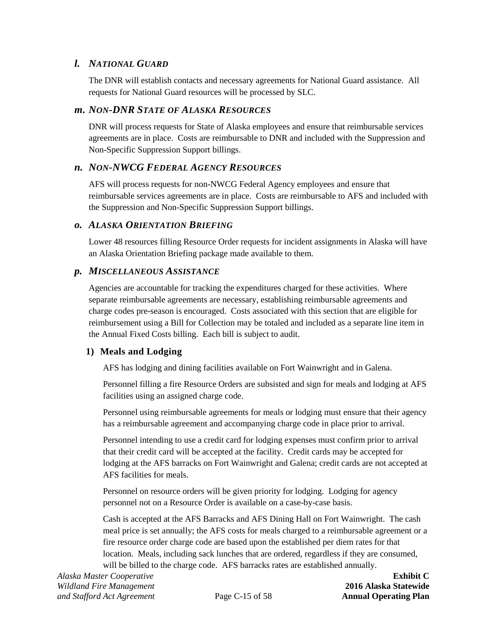#### <span id="page-22-0"></span>*l. NATIONAL GUARD*

The DNR will establish contacts and necessary agreements for National Guard assistance. All requests for National Guard resources will be processed by SLC.

#### <span id="page-22-1"></span>*m. NON-DNR STATE OF ALASKA RESOURCES*

DNR will process requests for State of Alaska employees and ensure that reimbursable services agreements are in place. Costs are reimbursable to DNR and included with the Suppression and Non-Specific Suppression Support billings.

#### <span id="page-22-2"></span>*n. NON-NWCG FEDERAL AGENCY RESOURCES*

AFS will process requests for non-NWCG Federal Agency employees and ensure that reimbursable services agreements are in place. Costs are reimbursable to AFS and included with the Suppression and Non-Specific Suppression Support billings.

#### <span id="page-22-3"></span>*o. ALASKA ORIENTATION BRIEFING*

Lower 48 resources filling Resource Order requests for incident assignments in Alaska will have an Alaska Orientation Briefing package made available to them.

#### <span id="page-22-4"></span>*p. MISCELLANEOUS ASSISTANCE*

Agencies are accountable for tracking the expenditures charged for these activities. Where separate reimbursable agreements are necessary, establishing reimbursable agreements and charge codes pre-season is encouraged. Costs associated with this section that are eligible for reimbursement using a Bill for Collection may be totaled and included as a separate line item in the Annual Fixed Costs billing. Each bill is subject to audit.

#### **1) Meals and Lodging**

AFS has lodging and dining facilities available on Fort Wainwright and in Galena.

Personnel filling a fire Resource Orders are subsisted and sign for meals and lodging at AFS facilities using an assigned charge code.

Personnel using reimbursable agreements for meals or lodging must ensure that their agency has a reimbursable agreement and accompanying charge code in place prior to arrival.

Personnel intending to use a credit card for lodging expenses must confirm prior to arrival that their credit card will be accepted at the facility. Credit cards may be accepted for lodging at the AFS barracks on Fort Wainwright and Galena; credit cards are not accepted at AFS facilities for meals.

Personnel on resource orders will be given priority for lodging. Lodging for agency personnel not on a Resource Order is available on a case-by-case basis.

Cash is accepted at the AFS Barracks and AFS Dining Hall on Fort Wainwright. The cash meal price is set annually; the AFS costs for meals charged to a reimbursable agreement or a fire resource order charge code are based upon the established per diem rates for that location. Meals, including sack lunches that are ordered, regardless if they are consumed, will be billed to the charge code. AFS barracks rates are established annually.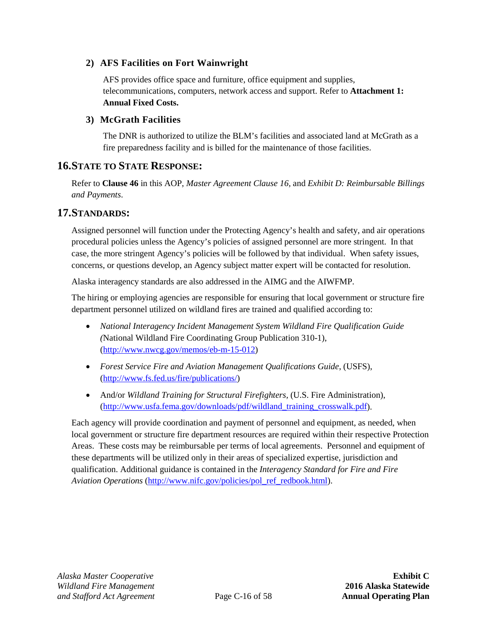#### **2) AFS Facilities on Fort Wainwright**

AFS provides office space and furniture, office equipment and supplies, telecommunications, computers, network access and support. Refer to **[Attachment 1:](#page-66-0) [Annual Fixed Costs.](#page-66-0)**

#### **3) McGrath Facilities**

The DNR is authorized to utilize the BLM's facilities and associated land at McGrath as a fire preparedness facility and is billed for the maintenance of those facilities.

### <span id="page-23-0"></span>**16.STATE TO STATE RESPONSE:**

Refer to **Clause [46](#page-51-0)** in this AOP, *Master Agreement Clause 16,* and *Exhibit D: Reimbursable Billings and Payments*.

#### <span id="page-23-1"></span>**17.STANDARDS:**

Assigned personnel will function under the Protecting Agency's health and safety, and air operations procedural policies unless the Agency's policies of assigned personnel are more stringent. In that case, the more stringent Agency's policies will be followed by that individual. When safety issues, concerns, or questions develop, an Agency subject matter expert will be contacted for resolution.

Alaska interagency standards are also addressed in the AIMG and the AIWFMP.

The hiring or employing agencies are responsible for ensuring that local government or structure fire department personnel utilized on wildland fires are trained and qualified according to:

- *National Interagency Incident Management System Wildland Fire Qualification Guide (*National Wildland Fire Coordinating Group Publication 310-1), [\(http://www.nwcg.gov/memos/eb-m-15-012\)](http://www.nwcg.gov/memos/eb-m-15-012)
- *Forest Service Fire and Aviation Management Qualifications Guide*, (USFS), [\(http://www.fs.fed.us/fire/publications/\)](http://www.fs.fed.us/fire/publications/)
- And/or *Wildland Training for Structural Firefighters,* (U.S. Fire Administration), [\(http://www.usfa.fema.gov/downloads/pdf/wildland\\_training\\_crosswalk.pdf\)](http://www.usfa.fema.gov/downloads/pdf/wildland_training_crosswalk.pdf).

Each agency will provide coordination and payment of personnel and equipment, as needed, when local government or structure fire department resources are required within their respective Protection Areas. These costs may be reimbursable per terms of local agreements. Personnel and equipment of these departments will be utilized only in their areas of specialized expertise, jurisdiction and qualification. Additional guidance is contained in the *Interagency Standard for Fire and Fire Aviation Operations* [\(http://www.nifc.gov/policies/pol\\_ref\\_redbook.html\)](http://www.nifc.gov/policies/pol_ref_redbook.html).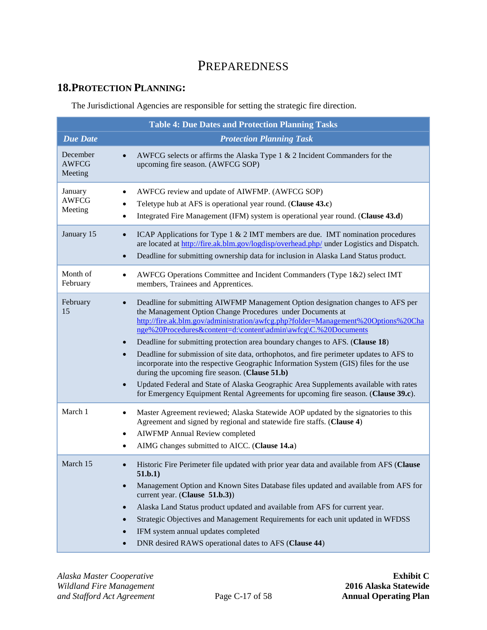## PREPAREDNESS

## <span id="page-24-1"></span><span id="page-24-0"></span>**18.PROTECTION PLANNING:**

The Jurisdictional Agencies are responsible for setting the strategic fire direction.

<span id="page-24-2"></span>

| <b>Table 4: Due Dates and Protection Planning Tasks</b> |                                                                                                                                                                                                                                                                                                                                                                                                                                                                                                                                                                                                                                                                                                                                                                                                          |  |  |
|---------------------------------------------------------|----------------------------------------------------------------------------------------------------------------------------------------------------------------------------------------------------------------------------------------------------------------------------------------------------------------------------------------------------------------------------------------------------------------------------------------------------------------------------------------------------------------------------------------------------------------------------------------------------------------------------------------------------------------------------------------------------------------------------------------------------------------------------------------------------------|--|--|
| <b>Due Date</b>                                         | <b>Protection Planning Task</b>                                                                                                                                                                                                                                                                                                                                                                                                                                                                                                                                                                                                                                                                                                                                                                          |  |  |
| December<br><b>AWFCG</b><br>Meeting                     | AWFCG selects or affirms the Alaska Type $1 \& 2$ Incident Commanders for the<br>upcoming fire season. (AWFCG SOP)                                                                                                                                                                                                                                                                                                                                                                                                                                                                                                                                                                                                                                                                                       |  |  |
| January<br><b>AWFCG</b><br>Meeting                      | AWFCG review and update of AIWFMP. (AWFCG SOP)<br>Teletype hub at AFS is operational year round. (Clause 43.c)<br>Integrated Fire Management (IFM) system is operational year round. (Clause 43.d)                                                                                                                                                                                                                                                                                                                                                                                                                                                                                                                                                                                                       |  |  |
| January 15                                              | ICAP Applications for Type $1 \& 2$ IMT members are due. IMT nomination procedures<br>are located at http://fire.ak.blm.gov/logdisp/overhead.php/ under Logistics and Dispatch.<br>Deadline for submitting ownership data for inclusion in Alaska Land Status product.<br>$\bullet$                                                                                                                                                                                                                                                                                                                                                                                                                                                                                                                      |  |  |
| Month of<br>February                                    | AWFCG Operations Committee and Incident Commanders (Type 1&2) select IMT<br>members, Trainees and Apprentices.                                                                                                                                                                                                                                                                                                                                                                                                                                                                                                                                                                                                                                                                                           |  |  |
| February<br>15                                          | Deadline for submitting AIWFMP Management Option designation changes to AFS per<br>the Management Option Change Procedures under Documents at<br>http://fire.ak.blm.gov/administration/awfcg.php?folder=Management%20Options%20Cha<br>nge%20Procedures&content=d:\content\admin\awfcg\C.%20Documents<br>Deadline for submitting protection area boundary changes to AFS. (Clause 18)<br>Deadline for submission of site data, orthophotos, and fire perimeter updates to AFS to<br>incorporate into the respective Geographic Information System (GIS) files for the use<br>during the upcoming fire season. (Clause 51.b)<br>Updated Federal and State of Alaska Geographic Area Supplements available with rates<br>for Emergency Equipment Rental Agreements for upcoming fire season. (Clause 39.c). |  |  |
| March 1                                                 | Master Agreement reviewed; Alaska Statewide AOP updated by the signatories to this<br>Agreement and signed by regional and statewide fire staffs. (Clause 4)<br><b>AIWFMP</b> Annual Review completed<br>$\bullet$<br>AIMG changes submitted to AICC. (Clause 14.a)                                                                                                                                                                                                                                                                                                                                                                                                                                                                                                                                      |  |  |
| March 15                                                | Historic Fire Perimeter file updated with prior year data and available from AFS (Clause<br>51.b.1)<br>Management Option and Known Sites Database files updated and available from AFS for<br>current year. (Clause 51.b.3))<br>Alaska Land Status product updated and available from AFS for current year.<br>Strategic Objectives and Management Requirements for each unit updated in WFDSS<br>IFM system annual updates completed<br>DNR desired RAWS operational dates to AFS (Clause 44)                                                                                                                                                                                                                                                                                                           |  |  |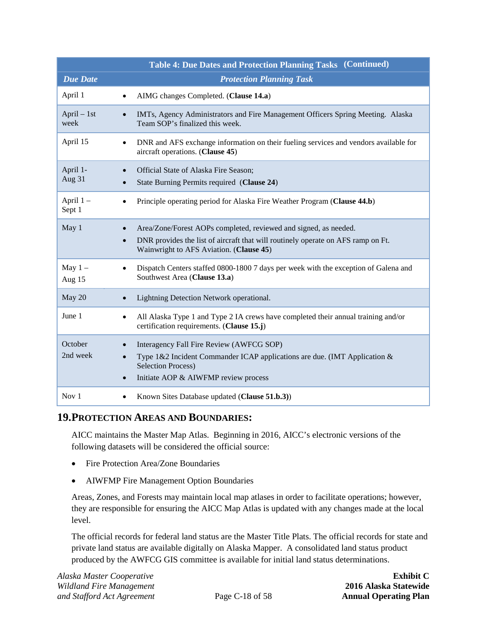|                                    | <b>Table 4: Due Dates and Protection Planning Tasks (Continued)</b>                                                                                                                             |
|------------------------------------|-------------------------------------------------------------------------------------------------------------------------------------------------------------------------------------------------|
| <b>Due Date</b>                    | <b>Protection Planning Task</b>                                                                                                                                                                 |
| April 1<br>$\bullet$               | AIMG changes Completed. (Clause 14.a)                                                                                                                                                           |
| $April - 1st$<br>$\bullet$<br>week | IMTs, Agency Administrators and Fire Management Officers Spring Meeting. Alaska<br>Team SOP's finalized this week.                                                                              |
| April 15<br>$\bullet$              | DNR and AFS exchange information on their fueling services and vendors available for<br>aircraft operations. (Clause 45)                                                                        |
| April 1-<br>Aug 31                 | Official State of Alaska Fire Season;<br>State Burning Permits required (Clause 24)                                                                                                             |
| April $1 -$<br>$\bullet$<br>Sept 1 | Principle operating period for Alaska Fire Weather Program (Clause 44.b)                                                                                                                        |
| May 1<br>$\bullet$                 | Area/Zone/Forest AOPs completed, reviewed and signed, as needed.<br>DNR provides the list of aircraft that will routinely operate on AFS ramp on Ft.<br>Wainwright to AFS Aviation. (Clause 45) |
| May $1 -$<br>Aug 15                | Dispatch Centers staffed 0800-1800 7 days per week with the exception of Galena and<br>Southwest Area (Clause 13.a)                                                                             |
| May 20<br>$\bullet$                | Lightning Detection Network operational.                                                                                                                                                        |
| June 1                             | All Alaska Type 1 and Type 2 IA crews have completed their annual training and/or<br>certification requirements. (Clause 15.j)                                                                  |
| October<br>2nd week<br>$\bullet$   | Interagency Fall Fire Review (AWFCG SOP)<br>Type 1&2 Incident Commander ICAP applications are due. (IMT Application &<br><b>Selection Process)</b><br>Initiate AOP & AIWFMP review process      |
| Nov $1$<br>٠                       | Known Sites Database updated (Clause 51.b.3))                                                                                                                                                   |

## <span id="page-25-0"></span>**19.PROTECTION AREAS AND BOUNDARIES:**

AICC maintains the Master Map Atlas. Beginning in 2016, AICC's electronic versions of the following datasets will be considered the official source:

- Fire Protection Area/Zone Boundaries
- AIWFMP Fire Management Option Boundaries

Areas, Zones, and Forests may maintain local map atlases in order to facilitate operations; however, they are responsible for ensuring the AICC Map Atlas is updated with any changes made at the local level.

The official records for federal land status are the Master Title Plats. The official records for state and private land status are available digitally on Alaska Mapper. A consolidated land status product produced by the AWFCG GIS committee is available for initial land status determinations.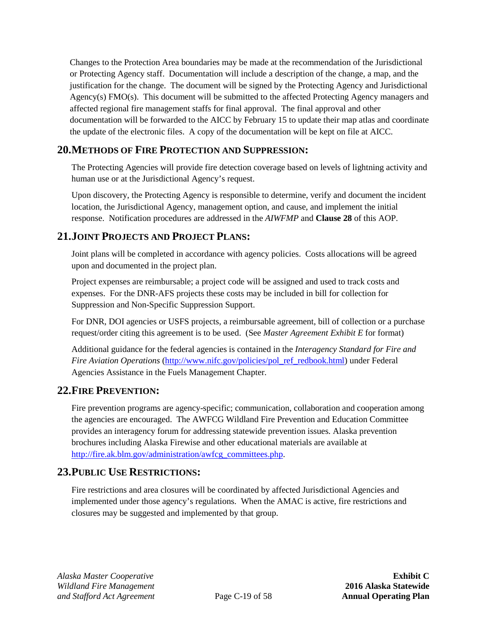Changes to the Protection Area boundaries may be made at the recommendation of the Jurisdictional or Protecting Agency staff. Documentation will include a description of the change, a map, and the justification for the change. The document will be signed by the Protecting Agency and Jurisdictional Agency(s) FMO(s). This document will be submitted to the affected Protecting Agency managers and affected regional fire management staffs for final approval. The final approval and other documentation will be forwarded to the AICC by February 15 to update their map atlas and coordinate the update of the electronic files. A copy of the documentation will be kept on file at AICC.

## <span id="page-26-0"></span>**20.METHODS OF FIRE PROTECTION AND SUPPRESSION:**

The Protecting Agencies will provide fire detection coverage based on levels of lightning activity and human use or at the Jurisdictional Agency's request.

Upon discovery, the Protecting Agency is responsible to determine, verify and document the incident location, the Jurisdictional Agency, management option, and cause, and implement the initial response. Notification procedures are addressed in the *AIWFMP* and **Clause [28](#page-29-6)** of this AOP.

## <span id="page-26-1"></span>**21.JOINT PROJECTS AND PROJECT PLANS:**

Joint plans will be completed in accordance with agency policies. Costs allocations will be agreed upon and documented in the project plan.

Project expenses are reimbursable; a project code will be assigned and used to track costs and expenses. For the DNR-AFS projects these costs may be included in bill for collection for Suppression and Non-Specific Suppression Support.

For DNR, DOI agencies or USFS projects, a reimbursable agreement, bill of collection or a purchase request/order citing this agreement is to be used. (See *Master Agreement Exhibit E* for format)

Additional guidance for the federal agencies is contained in the *Interagency Standard for Fire and Fire Aviation Operations* [\(http://www.nifc.gov/policies/pol\\_ref\\_redbook.html\)](http://www.nifc.gov/policies/pol_ref_redbook.html) under Federal Agencies Assistance in the Fuels Management Chapter.

## <span id="page-26-2"></span>**22.FIRE PREVENTION:**

Fire prevention programs are agency-specific; communication, collaboration and cooperation among the agencies are encouraged. The AWFCG Wildland Fire Prevention and Education Committee provides an interagency forum for addressing statewide prevention issues. Alaska prevention brochures including Alaska Firewise and other educational materials are available at [http://fire.ak.blm.gov/administration/awfcg\\_committees.php.](http://fire.ak.blm.gov/administration/awfcg_committees.php)

## <span id="page-26-3"></span>**23.PUBLIC USE RESTRICTIONS:**

Fire restrictions and area closures will be coordinated by affected Jurisdictional Agencies and implemented under those agency's regulations. When the AMAC is active, fire restrictions and closures may be suggested and implemented by that group.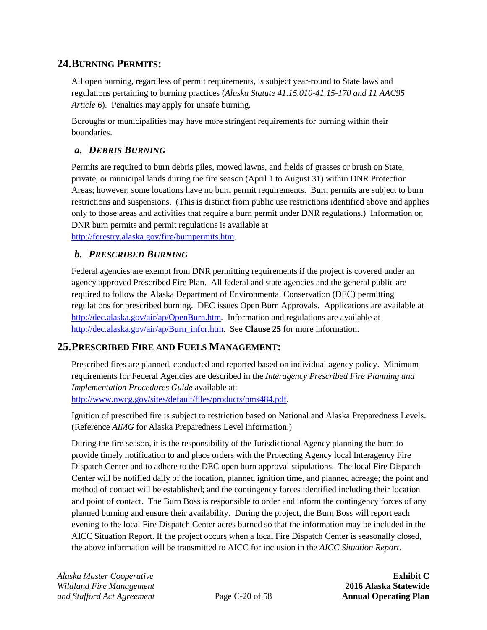## <span id="page-27-0"></span>**24.BURNING PERMITS:**

All open burning, regardless of permit requirements, is subject year-round to State laws and regulations pertaining to burning practices (*Alaska Statute 41.15.010-41.15-170 and 11 AAC95 Article 6*). Penalties may apply for unsafe burning.

Boroughs or municipalities may have more stringent requirements for burning within their boundaries.

### <span id="page-27-1"></span>*a. DEBRIS BURNING*

Permits are required to burn debris piles, mowed lawns, and fields of grasses or brush on State, private, or municipal lands during the fire season (April 1 to August 31) within DNR Protection Areas; however, some locations have no burn permit requirements. Burn permits are subject to burn restrictions and suspensions. (This is distinct from public use restrictions identified above and applies only to those areas and activities that require a burn permit under DNR regulations.) Information on DNR burn permits and permit regulations is available at [http://forestry.alaska.gov/fire/burnpermits.htm.](http://forestry.alaska.gov/fire/burnpermits.htm)

#### <span id="page-27-2"></span>*b. PRESCRIBED BURNING*

Federal agencies are exempt from DNR permitting requirements if the project is covered under an agency approved Prescribed Fire Plan. All federal and state agencies and the general public are required to follow the Alaska Department of Environmental Conservation (DEC) permitting regulations for prescribed burning. DEC issues Open Burn Approvals. Applications are available at [http://dec.alaska.gov/air/ap/OpenBurn.htm.](http://dec.alaska.gov/air/ap/OpenBurn.htm) Information and regulations are available at [http://dec.alaska.gov/air/ap/Burn\\_infor.htm.](http://dec.alaska.gov/air/ap/Burn_infor.htm) See **Clause [25](#page-27-3)** for more information.

## <span id="page-27-3"></span>**25.PRESCRIBED FIRE AND FUELS MANAGEMENT:**

Prescribed fires are planned, conducted and reported based on individual agency policy. Minimum requirements for Federal Agencies are described in the *Interagency Prescribed Fire Planning and Implementation Procedures Guide* available at: [http://www.nwcg.gov/sites/default/files/products/pms484.pdf.](http://www.nwcg.gov/sites/default/files/products/pms484.pdf)

Ignition of prescribed fire is subject to restriction based on National and Alaska Preparedness Levels. (Reference *AIMG* for Alaska Preparedness Level information.)

During the fire season, it is the responsibility of the Jurisdictional Agency planning the burn to provide timely notification to and place orders with the Protecting Agency local Interagency Fire Dispatch Center and to adhere to the DEC open burn approval stipulations. The local Fire Dispatch Center will be notified daily of the location, planned ignition time, and planned acreage; the point and method of contact will be established; and the contingency forces identified including their location and point of contact. The Burn Boss is responsible to order and inform the contingency forces of any planned burning and ensure their availability. During the project, the Burn Boss will report each evening to the local Fire Dispatch Center acres burned so that the information may be included in the AICC Situation Report. If the project occurs when a local Fire Dispatch Center is seasonally closed, the above information will be transmitted to AICC for inclusion in the *AICC Situation Report*.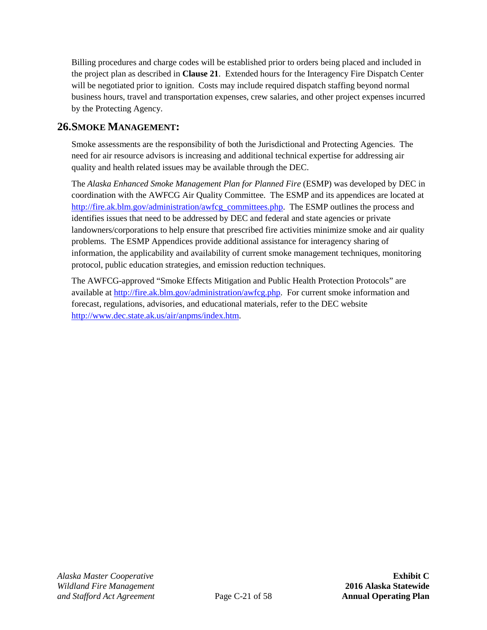Billing procedures and charge codes will be established prior to orders being placed and included in the project plan as described in **Clause [21](#page-26-1)**. Extended hours for the Interagency Fire Dispatch Center will be negotiated prior to ignition. Costs may include required dispatch staffing beyond normal business hours, travel and transportation expenses, crew salaries, and other project expenses incurred by the Protecting Agency.

## <span id="page-28-0"></span>**26.SMOKE MANAGEMENT:**

Smoke assessments are the responsibility of both the Jurisdictional and Protecting Agencies. The need for air resource advisors is increasing and additional technical expertise for addressing air quality and health related issues may be available through the DEC.

The *Alaska Enhanced Smoke Management Plan for Planned Fire* (ESMP) was developed by DEC in coordination with the AWFCG Air Quality Committee. The ESMP and its appendices are located at [http://fire.ak.blm.gov/administration/awfcg\\_committees.php.](http://fire.ak.blm.gov/administration/awfcg_committees.php) The ESMP outlines the process and identifies issues that need to be addressed by DEC and federal and state agencies or private landowners/corporations to help ensure that prescribed fire activities minimize smoke and air quality problems. The ESMP Appendices provide additional assistance for interagency sharing of information, the applicability and availability of current smoke management techniques, monitoring protocol, public education strategies, and emission reduction techniques.

The AWFCG-approved "Smoke Effects Mitigation and Public Health Protection Protocols" are available at [http://fire.ak.blm.gov/administration/awfcg.php.](http://fire.ak.blm.gov/administration/awfcg.php) For current smoke information and forecast, regulations, advisories, and educational materials, refer to the DEC website [http://www.dec.state.ak.us/air/anpms/index.htm.](http://www.dec.state.ak.us/air/anpms/index.htm)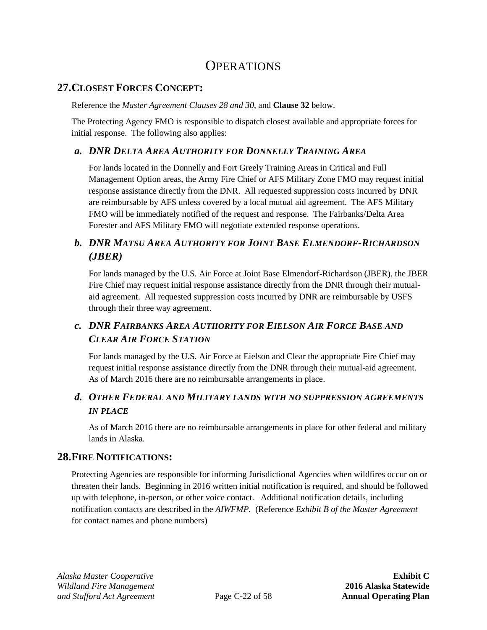## **OPERATIONS**

## <span id="page-29-1"></span><span id="page-29-0"></span>**27.CLOSEST FORCES CONCEPT:**

Reference the *Master Agreement Clauses 28 and 30*, and **Clause [32](#page-30-3)** below.

The Protecting Agency FMO is responsible to dispatch closest available and appropriate forces for initial response. The following also applies:

### <span id="page-29-2"></span>*a. DNR DELTA AREA AUTHORITY FOR DONNELLY TRAINING AREA*

For lands located in the Donnelly and Fort Greely Training Areas in Critical and Full Management Option areas, the Army Fire Chief or AFS Military Zone FMO may request initial response assistance directly from the DNR. All requested suppression costs incurred by DNR are reimbursable by AFS unless covered by a local mutual aid agreement. The AFS Military FMO will be immediately notified of the request and response. The Fairbanks/Delta Area Forester and AFS Military FMO will negotiate extended response operations.

## <span id="page-29-3"></span>*b. DNR MATSU AREA AUTHORITY FOR JOINT BASE ELMENDORF-RICHARDSON (JBER)*

For lands managed by the U.S. Air Force at Joint Base Elmendorf-Richardson (JBER), the JBER Fire Chief may request initial response assistance directly from the DNR through their mutualaid agreement. All requested suppression costs incurred by DNR are reimbursable by USFS through their three way agreement.

## <span id="page-29-4"></span>*c. DNR FAIRBANKS AREA AUTHORITY FOR EIELSON AIR FORCE BASE AND CLEAR AIR FORCE STATION*

For lands managed by the U.S. Air Force at Eielson and Clear the appropriate Fire Chief may request initial response assistance directly from the DNR through their mutual-aid agreement. As of March 2016 there are no reimbursable arrangements in place.

## <span id="page-29-5"></span>*d. OTHER FEDERAL AND MILITARY LANDS WITH NO SUPPRESSION AGREEMENTS IN PLACE*

As of March 2016 there are no reimbursable arrangements in place for other federal and military lands in Alaska.

## <span id="page-29-6"></span>**28.FIRE NOTIFICATIONS:**

Protecting Agencies are responsible for informing Jurisdictional Agencies when wildfires occur on or threaten their lands. Beginning in 2016 written initial notification is required, and should be followed up with telephone, in-person, or other voice contact. Additional notification details, including notification contacts are described in the *AIWFMP.* (Reference *Exhibit B of the Master Agreement* for contact names and phone numbers)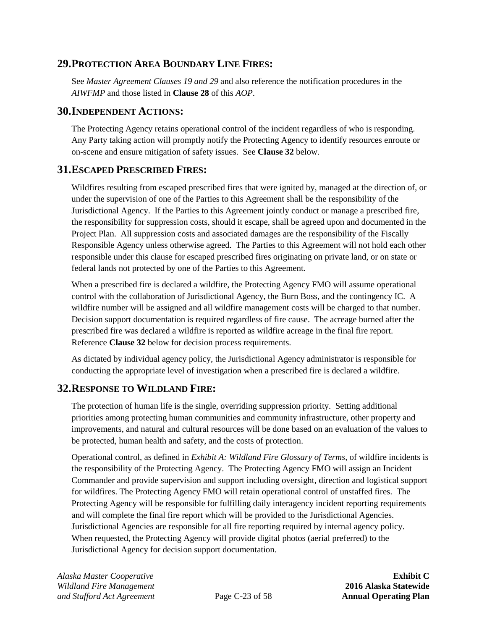### <span id="page-30-0"></span>**29.PROTECTION AREA BOUNDARY LINE FIRES:**

See *Master Agreement Clauses 19 and 29* and also reference the notification procedures in the *AIWFMP* and those listed in **Clause [28](#page-29-6)** of this *AOP*.

### <span id="page-30-1"></span>**30.INDEPENDENT ACTIONS:**

The Protecting Agency retains operational control of the incident regardless of who is responding. Any Party taking action will promptly notify the Protecting Agency to identify resources enroute or on-scene and ensure mitigation of safety issues. See **Clause [32](#page-30-3)** below.

### <span id="page-30-2"></span>**31.ESCAPED PRESCRIBED FIRES:**

Wildfires resulting from escaped prescribed fires that were ignited by, managed at the direction of, or under the supervision of one of the Parties to this Agreement shall be the responsibility of the Jurisdictional Agency. If the Parties to this Agreement jointly conduct or manage a prescribed fire, the responsibility for suppression costs, should it escape, shall be agreed upon and documented in the Project Plan. All suppression costs and associated damages are the responsibility of the Fiscally Responsible Agency unless otherwise agreed. The Parties to this Agreement will not hold each other responsible under this clause for escaped prescribed fires originating on private land, or on state or federal lands not protected by one of the Parties to this Agreement.

When a prescribed fire is declared a wildfire, the Protecting Agency FMO will assume operational control with the collaboration of Jurisdictional Agency, the Burn Boss, and the contingency IC. A wildfire number will be assigned and all wildfire management costs will be charged to that number. Decision support documentation is required regardless of fire cause. The acreage burned after the prescribed fire was declared a wildfire is reported as wildfire acreage in the final fire report. Reference **Clause [32](#page-30-3)** below for decision process requirements.

As dictated by individual agency policy, the Jurisdictional Agency administrator is responsible for conducting the appropriate level of investigation when a prescribed fire is declared a wildfire.

## <span id="page-30-3"></span>**32.RESPONSE TO WILDLAND FIRE:**

The protection of human life is the single, overriding suppression priority. Setting additional priorities among protecting human communities and community infrastructure, other property and improvements, and natural and cultural resources will be done based on an evaluation of the values to be protected, human health and safety, and the costs of protection.

Operational control, as defined in *Exhibit A: Wildland Fire Glossary of Terms*, of wildfire incidents is the responsibility of the Protecting Agency. The Protecting Agency FMO will assign an Incident Commander and provide supervision and support including oversight, direction and logistical support for wildfires. The Protecting Agency FMO will retain operational control of unstaffed fires. The Protecting Agency will be responsible for fulfilling daily interagency incident reporting requirements and will complete the final fire report which will be provided to the Jurisdictional Agencies. Jurisdictional Agencies are responsible for all fire reporting required by internal agency policy. When requested, the Protecting Agency will provide digital photos (aerial preferred) to the Jurisdictional Agency for decision support documentation.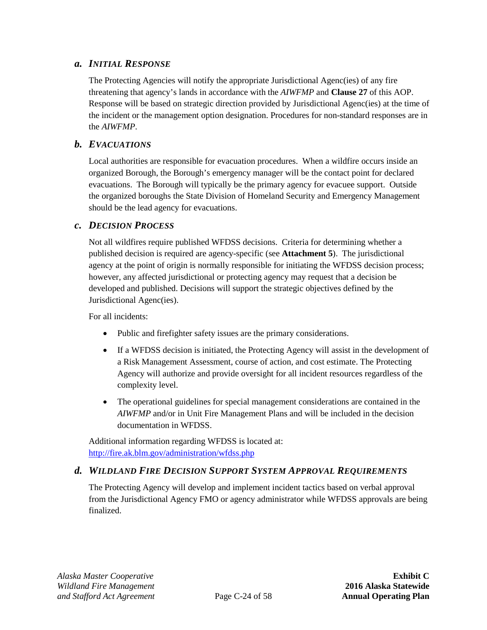#### <span id="page-31-0"></span>*a. INITIAL RESPONSE*

The Protecting Agencies will notify the appropriate Jurisdictional Agenc(ies) of any fire threatening that agency's lands in accordance with the *AIWFMP* and **Clause [27](#page-29-1)** of this AOP. Response will be based on strategic direction provided by Jurisdictional Agenc(ies) at the time of the incident or the management option designation. Procedures for non-standard responses are in the *AIWFMP*.

#### <span id="page-31-1"></span>*b. EVACUATIONS*

Local authorities are responsible for evacuation procedures. When a wildfire occurs inside an organized Borough, the Borough's emergency manager will be the contact point for declared evacuations. The Borough will typically be the primary agency for evacuee support. Outside the organized boroughs the State Division of Homeland Security and Emergency Management should be the lead agency for evacuations.

#### <span id="page-31-2"></span>*c. DECISION PROCESS*

Not all wildfires require published WFDSS decisions. Criteria for determining whether a published decision is required are agency-specific (see **[Attachment 5](#page-78-0)**). The jurisdictional agency at the point of origin is normally responsible for initiating the WFDSS decision process; however, any affected jurisdictional or protecting agency may request that a decision be developed and published. Decisions will support the strategic objectives defined by the Jurisdictional Agenc(ies).

For all incidents:

- Public and firefighter safety issues are the primary considerations.
- If a WFDSS decision is initiated, the Protecting Agency will assist in the development of a Risk Management Assessment, course of action, and cost estimate. The Protecting Agency will authorize and provide oversight for all incident resources regardless of the complexity level.
- The operational guidelines for special management considerations are contained in the *AIWFMP* and/or in Unit Fire Management Plans and will be included in the decision documentation in WFDSS.

Additional information regarding WFDSS is located at: <http://fire.ak.blm.gov/administration/wfdss.php>

#### <span id="page-31-3"></span>*d. WILDLAND FIRE DECISION SUPPORT SYSTEM APPROVAL REQUIREMENTS*

The Protecting Agency will develop and implement incident tactics based on verbal approval from the Jurisdictional Agency FMO or agency administrator while WFDSS approvals are being finalized.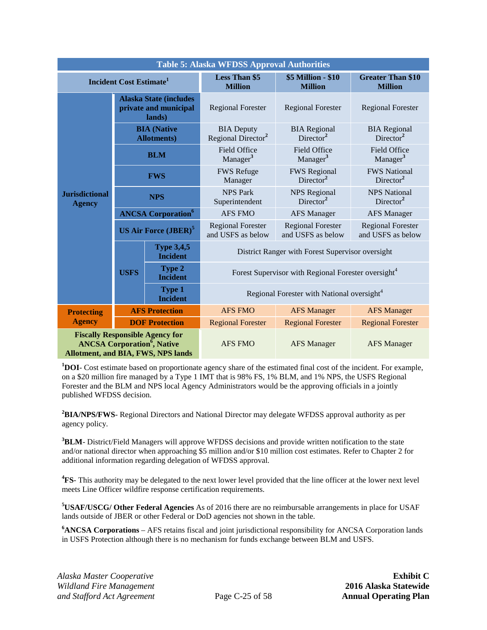<span id="page-32-0"></span>

| <b>Table 5: Alaska WFDSS Approval Authorities</b>                                                                                   |                                                                  |                                        |                                                                 |                                               |                                               |  |
|-------------------------------------------------------------------------------------------------------------------------------------|------------------------------------------------------------------|----------------------------------------|-----------------------------------------------------------------|-----------------------------------------------|-----------------------------------------------|--|
| <b>Incident Cost Estimate</b> <sup>1</sup>                                                                                          |                                                                  | <b>Less Than \$5</b><br><b>Million</b> | \$5 Million - \$10<br><b>Million</b>                            | <b>Greater Than \$10</b><br><b>Million</b>    |                                               |  |
|                                                                                                                                     | <b>Alaska State (includes</b><br>private and municipal<br>lands) |                                        | <b>Regional Forester</b>                                        | <b>Regional Forester</b>                      | <b>Regional Forester</b>                      |  |
| <b>Jurisdictional</b><br><b>Agency</b>                                                                                              | <b>BIA</b> (Native<br><b>Allotments</b> )                        |                                        | <b>BIA</b> Deputy<br>Regional Director <sup>2</sup>             | <b>BIA</b> Regional<br>Director <sup>2</sup>  | <b>BIA</b> Regional<br>Director <sup>2</sup>  |  |
|                                                                                                                                     | <b>BLM</b>                                                       |                                        | <b>Field Office</b><br>Manager <sup>3</sup>                     | Field Office<br>Manager <sup>3</sup>          | <b>Field Office</b><br>Manager <sup>3</sup>   |  |
|                                                                                                                                     | <b>FWS</b>                                                       |                                        | <b>FWS Refuge</b><br>Manager                                    | <b>FWS</b> Regional<br>Director <sup>2</sup>  | <b>FWS National</b><br>Director <sup>2</sup>  |  |
|                                                                                                                                     | <b>NPS</b>                                                       |                                        | <b>NPS Park</b><br>Superintendent                               | <b>NPS</b> Regional<br>Director <sup>2</sup>  | <b>NPS National</b><br>Director <sup>2</sup>  |  |
|                                                                                                                                     | <b>ANCSA Corporation</b> <sup>6</sup>                            |                                        | <b>AFS FMO</b>                                                  | <b>AFS Manager</b>                            | <b>AFS Manager</b>                            |  |
|                                                                                                                                     | <b>US Air Force (JBER)<sup>5</sup></b>                           |                                        | <b>Regional Forester</b><br>and USFS as below                   | <b>Regional Forester</b><br>and USFS as below | <b>Regional Forester</b><br>and USFS as below |  |
|                                                                                                                                     |                                                                  | <b>Type 3,4,5</b><br><b>Incident</b>   | District Ranger with Forest Supervisor oversight                |                                               |                                               |  |
|                                                                                                                                     | <b>USFS</b>                                                      | <b>Type 2</b><br><b>Incident</b>       | Forest Supervisor with Regional Forester oversight <sup>4</sup> |                                               |                                               |  |
|                                                                                                                                     |                                                                  | Type 1<br><b>Incident</b>              | Regional Forester with National oversight <sup>4</sup>          |                                               |                                               |  |
| <b>Protecting</b>                                                                                                                   |                                                                  | <b>AFS Protection</b>                  | <b>AFS FMO</b>                                                  | <b>AFS Manager</b>                            | <b>AFS Manager</b>                            |  |
| <b>Agency</b>                                                                                                                       | <b>DOF Protection</b>                                            |                                        | <b>Regional Forester</b>                                        | <b>Regional Forester</b>                      | <b>Regional Forester</b>                      |  |
| <b>Fiscally Responsible Agency for</b><br><b>ANCSA Corporation<sup>6</sup>, Native</b><br><b>Allotment, and BIA, FWS, NPS lands</b> |                                                                  | <b>AFS FMO</b>                         | <b>AFS Manager</b>                                              | <b>AFS Manager</b>                            |                                               |  |

<sup>1</sup>DOI- Cost estimate based on proportionate agency share of the estimated final cost of the incident. For example, on a \$20 million fire managed by a Type 1 IMT that is 98% FS, 1% BLM, and 1% NPS, the USFS Regional Forester and the BLM and NPS local Agency Administrators would be the approving officials in a jointly published WFDSS decision.

**2 BIA/NPS/FWS**- Regional Directors and National Director may delegate WFDSS approval authority as per agency policy.

**3 BLM**- District/Field Managers will approve WFDSS decisions and provide written notification to the state and/or national director when approaching \$5 million and/or \$10 million cost estimates. Refer to Chapter 2 for additional information regarding delegation of WFDSS approval.

**4 FS**- This authority may be delegated to the next lower level provided that the line officer at the lower next level meets Line Officer wildfire response certification requirements.

**5 USAF/USCG/ Other Federal Agencies** As of 2016 there are no reimbursable arrangements in place for USAF lands outside of JBER or other Federal or DoD agencies not shown in the table.

**6 ANCSA Corporations** – AFS retains fiscal and joint jurisdictional responsibility for ANCSA Corporation lands in USFS Protection although there is no mechanism for funds exchange between BLM and USFS.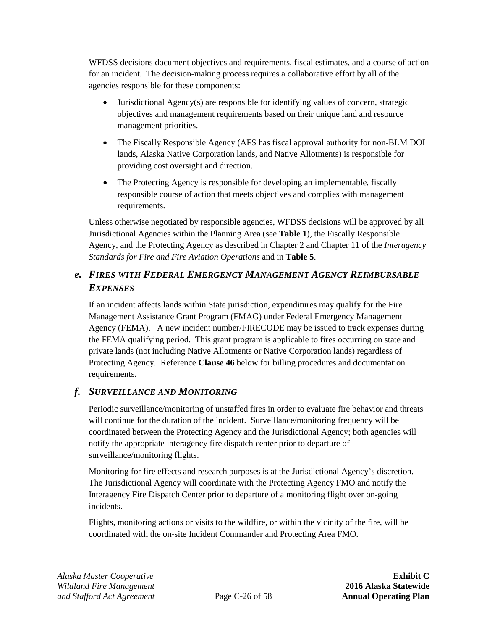WFDSS decisions document objectives and requirements, fiscal estimates, and a course of action for an incident. The decision-making process requires a collaborative effort by all of the agencies responsible for these components:

- Jurisdictional  $Agency(s)$  are responsible for identifying values of concern, strategic objectives and management requirements based on their unique land and resource management priorities.
- The Fiscally Responsible Agency (AFS has fiscal approval authority for non-BLM DOI lands, Alaska Native Corporation lands, and Native Allotments) is responsible for providing cost oversight and direction.
- The Protecting Agency is responsible for developing an implementable, fiscally responsible course of action that meets objectives and complies with management requirements.

Unless otherwise negotiated by responsible agencies, WFDSS decisions will be approved by all Jurisdictional Agencies within the Planning Area (see **[Table 1](#page-11-0)**), the Fiscally Responsible Agency, and the Protecting Agency as described in Chapter 2 and Chapter 11 of the *Interagency Standards for Fire and Fire Aviation Operations* and in **[Table 5](#page-32-0)**.

## <span id="page-33-0"></span>*e. FIRES WITH FEDERAL EMERGENCY MANAGEMENT AGENCY REIMBURSABLE EXPENSES*

If an incident affects lands within State jurisdiction, expenditures may qualify for the Fire Management Assistance Grant Program (FMAG) under Federal Emergency Management Agency (FEMA). A new incident number/FIRECODE may be issued to track expenses during the FEMA qualifying period. This grant program is applicable to fires occurring on state and private lands (not including Native Allotments or Native Corporation lands) regardless of Protecting Agency. Reference **Clause [46](#page-51-0)** below for billing procedures and documentation requirements.

## <span id="page-33-1"></span>*f. SURVEILLANCE AND MONITORING*

Periodic surveillance/monitoring of unstaffed fires in order to evaluate fire behavior and threats will continue for the duration of the incident. Surveillance/monitoring frequency will be coordinated between the Protecting Agency and the Jurisdictional Agency; both agencies will notify the appropriate interagency fire dispatch center prior to departure of surveillance/monitoring flights.

Monitoring for fire effects and research purposes is at the Jurisdictional Agency's discretion. The Jurisdictional Agency will coordinate with the Protecting Agency FMO and notify the Interagency Fire Dispatch Center prior to departure of a monitoring flight over on-going incidents.

Flights, monitoring actions or visits to the wildfire, or within the vicinity of the fire, will be coordinated with the on-site Incident Commander and Protecting Area FMO.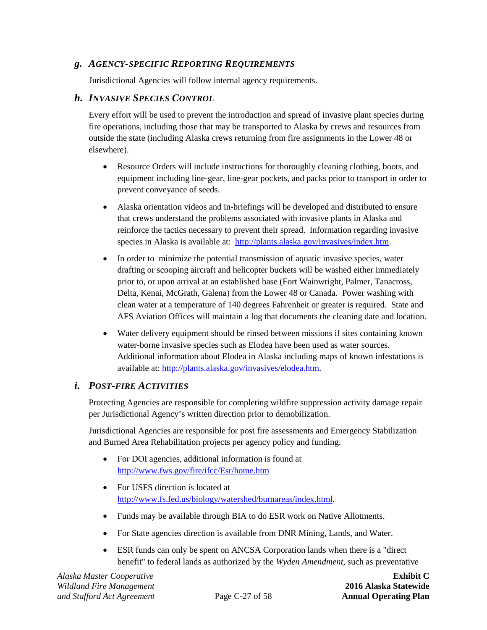#### <span id="page-34-0"></span>*g. AGENCY-SPECIFIC REPORTING REQUIREMENTS*

Jurisdictional Agencies will follow internal agency requirements.

#### <span id="page-34-1"></span>*h. INVASIVE SPECIES CONTROL*

Every effort will be used to prevent the introduction and spread of invasive plant species during fire operations, including those that may be transported to Alaska by crews and resources from outside the state (including Alaska crews returning from fire assignments in the Lower 48 or elsewhere).

- Resource Orders will include instructions for thoroughly cleaning clothing, boots, and equipment including line-gear, line-gear pockets, and packs prior to transport in order to prevent conveyance of seeds.
- Alaska orientation videos and in-briefings will be developed and distributed to ensure that crews understand the problems associated with invasive plants in Alaska and reinforce the tactics necessary to prevent their spread. Information regarding invasive species in Alaska is available at: [http://plants.alaska.gov/invasives/index.htm.](http://plants.alaska.gov/invasives/index.htm)
- In order to minimize the potential transmission of aquatic invasive species, water drafting or scooping aircraft and helicopter buckets will be washed either immediately prior to, or upon arrival at an established base (Fort Wainwright, Palmer, Tanacross, Delta, Kenai, McGrath, Galena) from the Lower 48 or Canada. Power washing with clean water at a temperature of 140 degrees Fahrenheit or greater is required. State and AFS Aviation Offices will maintain a log that documents the cleaning date and location.
- Water delivery equipment should be rinsed between missions if sites containing known water-borne invasive species such as Elodea have been used as water sources. Additional information about Elodea in Alaska including maps of known infestations is available at: [http://plants.alaska.gov/invasives/elodea.htm.](http://plants.alaska.gov/invasives/elodea.htm)

#### <span id="page-34-2"></span>*i. POST-FIRE ACTIVITIES*

Protecting Agencies are responsible for completing wildfire suppression activity damage repair per Jurisdictional Agency's written direction prior to demobilization.

Jurisdictional Agencies are responsible for post fire assessments and Emergency Stabilization and Burned Area Rehabilitation projects per agency policy and funding.

- For DOI agencies, additional information is found at <http://www.fws.gov/fire/ifcc/Esr/home.htm>
- For USFS direction is located at [http://www.fs.fed.us/biology/watershed/burnareas/index.html.](http://www.fs.fed.us/biology/watershed/burnareas/index.html)
- Funds may be available through BIA to do ESR work on Native Allotments.
- For State agencies direction is available from DNR Mining, Lands, and Water.
- ESR funds can only be spent on ANCSA Corporation lands when there is a "direct" benefit" to federal lands as authorized by the *Wyden Amendment,* such as preventative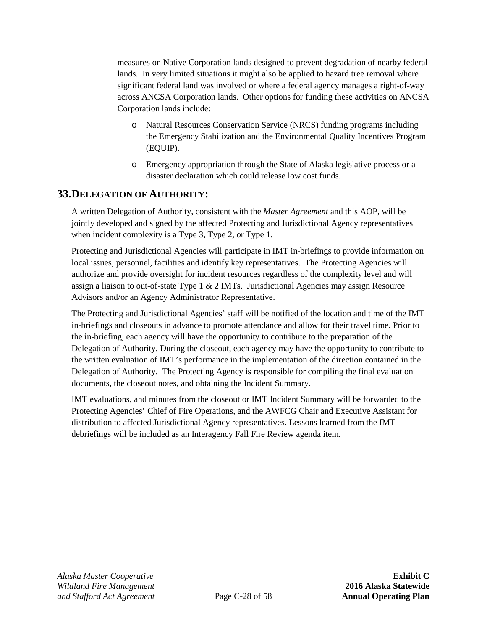measures on Native Corporation lands designed to prevent degradation of nearby federal lands. In very limited situations it might also be applied to hazard tree removal where significant federal land was involved or where a federal agency manages a right-of-way across ANCSA Corporation lands. Other options for funding these activities on ANCSA Corporation lands include:

- o Natural Resources Conservation Service (NRCS) funding programs including the Emergency Stabilization and the Environmental Quality Incentives Program (EQUIP).
- o Emergency appropriation through the State of Alaska legislative process or a disaster declaration which could release low cost funds.

## <span id="page-35-0"></span>**33.DELEGATION OF AUTHORITY:**

A written Delegation of Authority, consistent with the *Master Agreement* and this AOP, will be jointly developed and signed by the affected Protecting and Jurisdictional Agency representatives when incident complexity is a Type 3, Type 2, or Type 1.

Protecting and Jurisdictional Agencies will participate in IMT in-briefings to provide information on local issues, personnel, facilities and identify key representatives. The Protecting Agencies will authorize and provide oversight for incident resources regardless of the complexity level and will assign a liaison to out-of-state Type  $1 \& 2$  IMTs. Jurisdictional Agencies may assign Resource Advisors and/or an Agency Administrator Representative.

The Protecting and Jurisdictional Agencies' staff will be notified of the location and time of the IMT in-briefings and closeouts in advance to promote attendance and allow for their travel time. Prior to the in-briefing, each agency will have the opportunity to contribute to the preparation of the Delegation of Authority. During the closeout, each agency may have the opportunity to contribute to the written evaluation of IMT's performance in the implementation of the direction contained in the Delegation of Authority. The Protecting Agency is responsible for compiling the final evaluation documents, the closeout notes, and obtaining the Incident Summary.

IMT evaluations, and minutes from the closeout or IMT Incident Summary will be forwarded to the Protecting Agencies' Chief of Fire Operations, and the AWFCG Chair and Executive Assistant for distribution to affected Jurisdictional Agency representatives. Lessons learned from the IMT debriefings will be included as an Interagency Fall Fire Review agenda item.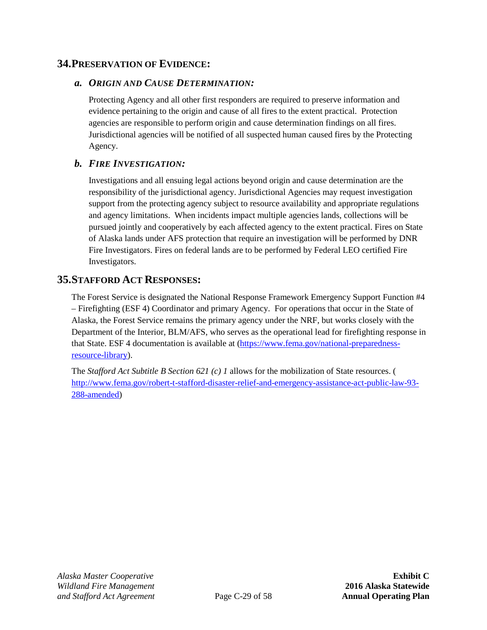### **34.PRESERVATION OF EVIDENCE:**

#### *a. ORIGIN AND CAUSE DETERMINATION:*

Protecting Agency and all other first responders are required to preserve information and evidence pertaining to the origin and cause of all fires to the extent practical. Protection agencies are responsible to perform origin and cause determination findings on all fires. Jurisdictional agencies will be notified of all suspected human caused fires by the Protecting Agency.

### *b. FIRE INVESTIGATION:*

Investigations and all ensuing legal actions beyond origin and cause determination are the responsibility of the jurisdictional agency. Jurisdictional Agencies may request investigation support from the protecting agency subject to resource availability and appropriate regulations and agency limitations. When incidents impact multiple agencies lands, collections will be pursued jointly and cooperatively by each affected agency to the extent practical. Fires on State of Alaska lands under AFS protection that require an investigation will be performed by DNR Fire Investigators. Fires on federal lands are to be performed by Federal LEO certified Fire Investigators.

## **35.STAFFORD ACT RESPONSES:**

The Forest Service is designated the National Response Framework Emergency Support Function #4 – Firefighting (ESF 4) Coordinator and primary Agency. For operations that occur in the State of Alaska, the Forest Service remains the primary agency under the NRF, but works closely with the Department of the Interior, BLM/AFS, who serves as the operational lead for firefighting response in that State. ESF 4 documentation is available at [\(https://www.fema.gov/national-preparedness](https://www.fema.gov/national-preparedness-resource-library)[resource-library\)](https://www.fema.gov/national-preparedness-resource-library).

The *Stafford Act Subtitle B Section 621 (c) 1* allows for the mobilization of State resources. ( [http://www.fema.gov/robert-t-stafford-disaster-relief-and-emergency-assistance-act-public-law-93-](http://www.fema.gov/robert-t-stafford-disaster-relief-and-emergency-assistance-act-public-law-93-288-amended) [288-amended\)](http://www.fema.gov/robert-t-stafford-disaster-relief-and-emergency-assistance-act-public-law-93-288-amended)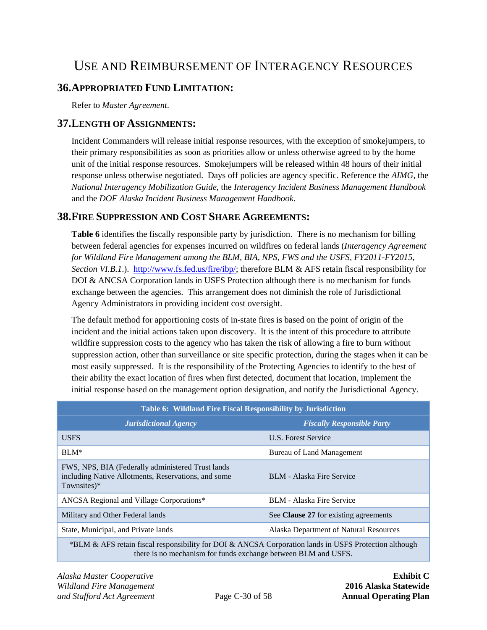# USE AND REIMBURSEMENT OF INTERAGENCY RESOURCES

## **36.APPROPRIATED FUND LIMITATION:**

Refer to *Master Agreement*.

#### <span id="page-37-2"></span>**37.LENGTH OF ASSIGNMENTS:**

Incident Commanders will release initial response resources, with the exception of smokejumpers, to their primary responsibilities as soon as priorities allow or unless otherwise agreed to by the home unit of the initial response resources. Smokejumpers will be released within 48 hours of their initial response unless otherwise negotiated. Days off policies are agency specific. Reference the *AIMG*, the *National Interagency Mobilization Guide*, the *Interagency Incident Business Management Handbook* and the *DOF Alaska Incident Business Management Handbook*.

### <span id="page-37-1"></span>**38.FIRE SUPPRESSION AND COST SHARE AGREEMENTS:**

**[Table 6](#page-37-0)** identifies the fiscally responsible party by jurisdiction. There is no mechanism for billing between federal agencies for expenses incurred on wildfires on federal lands (*Interagency Agreement for Wildland Fire Management among the BLM, BIA, NPS, FWS and the USFS, FY2011-FY2015, Section VI.B.1*.). [http://www.fs.fed.us/fire/ibp/;](http://www.fs.fed.us/fire/ibp/) therefore BLM & AFS retain fiscal responsibility for DOI & ANCSA Corporation lands in USFS Protection although there is no mechanism for funds exchange between the agencies. This arrangement does not diminish the role of Jurisdictional Agency Administrators in providing incident cost oversight.

The default method for apportioning costs of in-state fires is based on the point of origin of the incident and the initial actions taken upon discovery. It is the intent of this procedure to attribute wildfire suppression costs to the agency who has taken the risk of allowing a fire to burn without suppression action, other than surveillance or site specific protection, during the stages when it can be most easily suppressed. It is the responsibility of the Protecting Agencies to identify to the best of their ability the exact location of fires when first detected, document that location, implement the initial response based on the management option designation, and notify the Jurisdictional Agency.

<span id="page-37-0"></span>

| Table 6: Wildland Fire Fiscal Responsibility by Jurisdiction                                                             |                                        |  |
|--------------------------------------------------------------------------------------------------------------------------|----------------------------------------|--|
| <b>Jurisdictional Agency</b>                                                                                             | <b>Fiscally Responsible Party</b>      |  |
| <b>USFS</b>                                                                                                              | U.S. Forest Service                    |  |
| $BLM*$                                                                                                                   | Bureau of Land Management              |  |
| FWS, NPS, BIA (Federally administered Trust lands)<br>including Native Allotments, Reservations, and some<br>Townsites)* | <b>BLM</b> - Alaska Fire Service       |  |
| ANCSA Regional and Village Corporations*                                                                                 | BLM - Alaska Fire Service              |  |
| Military and Other Federal lands                                                                                         | See Clause 27 for existing agreements  |  |
| State, Municipal, and Private lands                                                                                      | Alaska Department of Natural Resources |  |
| *BLM & AFS retain fiscal responsibility for DOI & ANCSA Corporation lands in USFS Protection although                    |                                        |  |

there is no mechanism for funds exchange between BLM and USFS.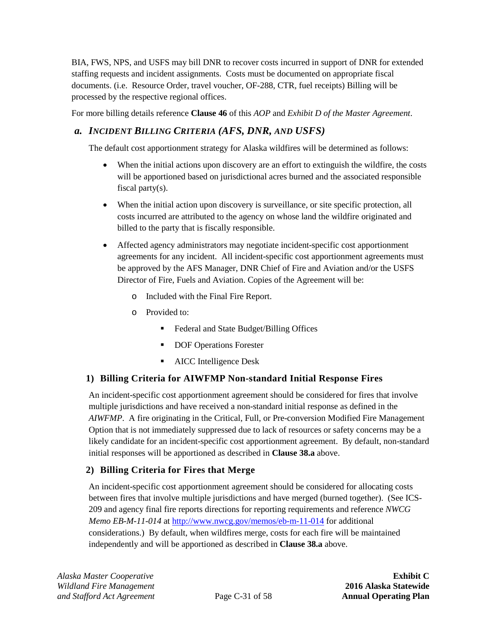BIA, FWS, NPS, and USFS may bill DNR to recover costs incurred in support of DNR for extended staffing requests and incident assignments. Costs must be documented on appropriate fiscal documents. (i.e. Resource Order, travel voucher, OF-288, CTR, fuel receipts) Billing will be processed by the respective regional offices.

For more billing details reference **Clause [46](#page-51-0)** of this *AOP* and *Exhibit D of the Master Agreement*.

## <span id="page-38-0"></span>*a. INCIDENT BILLING CRITERIA (AFS, DNR, AND USFS)*

The default cost apportionment strategy for Alaska wildfires will be determined as follows:

- When the initial actions upon discovery are an effort to extinguish the wildfire, the costs will be apportioned based on jurisdictional acres burned and the associated responsible fiscal party(s).
- When the initial action upon discovery is surveillance, or site specific protection, all costs incurred are attributed to the agency on whose land the wildfire originated and billed to the party that is fiscally responsible.
- Affected agency administrators may negotiate incident-specific cost apportionment agreements for any incident. All incident-specific cost apportionment agreements must be approved by the AFS Manager, DNR Chief of Fire and Aviation and/or the USFS Director of Fire, Fuels and Aviation. Copies of the Agreement will be:
	- o Included with the Final Fire Report.
	- o Provided to:
		- Federal and State Budget/Billing Offices
		- **DOF Operations Forester**
		- AICC Intelligence Desk

## <span id="page-38-1"></span>**1) Billing Criteria for AIWFMP Non-standard Initial Response Fires**

An incident-specific cost apportionment agreement should be considered for fires that involve multiple jurisdictions and have received a non-standard initial response as defined in the *AIWFMP*. A fire originating in the Critical, Full, or Pre-conversion Modified Fire Management Option that is not immediately suppressed due to lack of resources or safety concerns may be a likely candidate for an incident-specific cost apportionment agreement. By default, non-standard initial responses will be apportioned as described in **Clause [38.a](#page-38-0)** above.

## <span id="page-38-2"></span>**2) Billing Criteria for Fires that Merge**

An incident-specific cost apportionment agreement should be considered for allocating costs between fires that involve multiple jurisdictions and have merged (burned together). (See ICS-209 and agency final fire reports directions for reporting requirements and reference *NWCG Memo EB-M-11-014* at<http://www.nwcg.gov/memos/eb-m-11-014> for additional considerations.) By default, when wildfires merge, costs for each fire will be maintained independently and will be apportioned as described in **Clause [38.a](#page-38-0)** above.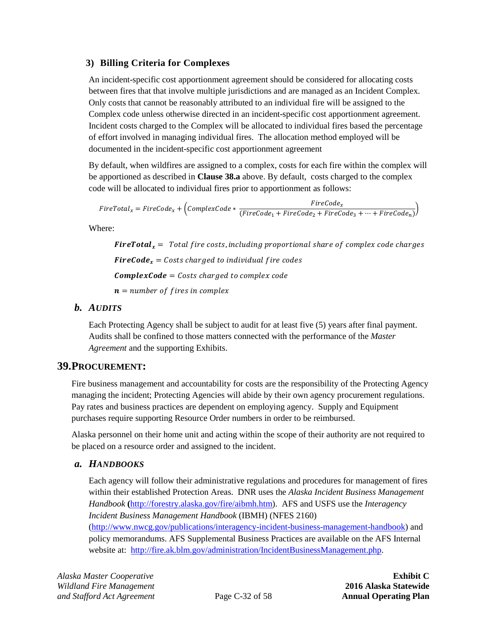## <span id="page-39-0"></span>**3) Billing Criteria for Complexes**

An incident-specific cost apportionment agreement should be considered for allocating costs between fires that that involve multiple jurisdictions and are managed as an Incident Complex. Only costs that cannot be reasonably attributed to an individual fire will be assigned to the Complex code unless otherwise directed in an incident-specific cost apportionment agreement. Incident costs charged to the Complex will be allocated to individual fires based the percentage of effort involved in managing individual fires. The allocation method employed will be documented in the incident-specific cost apportionment agreement

By default, when wildfires are assigned to a complex, costs for each fire within the complex will be apportioned as described in **Claus[e 38.a](#page-38-0)** above. By default, costs charged to the complex code will be allocated to individual fires prior to apportionment as follows:

$$
FireTotal_x = FireCode_x + (ComplexCode * \frac{FireCode_x}{(FireCode_1 + FireCode_2 + FireCode_3 + \dots + FireCode_n)})
$$

Where:

**FireTotal**<sub>x</sub> = Total fire costs, including proportional share of complex code charges **FireCode**<sub>x</sub> = Costs charged to individual fire codes  $CompleteCode = Costs$  charged to complex code  $n = number of fires in complex$ 

## *b. AUDITS*

Each Protecting Agency shall be subject to audit for at least five (5) years after final payment. Audits shall be confined to those matters connected with the performance of the *Master Agreement* and the supporting Exhibits.

## **39.PROCUREMENT:**

Fire business management and accountability for costs are the responsibility of the Protecting Agency managing the incident; Protecting Agencies will abide by their own agency procurement regulations. Pay rates and business practices are dependent on employing agency. Supply and Equipment purchases require supporting Resource Order numbers in order to be reimbursed.

Alaska personnel on their home unit and acting within the scope of their authority are not required to be placed on a resource order and assigned to the incident.

## *a. HANDBOOKS*

Each agency will follow their administrative regulations and procedures for management of fires within their established Protection Areas. DNR uses the *Alaska Incident Business Management Handbook* **(**[http://forestry.alaska.gov/fire/aibmh.htm\)](http://forestry.alaska.gov/fire/aibmh.htm). AFS and USFS use the *Interagency Incident Business Management Handbook* (IBMH) (NFES 2160) [\(http://www.nwcg.gov/publications/interagency-incident-business-management-handbook\)](http://www.nwcg.gov/publications/interagency-incident-business-management-handbook) and policy memorandums. AFS Supplemental Business Practices are available on the AFS Internal website at: [http://fire.ak.blm.gov/administration/IncidentBusinessManagement.php.](http://fire.ak.blm.gov/administration/IncidentBusinessManagement.php)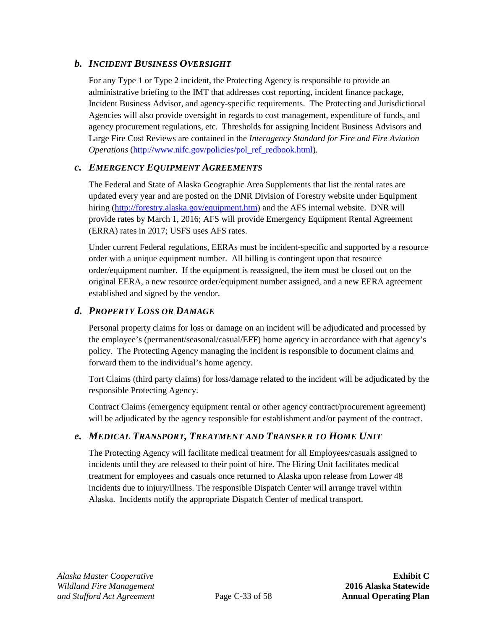## *b. INCIDENT BUSINESS OVERSIGHT*

For any Type 1 or Type 2 incident, the Protecting Agency is responsible to provide an administrative briefing to the IMT that addresses cost reporting, incident finance package, Incident Business Advisor, and agency-specific requirements. The Protecting and Jurisdictional Agencies will also provide oversight in regards to cost management, expenditure of funds, and agency procurement regulations, etc. Thresholds for assigning Incident Business Advisors and Large Fire Cost Reviews are contained in the *Interagency Standard for Fire and Fire Aviation Operations* [\(http://www.nifc.gov/policies/pol\\_ref\\_redbook.html\)](http://www.nifc.gov/policies/pol_ref_redbook.html)*.*

#### <span id="page-40-0"></span>*c. EMERGENCY EQUIPMENT AGREEMENTS*

The Federal and State of Alaska Geographic Area Supplements that list the rental rates are updated every year and are posted on the DNR Division of Forestry website under Equipment hiring [\(http://forestry.alaska.gov/equipment.htm\)](http://forestry.alaska.gov/equipment.htm) and the AFS internal website. DNR will provide rates by March 1, 2016; AFS will provide Emergency Equipment Rental Agreement (ERRA) rates in 2017; USFS uses AFS rates.

Under current Federal regulations, EERAs must be incident-specific and supported by a resource order with a unique equipment number. All billing is contingent upon that resource order/equipment number. If the equipment is reassigned, the item must be closed out on the original EERA, a new resource order/equipment number assigned, and a new EERA agreement established and signed by the vendor.

## *d. PROPERTY LOSS OR DAMAGE*

Personal property claims for loss or damage on an incident will be adjudicated and processed by the employee's (permanent/seasonal/casual/EFF) home agency in accordance with that agency's policy. The Protecting Agency managing the incident is responsible to document claims and forward them to the individual's home agency.

Tort Claims (third party claims) for loss/damage related to the incident will be adjudicated by the responsible Protecting Agency.

Contract Claims (emergency equipment rental or other agency contract/procurement agreement) will be adjudicated by the agency responsible for establishment and/or payment of the contract.

### *e. MEDICAL TRANSPORT, TREATMENT AND TRANSFER TO HOME UNIT*

The Protecting Agency will facilitate medical treatment for all Employees/casuals assigned to incidents until they are released to their point of hire. The Hiring Unit facilitates medical treatment for employees and casuals once returned to Alaska upon release from Lower 48 incidents due to injury/illness. The responsible Dispatch Center will arrange travel within Alaska. Incidents notify the appropriate Dispatch Center of medical transport.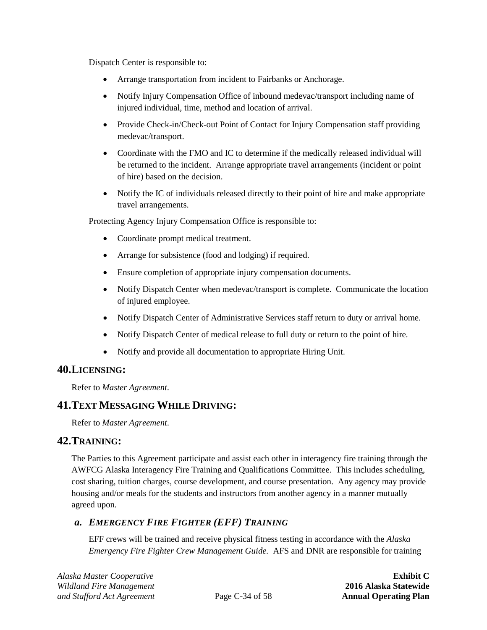Dispatch Center is responsible to:

- Arrange transportation from incident to Fairbanks or Anchorage.
- Notify Injury Compensation Office of inbound medevac/transport including name of injured individual, time, method and location of arrival.
- Provide Check-in/Check-out Point of Contact for Injury Compensation staff providing medevac/transport.
- Coordinate with the FMO and IC to determine if the medically released individual will be returned to the incident. Arrange appropriate travel arrangements (incident or point of hire) based on the decision.
- Notify the IC of individuals released directly to their point of hire and make appropriate travel arrangements.

Protecting Agency Injury Compensation Office is responsible to:

- Coordinate prompt medical treatment.
- Arrange for subsistence (food and lodging) if required.
- Ensure completion of appropriate injury compensation documents.
- Notify Dispatch Center when medevac/transport is complete. Communicate the location of injured employee.
- Notify Dispatch Center of Administrative Services staff return to duty or arrival home.
- Notify Dispatch Center of medical release to full duty or return to the point of hire.
- Notify and provide all documentation to appropriate Hiring Unit.

### **40.LICENSING:**

Refer to *Master Agreement*.

## **41.TEXT MESSAGING WHILE DRIVING:**

Refer to *Master Agreement*.

### **42.TRAINING:**

The Parties to this Agreement participate and assist each other in interagency fire training through the AWFCG Alaska Interagency Fire Training and Qualifications Committee. This includes scheduling, cost sharing, tuition charges, course development, and course presentation. Any agency may provide housing and/or meals for the students and instructors from another agency in a manner mutually agreed upon.

### <span id="page-41-0"></span>*a. EMERGENCY FIRE FIGHTER (EFF) TRAINING*

EFF crews will be trained and receive physical fitness testing in accordance with the *Alaska Emergency Fire Fighter Crew Management Guide.* AFS and DNR are responsible for training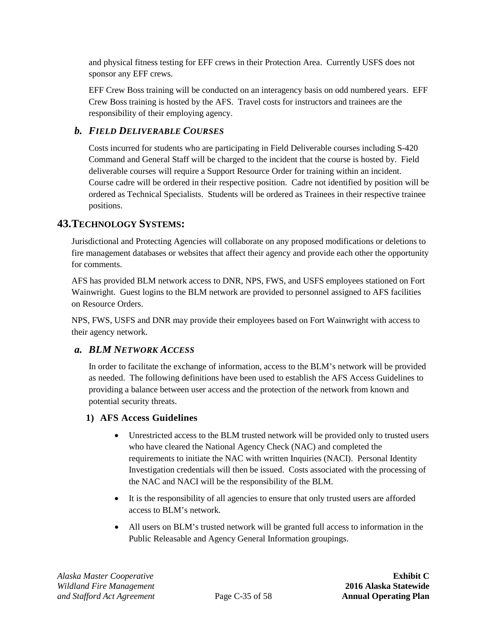and physical fitness testing for EFF crews in their Protection Area. Currently USFS does not sponsor any EFF crews.

EFF Crew Boss training will be conducted on an interagency basis on odd numbered years. EFF Crew Boss training is hosted by the AFS. Travel costs for instructors and trainees are the responsibility of their employing agency.

## <span id="page-42-0"></span>*b. FIELD DELIVERABLE COURSES*

Costs incurred for students who are participating in Field Deliverable courses including S-420 Command and General Staff will be charged to the incident that the course is hosted by. Field deliverable courses will require a Support Resource Order for training within an incident. Course cadre will be ordered in their respective position. Cadre not identified by position will be ordered as Technical Specialists. Students will be ordered as Trainees in their respective trainee positions.

## <span id="page-42-1"></span>**43.TECHNOLOGY SYSTEMS:**

Jurisdictional and Protecting Agencies will collaborate on any proposed modifications or deletions to fire management databases or websites that affect their agency and provide each other the opportunity for comments.

AFS has provided BLM network access to DNR, NPS, FWS, and USFS employees stationed on Fort Wainwright. Guest logins to the BLM network are provided to personnel assigned to AFS facilities on Resource Orders.

NPS, FWS, USFS and DNR may provide their employees based on Fort Wainwright with access to their agency network.

### <span id="page-42-2"></span>*a. BLM NETWORK ACCESS*

In order to facilitate the exchange of information, access to the BLM's network will be provided as needed. The following definitions have been used to establish the AFS Access Guidelines to providing a balance between user access and the protection of the network from known and potential security threats.

### **1) AFS Access Guidelines**

- Unrestricted access to the BLM trusted network will be provided only to trusted users who have cleared the National Agency Check (NAC) and completed the requirements to initiate the NAC with written Inquiries (NACI). Personal Identity Investigation credentials will then be issued. Costs associated with the processing of the NAC and NACI will be the responsibility of the BLM.
- It is the responsibility of all agencies to ensure that only trusted users are afforded access to BLM's network.
- All users on BLM's trusted network will be granted full access to information in the Public Releasable and Agency General Information groupings.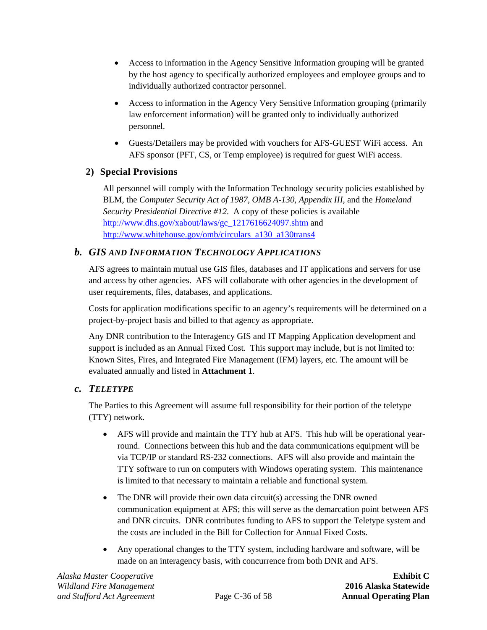- Access to information in the Agency Sensitive Information grouping will be granted by the host agency to specifically authorized employees and employee groups and to individually authorized contractor personnel.
- Access to information in the Agency Very Sensitive Information grouping (primarily law enforcement information) will be granted only to individually authorized personnel.
- Guests/Detailers may be provided with vouchers for AFS-GUEST WiFi access. An AFS sponsor (PFT, CS, or Temp employee) is required for guest WiFi access.

## **2) Special Provisions**

All personnel will comply with the Information Technology security policies established by BLM, the *Computer Security Act of 1987, OMB A-130, Appendix III*, and the *Homeland Security Presidential Directive #12.* A copy of these policies is available [http://www.dhs.gov/xabout/laws/gc\\_1217616624097.shtm](http://www.dhs.gov/xabout/laws/gc_1217616624097.shtm) and [http://www.whitehouse.gov/omb/circulars\\_a130\\_a130trans4](http://www.whitehouse.gov/omb/circulars_a130_a130trans4)

## <span id="page-43-0"></span>*b. GIS AND INFORMATION TECHNOLOGY APPLICATIONS*

AFS agrees to maintain mutual use GIS files, databases and IT applications and servers for use and access by other agencies. AFS will collaborate with other agencies in the development of user requirements, files, databases, and applications.

Costs for application modifications specific to an agency's requirements will be determined on a project-by-project basis and billed to that agency as appropriate.

Any DNR contribution to the Interagency GIS and IT Mapping Application development and support is included as an Annual Fixed Cost. This support may include, but is not limited to: Known Sites, Fires, and Integrated Fire Management (IFM) layers, etc. The amount will be evaluated annually and listed in **[Attachment 1](#page-66-0)**.

### <span id="page-43-1"></span>*c. TELETYPE*

The Parties to this Agreement will assume full responsibility for their portion of the teletype (TTY) network.

- AFS will provide and maintain the TTY hub at AFS. This hub will be operational yearround. Connections between this hub and the data communications equipment will be via TCP/IP or standard RS-232 connections. AFS will also provide and maintain the TTY software to run on computers with Windows operating system. This maintenance is limited to that necessary to maintain a reliable and functional system.
- The DNR will provide their own data circuit(s) accessing the DNR owned communication equipment at AFS; this will serve as the demarcation point between AFS and DNR circuits. DNR contributes funding to AFS to support the Teletype system and the costs are included in the Bill for Collection for Annual Fixed Costs.
- Any operational changes to the TTY system, including hardware and software, will be made on an interagency basis, with concurrence from both DNR and AFS.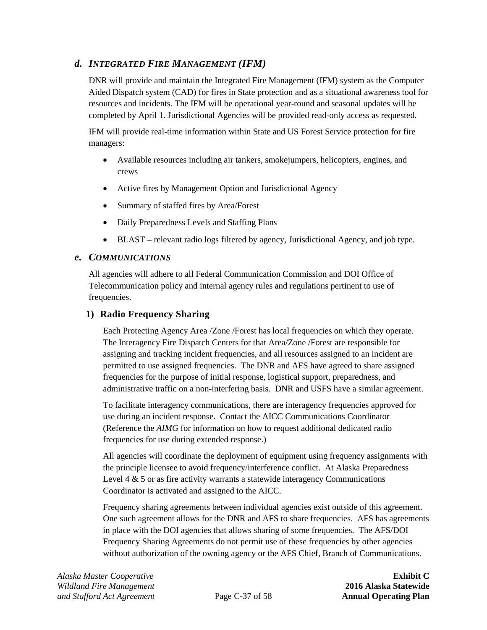## *d. INTEGRATED FIRE MANAGEMENT (IFM)*

DNR will provide and maintain the Integrated Fire Management (IFM) system as the Computer Aided Dispatch system (CAD) for fires in State protection and as a situational awareness tool for resources and incidents. The IFM will be operational year-round and seasonal updates will be completed by April 1. Jurisdictional Agencies will be provided read-only access as requested.

IFM will provide real-time information within State and US Forest Service protection for fire managers:

- Available resources including air tankers, smokejumpers, helicopters, engines, and crews
- Active fires by Management Option and Jurisdictional Agency
- Summary of staffed fires by Area/Forest
- Daily Preparedness Levels and Staffing Plans
- BLAST relevant radio logs filtered by agency, Jurisdictional Agency, and job type.

#### <span id="page-44-0"></span>*e. COMMUNICATIONS*

All agencies will adhere to all Federal Communication Commission and DOI Office of Telecommunication policy and internal agency rules and regulations pertinent to use of frequencies.

#### **1) Radio Frequency Sharing**

Each Protecting Agency Area /Zone /Forest has local frequencies on which they operate. The Interagency Fire Dispatch Centers for that Area/Zone /Forest are responsible for assigning and tracking incident frequencies, and all resources assigned to an incident are permitted to use assigned frequencies. The DNR and AFS have agreed to share assigned frequencies for the purpose of initial response, logistical support, preparedness, and administrative traffic on a non-interfering basis. DNR and USFS have a similar agreement.

To facilitate interagency communications, there are interagency frequencies approved for use during an incident response. Contact the AICC Communications Coordinator (Reference the *AIMG* for information on how to request additional dedicated radio frequencies for use during extended response.)

All agencies will coordinate the deployment of equipment using frequency assignments with the principle licensee to avoid frequency/interference conflict. At Alaska Preparedness Level  $4 \& 5$  or as fire activity warrants a statewide interagency Communications Coordinator is activated and assigned to the AICC.

Frequency sharing agreements between individual agencies exist outside of this agreement. One such agreement allows for the DNR and AFS to share frequencies. AFS has agreements in place with the DOI agencies that allows sharing of some frequencies. The AFS/DOI Frequency Sharing Agreements do not permit use of these frequencies by other agencies without authorization of the owning agency or the AFS Chief, Branch of Communications.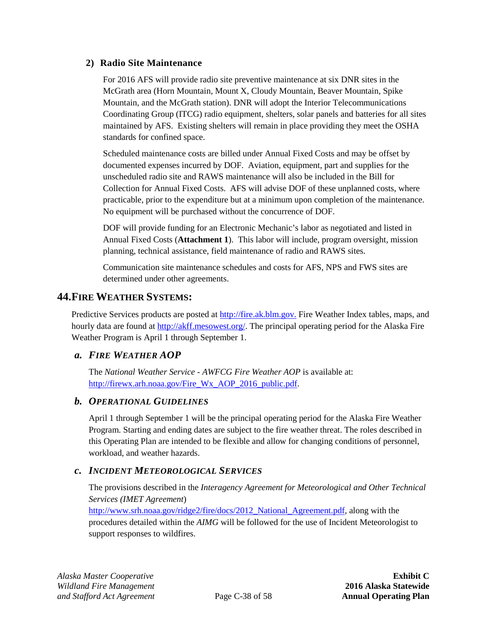#### <span id="page-45-0"></span>**2) Radio Site Maintenance**

For 2016 AFS will provide radio site preventive maintenance at six DNR sites in the McGrath area (Horn Mountain, Mount X, Cloudy Mountain, Beaver Mountain, Spike Mountain, and the McGrath station). DNR will adopt the Interior Telecommunications Coordinating Group (ITCG) radio equipment, shelters, solar panels and batteries for all sites maintained by AFS. Existing shelters will remain in place providing they meet the OSHA standards for confined space.

Scheduled maintenance costs are billed under Annual Fixed Costs and may be offset by documented expenses incurred by DOF. Aviation, equipment, part and supplies for the unscheduled radio site and RAWS maintenance will also be included in the Bill for Collection for Annual Fixed Costs. AFS will advise DOF of these unplanned costs, where practicable, prior to the expenditure but at a minimum upon completion of the maintenance. No equipment will be purchased without the concurrence of DOF.

DOF will provide funding for an Electronic Mechanic's labor as negotiated and listed in Annual Fixed Costs (**[Attachment 1](#page-66-0)**). This labor will include, program oversight, mission planning, technical assistance, field maintenance of radio and RAWS sites.

Communication site maintenance schedules and costs for AFS, NPS and FWS sites are determined under other agreements.

## **44.FIRE WEATHER SYSTEMS:**

Predictive Services products are posted at [http://fire.ak.blm.gov.](http://fire.ak.blm.gov/) Fire Weather Index tables, maps, and hourly data are found at [http://akff.mesowest.org/.](http://akff.mesowest.org/) The principal operating period for the Alaska Fire Weather Program is April 1 through September 1.

### <span id="page-45-2"></span>*a. FIRE WEATHER AOP*

The *National Weather Service - AWFCG Fire Weather AOP* is available at: [http://firewx.arh.noaa.gov/Fire\\_Wx\\_AOP\\_2016\\_public.pdf.](http://firewx.arh.noaa.gov/Fire_Wx_AOP_2016_public.pdf)

#### *b. OPERATIONAL GUIDELINES*

April 1 through September 1 will be the principal operating period for the Alaska Fire Weather Program. Starting and ending dates are subject to the fire weather threat. The roles described in this Operating Plan are intended to be flexible and allow for changing conditions of personnel, workload, and weather hazards.

### <span id="page-45-1"></span>*c. INCIDENT METEOROLOGICAL SERVICES*

The provisions described in the *Interagency Agreement for Meteorological and Other Technical Services (IMET Agreement*)

[http://www.srh.noaa.gov/ridge2/fire/docs/2012\\_National\\_Agreement.pdf,](http://www.srh.noaa.gov/ridge2/fire/docs/2012_National_Agreement.pdf) along with the procedures detailed within the *AIMG* will be followed for the use of Incident Meteorologist to support responses to wildfires.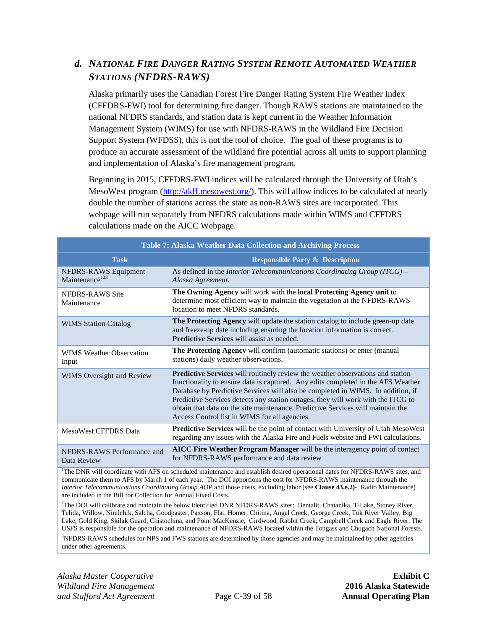## <span id="page-46-1"></span>*d. NATIONAL FIRE DANGER RATING SYSTEM REMOTE AUTOMATED WEATHER STATIONS (NFDRS-RAWS)*

Alaska primarily uses the Canadian Forest Fire Danger Rating System Fire Weather Index (CFFDRS-FWI) tool for determining fire danger. Though RAWS stations are maintained to the national NFDRS standards, and station data is kept current in the Weather Information Management System (WIMS) for use with NFDRS-RAWS in the Wildland Fire Decision Support System (WFDSS), this is not the tool of choice. The goal of these programs is to produce an accurate assessment of the wildland fire potential across all units to support planning and implementation of Alaska's fire management program.

Beginning in 2015, CFFDRS-FWI indices will be calculated through the University of Utah's MesoWest program [\(http://akff.mesowest.org/\)](http://akff.mesowest.org/). This will allow indices to be calculated at nearly double the number of stations across the state as non-RAWS sites are incorporated. This webpage will run separately from NFDRS calculations made within WIMS and CFFDRS calculations made on the AICC Webpage.

<span id="page-46-0"></span>

| <b>Table 7: Alaska Weather Data Collection and Archiving Process</b>                                                                                                                                                                                            |                                                                                                                                                                                                                                                                                                                                                                                                                                                                               |  |
|-----------------------------------------------------------------------------------------------------------------------------------------------------------------------------------------------------------------------------------------------------------------|-------------------------------------------------------------------------------------------------------------------------------------------------------------------------------------------------------------------------------------------------------------------------------------------------------------------------------------------------------------------------------------------------------------------------------------------------------------------------------|--|
| <b>Task</b>                                                                                                                                                                                                                                                     | <b>Responsible Party &amp; Description</b>                                                                                                                                                                                                                                                                                                                                                                                                                                    |  |
| NFDRS-RAWS Equipment<br>Maintenance <sup>123</sup>                                                                                                                                                                                                              | As defined in the Interior Telecommunications Coordinating Group $(TCG)$ –<br>Alaska Agreement.                                                                                                                                                                                                                                                                                                                                                                               |  |
| NFDRS-RAWS Site<br>Maintenance                                                                                                                                                                                                                                  | The Owning Agency will work with the local Protecting Agency unit to<br>determine most efficient way to maintain the vegetation at the NFDRS-RAWS<br>location to meet NFDRS standards.                                                                                                                                                                                                                                                                                        |  |
| <b>WIMS Station Catalog</b>                                                                                                                                                                                                                                     | The Protecting Agency will update the station catalog to include green-up date<br>and freeze-up date including ensuring the location information is correct.<br><b>Predictive Services</b> will assist as needed.                                                                                                                                                                                                                                                             |  |
| <b>WIMS Weather Observation</b><br>Input                                                                                                                                                                                                                        | The Protecting Agency will confirm (automatic stations) or enter (manual<br>stations) daily weather observations.                                                                                                                                                                                                                                                                                                                                                             |  |
| <b>WIMS</b> Oversight and Review                                                                                                                                                                                                                                | Predictive Services will routinely review the weather observations and station<br>functionality to ensure data is captured. Any edits completed in the AFS Weather<br>Database by Predictive Services will also be completed in WIMS. In addition, if<br>Predictive Services detects any station outages, they will work with the ITCG to<br>obtain that data on the site maintenance. Predictive Services will maintain the<br>Access Control list in WIMS for all agencies. |  |
| MesoWest CFFDRS Data                                                                                                                                                                                                                                            | <b>Predictive Services</b> will be the point of contact with University of Utah MesoWest<br>regarding any issues with the Alaska Fire and Fuels website and FWI calculations.                                                                                                                                                                                                                                                                                                 |  |
| NFDRS-RAWS Performance and<br>Data Review                                                                                                                                                                                                                       | AICC Fire Weather Program Manager will be the interagency point of contact<br>for NFDRS-RAWS performance and data review                                                                                                                                                                                                                                                                                                                                                      |  |
| <sup>1</sup> The DNR will coordinate with AFS on scheduled maintenance and establish desired operational dates for NFDRS-RAWS sites, and<br>communicate them to AFS by March 1 of each year. The DOI apportions the cost for NFDRS-RAWS maintenance through the |                                                                                                                                                                                                                                                                                                                                                                                                                                                                               |  |

*Interior Telecommunications Coordinating Group AOP* and those costs, excluding labor (see **Clause [43.e.2\)](#page-45-0)**- Radio Maintenance) are included in the Bill for Collection for Annual Fixed Costs.

2 The DOI will calibrate and maintain the below identified DNR NFDRS-RAWS sites: Bentalit, Chatanika, T-Lake, Stoney River, Telida, Willow, Ninilchik, Salcha, Goodpaster, Paxson, Flat, Homer, Chitina, Angel Creek, George Creek, Tok River Valley, Big Lake, Gold King, Skilak Guard, Chistochina, and Point MacKenzie, Girdwood, Rabbit Creek, Campbell Creek and Eagle River. The USFS is responsible for the operation and maintenance of NFDRS-RAWS located within the Tongass and Chugach National Forests. <sup>3</sup>NFDRS-RAWS schedules for NPS and FWS stations are determined by those agencies and may be maintained by other agencies

under other agreements.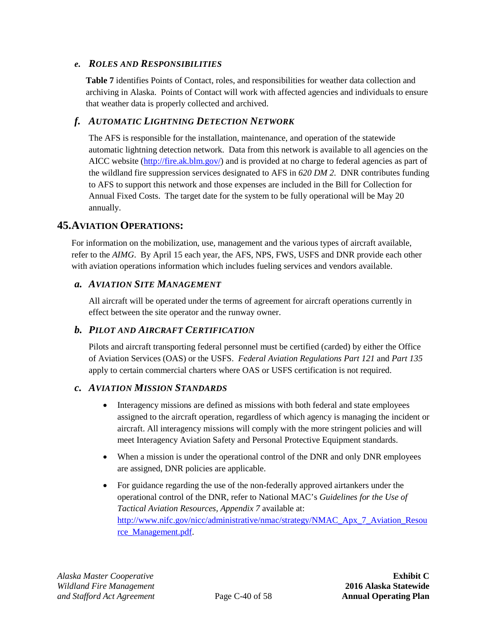#### *e. ROLES AND RESPONSIBILITIES*

**[Table 7](#page-46-0)** identifies Points of Contact, roles, and responsibilities for weather data collection and archiving in Alaska. Points of Contact will work with affected agencies and individuals to ensure that weather data is properly collected and archived.

#### <span id="page-47-0"></span>*f. AUTOMATIC LIGHTNING DETECTION NETWORK*

The AFS is responsible for the installation, maintenance, and operation of the statewide automatic lightning detection network. Data from this network is available to all agencies on the AICC website [\(http://fire.ak.blm.gov/\)](http://fire.ak.blm.gov/) and is provided at no charge to federal agencies as part of the wildland fire suppression services designated to AFS in *620 DM 2*. DNR contributes funding to AFS to support this network and those expenses are included in the Bill for Collection for Annual Fixed Costs. The target date for the system to be fully operational will be May 20 annually.

### <span id="page-47-1"></span>**45.AVIATION OPERATIONS:**

For information on the mobilization, use, management and the various types of aircraft available, refer to the *AIMG*. By April 15 each year, the AFS, NPS, FWS, USFS and DNR provide each other with aviation operations information which includes fueling services and vendors available.

#### *a. AVIATION SITE MANAGEMENT*

All aircraft will be operated under the terms of agreement for aircraft operations currently in effect between the site operator and the runway owner.

#### *b. PILOT AND AIRCRAFT CERTIFICATION*

Pilots and aircraft transporting federal personnel must be certified (carded) by either the Office of Aviation Services (OAS) or the USFS. *Federal Aviation Regulations Part 121* and *Part 135* apply to certain commercial charters where OAS or USFS certification is not required.

#### *c. AVIATION MISSION STANDARDS*

- Interagency missions are defined as missions with both federal and state employees assigned to the aircraft operation, regardless of which agency is managing the incident or aircraft. All interagency missions will comply with the more stringent policies and will meet Interagency Aviation Safety and Personal Protective Equipment standards.
- When a mission is under the operational control of the DNR and only DNR employees are assigned, DNR policies are applicable.
- For guidance regarding the use of the non-federally approved airtankers under the operational control of the DNR, refer to National MAC's *Guidelines for the Use of Tactical Aviation Resources, Appendix 7* available at: [http://www.nifc.gov/nicc/administrative/nmac/strategy/NMAC\\_Apx\\_7\\_Aviation\\_Resou](http://www.nifc.gov/nicc/administrative/nmac/strategy/NMAC_Apx_7_Aviation_Resource_Management.pdf) [rce\\_Management.pdf.](http://www.nifc.gov/nicc/administrative/nmac/strategy/NMAC_Apx_7_Aviation_Resource_Management.pdf)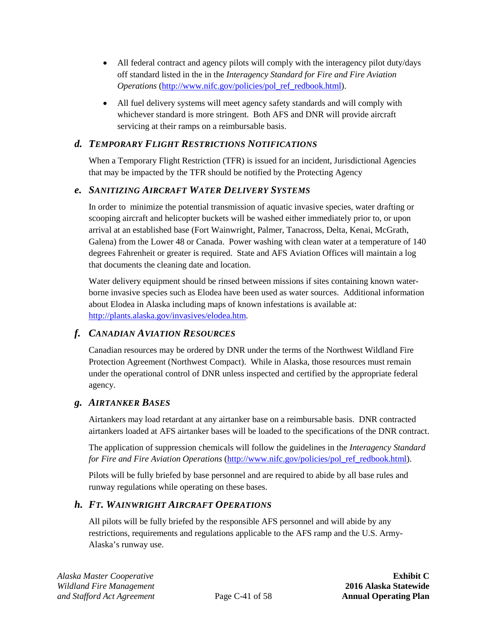- All federal contract and agency pilots will comply with the interagency pilot duty/days off standard listed in the in the *Interagency Standard for Fire and Fire Aviation Operations* [\(http://www.nifc.gov/policies/pol\\_ref\\_redbook.html\)](http://www.nifc.gov/policies/pol_ref_redbook.html).
- All fuel delivery systems will meet agency safety standards and will comply with whichever standard is more stringent. Both AFS and DNR will provide aircraft servicing at their ramps on a reimbursable basis.

## *d. TEMPORARY FLIGHT RESTRICTIONS NOTIFICATIONS*

When a Temporary Flight Restriction (TFR) is issued for an incident, Jurisdictional Agencies that may be impacted by the TFR should be notified by the Protecting Agency

## *e. SANITIZING AIRCRAFT WATER DELIVERY SYSTEMS*

In order to minimize the potential transmission of aquatic invasive species, water drafting or scooping aircraft and helicopter buckets will be washed either immediately prior to, or upon arrival at an established base (Fort Wainwright, Palmer, Tanacross, Delta, Kenai, McGrath, Galena) from the Lower 48 or Canada. Power washing with clean water at a temperature of 140 degrees Fahrenheit or greater is required. State and AFS Aviation Offices will maintain a log that documents the cleaning date and location.

Water delivery equipment should be rinsed between missions if sites containing known waterborne invasive species such as Elodea have been used as water sources. Additional information about Elodea in Alaska including maps of known infestations is available at: [http://plants.alaska.gov/invasives/elodea.htm.](http://plants.alaska.gov/invasives/elodea.htm)

## *f. CANADIAN AVIATION RESOURCES*

Canadian resources may be ordered by DNR under the terms of the Northwest Wildland Fire Protection Agreement (Northwest Compact). While in Alaska, those resources must remain under the operational control of DNR unless inspected and certified by the appropriate federal agency.

### <span id="page-48-0"></span>*g. AIRTANKER BASES*

Airtankers may load retardant at any airtanker base on a reimbursable basis. DNR contracted airtankers loaded at AFS airtanker bases will be loaded to the specifications of the DNR contract.

The application of suppression chemicals will follow the guidelines in the *Interagency Standard for Fire and Fire Aviation Operations* [\(http://www.nifc.gov/policies/pol\\_ref\\_redbook.html\)](http://www.nifc.gov/policies/pol_ref_redbook.html).

Pilots will be fully briefed by base personnel and are required to abide by all base rules and runway regulations while operating on these bases.

## <span id="page-48-1"></span>*h. FT. WAINWRIGHT AIRCRAFT OPERATIONS*

All pilots will be fully briefed by the responsible AFS personnel and will abide by any restrictions, requirements and regulations applicable to the AFS ramp and the U.S. Army-Alaska's runway use.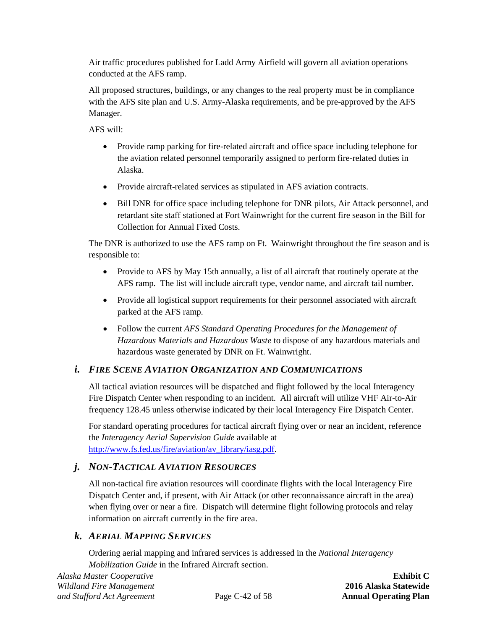Air traffic procedures published for Ladd Army Airfield will govern all aviation operations conducted at the AFS ramp.

All proposed structures, buildings, or any changes to the real property must be in compliance with the AFS site plan and U.S. Army-Alaska requirements, and be pre-approved by the AFS Manager.

AFS will:

- Provide ramp parking for fire-related aircraft and office space including telephone for the aviation related personnel temporarily assigned to perform fire-related duties in Alaska.
- Provide aircraft-related services as stipulated in AFS aviation contracts.
- Bill DNR for office space including telephone for DNR pilots, Air Attack personnel, and retardant site staff stationed at Fort Wainwright for the current fire season in the Bill for Collection for Annual Fixed Costs.

The DNR is authorized to use the AFS ramp on Ft. Wainwright throughout the fire season and is responsible to:

- Provide to AFS by May 15th annually, a list of all aircraft that routinely operate at the AFS ramp. The list will include aircraft type, vendor name, and aircraft tail number.
- Provide all logistical support requirements for their personnel associated with aircraft parked at the AFS ramp.
- Follow the current *AFS Standard Operating Procedures for the Management of Hazardous Materials and Hazardous Waste* to dispose of any hazardous materials and hazardous waste generated by DNR on Ft. Wainwright.

## *i. FIRE SCENE AVIATION ORGANIZATION AND COMMUNICATIONS*

All tactical aviation resources will be dispatched and flight followed by the local Interagency Fire Dispatch Center when responding to an incident. All aircraft will utilize VHF Air-to-Air frequency 128.45 unless otherwise indicated by their local Interagency Fire Dispatch Center.

For standard operating procedures for tactical aircraft flying over or near an incident, reference the *Interagency Aerial Supervision Guide* available at [http://www.fs.fed.us/fire/aviation/av\\_library/iasg.pdf.](http://www.fs.fed.us/fire/aviation/av_library/iasg.pdf)

## *j. NON-TACTICAL AVIATION RESOURCES*

All non-tactical fire aviation resources will coordinate flights with the local Interagency Fire Dispatch Center and, if present, with Air Attack (or other reconnaissance aircraft in the area) when flying over or near a fire. Dispatch will determine flight following protocols and relay information on aircraft currently in the fire area.

## *k. AERIAL MAPPING SERVICES*

Ordering aerial mapping and infrared services is addressed in the *National Interagency Mobilization Guide* in the Infrared Aircraft section.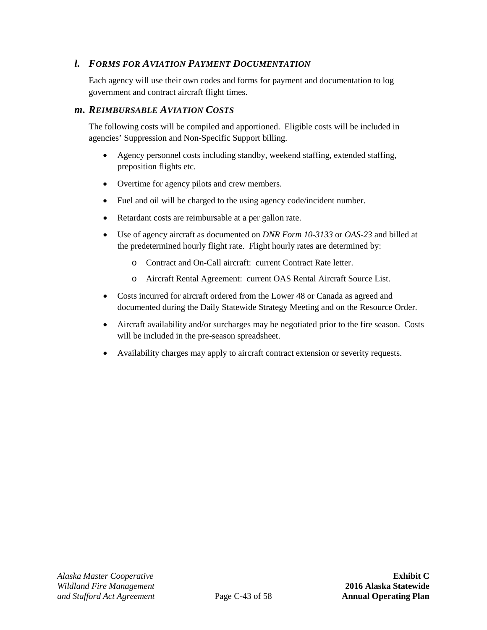## *l. FORMS FOR AVIATION PAYMENT DOCUMENTATION*

Each agency will use their own codes and forms for payment and documentation to log government and contract aircraft flight times.

#### <span id="page-50-0"></span>*m. REIMBURSABLE AVIATION COSTS*

The following costs will be compiled and apportioned. Eligible costs will be included in agencies' Suppression and Non-Specific Support billing.

- Agency personnel costs including standby, weekend staffing, extended staffing, preposition flights etc.
- Overtime for agency pilots and crew members.
- Fuel and oil will be charged to the using agency code/incident number.
- Retardant costs are reimbursable at a per gallon rate.
- Use of agency aircraft as documented on *DNR Form 10-3133* or *OAS-23* and billed at the predetermined hourly flight rate. Flight hourly rates are determined by:
	- o Contract and On-Call aircraft: current Contract Rate letter.
	- o Aircraft Rental Agreement: current OAS Rental Aircraft Source List.
- Costs incurred for aircraft ordered from the Lower 48 or Canada as agreed and documented during the Daily Statewide Strategy Meeting and on the Resource Order.
- Aircraft availability and/or surcharges may be negotiated prior to the fire season. Costs will be included in the pre-season spreadsheet.
- Availability charges may apply to aircraft contract extension or severity requests.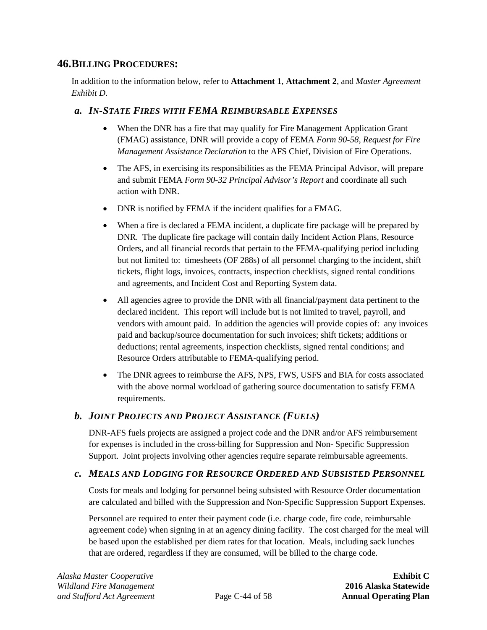## <span id="page-51-0"></span>**46.BILLING PROCEDURES:**

In addition to the information below, refer to **[Attachment 1](#page-66-0)**, **[Attachment 2](#page-68-0)**, and *Master Agreement Exhibit D*.

### *a. IN-STATE FIRES WITH FEMA REIMBURSABLE EXPENSES*

- When the DNR has a fire that may qualify for Fire Management Application Grant (FMAG) assistance, DNR will provide a copy of FEMA *Form 90-58, Request for Fire Management Assistance Declaration* to the AFS Chief, Division of Fire Operations.
- The AFS, in exercising its responsibilities as the FEMA Principal Advisor, will prepare and submit FEMA *Form 90-32 Principal Advisor's Report* and coordinate all such action with DNR.
- DNR is notified by FEMA if the incident qualifies for a FMAG.
- When a fire is declared a FEMA incident, a duplicate fire package will be prepared by DNR. The duplicate fire package will contain daily Incident Action Plans, Resource Orders, and all financial records that pertain to the FEMA-qualifying period including but not limited to: timesheets (OF 288s) of all personnel charging to the incident, shift tickets, flight logs, invoices, contracts, inspection checklists, signed rental conditions and agreements, and Incident Cost and Reporting System data.
- All agencies agree to provide the DNR with all financial/payment data pertinent to the declared incident. This report will include but is not limited to travel, payroll, and vendors with amount paid. In addition the agencies will provide copies of: any invoices paid and backup/source documentation for such invoices; shift tickets; additions or deductions; rental agreements, inspection checklists, signed rental conditions; and Resource Orders attributable to FEMA-qualifying period.
- The DNR agrees to reimburse the AFS, NPS, FWS, USFS and BIA for costs associated with the above normal workload of gathering source documentation to satisfy FEMA requirements.

### *b. JOINT PROJECTS AND PROJECT ASSISTANCE (FUELS)*

DNR-AFS fuels projects are assigned a project code and the DNR and/or AFS reimbursement for expenses is included in the cross-billing for Suppression and Non- Specific Suppression Support. Joint projects involving other agencies require separate reimbursable agreements.

### *c. MEALS AND LODGING FOR RESOURCE ORDERED AND SUBSISTED PERSONNEL*

Costs for meals and lodging for personnel being subsisted with Resource Order documentation are calculated and billed with the Suppression and Non-Specific Suppression Support Expenses.

Personnel are required to enter their payment code (i.e. charge code, fire code, reimbursable agreement code) when signing in at an agency dining facility. The cost charged for the meal will be based upon the established per diem rates for that location. Meals, including sack lunches that are ordered, regardless if they are consumed, will be billed to the charge code.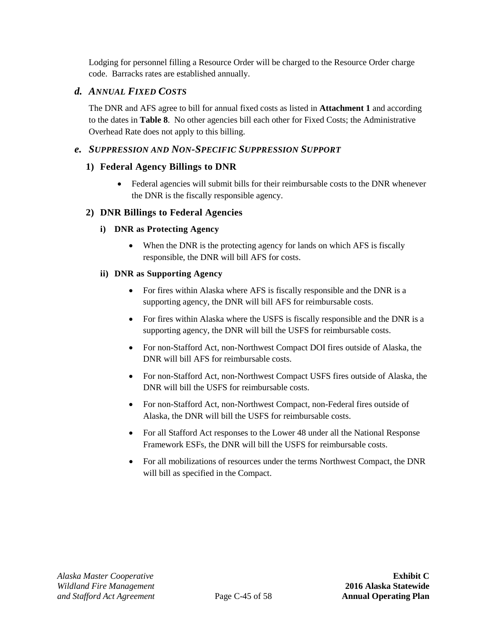Lodging for personnel filling a Resource Order will be charged to the Resource Order charge code. Barracks rates are established annually.

### *d. ANNUAL FIXED COSTS*

The DNR and AFS agree to bill for annual fixed costs as listed in **[Attachment 1](#page-66-0)** and according to the dates in **[Table 8](#page-55-0)**. No other agencies bill each other for Fixed Costs; the Administrative Overhead Rate does not apply to this billing.

#### *e. SUPPRESSION AND NON-SPECIFIC SUPPRESSION SUPPORT*

#### **1) Federal Agency Billings to DNR**

• Federal agencies will submit bills for their reimbursable costs to the DNR whenever the DNR is the fiscally responsible agency.

#### **2) DNR Billings to Federal Agencies**

#### **i) DNR as Protecting Agency**

• When the DNR is the protecting agency for lands on which AFS is fiscally responsible, the DNR will bill AFS for costs.

#### **ii) DNR as Supporting Agency**

- For fires within Alaska where AFS is fiscally responsible and the DNR is a supporting agency, the DNR will bill AFS for reimbursable costs.
- For fires within Alaska where the USFS is fiscally responsible and the DNR is a supporting agency, the DNR will bill the USFS for reimbursable costs.
- For non-Stafford Act, non-Northwest Compact DOI fires outside of Alaska, the DNR will bill AFS for reimbursable costs.
- For non-Stafford Act, non-Northwest Compact USFS fires outside of Alaska, the DNR will bill the USFS for reimbursable costs.
- For non-Stafford Act, non-Northwest Compact, non-Federal fires outside of Alaska, the DNR will bill the USFS for reimbursable costs.
- For all Stafford Act responses to the Lower 48 under all the National Response Framework ESFs, the DNR will bill the USFS for reimbursable costs.
- For all mobilizations of resources under the terms Northwest Compact, the DNR will bill as specified in the Compact.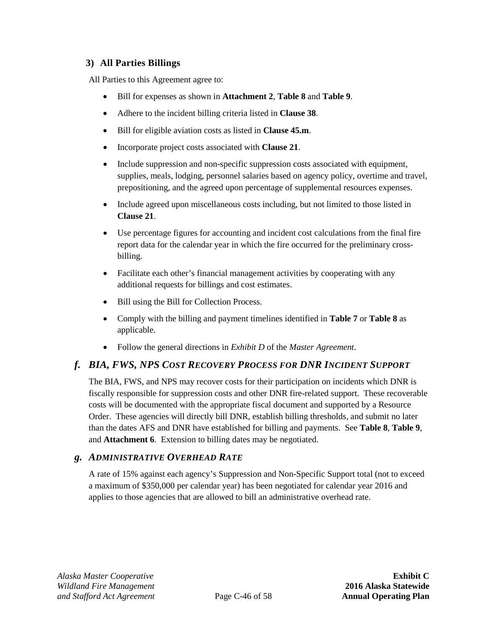## **3) All Parties Billings**

All Parties to this Agreement agree to:

- Bill for expenses as shown in **[Attachment 2](#page-68-0)**, **[Table 8](#page-55-0)** and **[Table 9](#page-56-0)**.
- Adhere to the incident billing criteria listed in **Clause [38](#page-37-1)**.
- Bill for eligible aviation costs as listed in **Clause [45.m](#page-50-0)**.
- Incorporate project costs associated with **Clause [21](#page-26-0)**.
- Include suppression and non-specific suppression costs associated with equipment, supplies, meals, lodging, personnel salaries based on agency policy, overtime and travel, prepositioning, and the agreed upon percentage of supplemental resources expenses.
- Include agreed upon miscellaneous costs including, but not limited to those listed in **Clause [21](#page-26-0)**.
- Use percentage figures for accounting and incident cost calculations from the final fire report data for the calendar year in which the fire occurred for the preliminary crossbilling.
- Facilitate each other's financial management activities by cooperating with any additional requests for billings and cost estimates.
- Bill using the Bill for Collection Process.
- Comply with the billing and payment timelines identified in **Table 7** or **Table 8** as applicable.
- Follow the general directions in *Exhibit D* of the *Master Agreement*.

## *f. BIA, FWS, NPS COST RECOVERY PROCESS FOR DNR INCIDENT SUPPORT*

The BIA, FWS, and NPS may recover costs for their participation on incidents which DNR is fiscally responsible for suppression costs and other DNR fire-related support. These recoverable costs will be documented with the appropriate fiscal document and supported by a Resource Order. These agencies will directly bill DNR, establish billing thresholds, and submit no later than the dates AFS and DNR have established for billing and payments. See **[Table 8](#page-55-0)**, **[Table 9](#page-56-0)**, and **[Attachment 6](#page-80-0)**. Extension to billing dates may be negotiated.

### <span id="page-53-0"></span>*g. ADMINISTRATIVE OVERHEAD RATE*

A rate of 15% against each agency's Suppression and Non-Specific Support total (not to exceed a maximum of \$350,000 per calendar year) has been negotiated for calendar year 2016 and applies to those agencies that are allowed to bill an administrative overhead rate.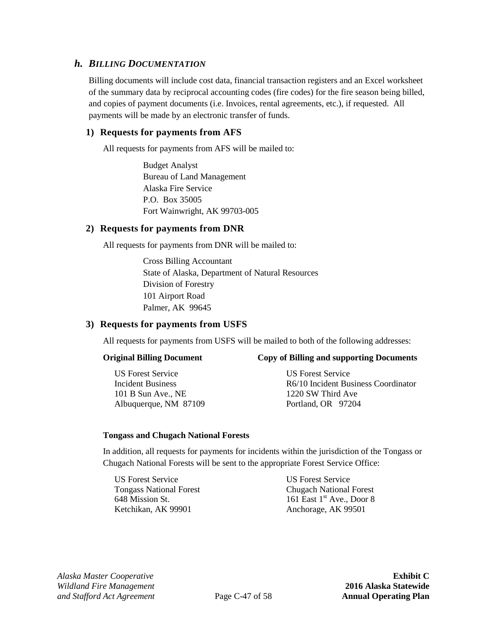#### *h. BILLING DOCUMENTATION*

Billing documents will include cost data, financial transaction registers and an Excel worksheet of the summary data by reciprocal accounting codes (fire codes) for the fire season being billed, and copies of payment documents (i.e. Invoices, rental agreements, etc.), if requested. All payments will be made by an electronic transfer of funds.

#### **1) Requests for payments from AFS**

All requests for payments from AFS will be mailed to:

Budget Analyst Bureau of Land Management Alaska Fire Service P.O. Box 35005 Fort Wainwright, AK 99703-005

#### **2) Requests for payments from DNR**

All requests for payments from DNR will be mailed to:

Cross Billing Accountant State of Alaska, Department of Natural Resources Division of Forestry 101 Airport Road Palmer, AK 99645

#### **3) Requests for payments from USFS**

All requests for payments from USFS will be mailed to both of the following addresses:

#### **Original Billing Document Copy of Billing and supporting Documents**

US Forest Service US Forest Service 101 B Sun Ave., NE 1220 SW Third Ave Albuquerque, NM 87109 Portland, OR 97204

Incident Business R6/10 Incident Business Coordinator

#### **Tongass and Chugach National Forests**

In addition, all requests for payments for incidents within the jurisdiction of the Tongass or Chugach National Forests will be sent to the appropriate Forest Service Office:

US Forest Service US Forest Service Ketchikan, AK 99901 Anchorage, AK 99501

Tongass National Forest Chugach National Forest 648 Mission St.  $161$  East 1<sup>st</sup> Ave., Door 8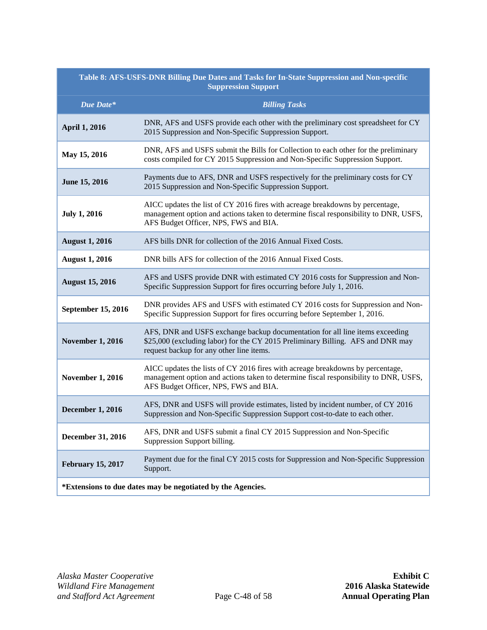<span id="page-55-0"></span>

| Table 8: AFS-USFS-DNR Billing Due Dates and Tasks for In-State Suppression and Non-specific<br><b>Suppression Support</b> |                                                                                                                                                                                                                 |  |
|---------------------------------------------------------------------------------------------------------------------------|-----------------------------------------------------------------------------------------------------------------------------------------------------------------------------------------------------------------|--|
| Due Date*                                                                                                                 | <b>Billing Tasks</b>                                                                                                                                                                                            |  |
| <b>April 1, 2016</b>                                                                                                      | DNR, AFS and USFS provide each other with the preliminary cost spreadsheet for CY<br>2015 Suppression and Non-Specific Suppression Support.                                                                     |  |
| May 15, 2016                                                                                                              | DNR, AFS and USFS submit the Bills for Collection to each other for the preliminary<br>costs compiled for CY 2015 Suppression and Non-Specific Suppression Support.                                             |  |
| June 15, 2016                                                                                                             | Payments due to AFS, DNR and USFS respectively for the preliminary costs for CY<br>2015 Suppression and Non-Specific Suppression Support.                                                                       |  |
| <b>July 1, 2016</b>                                                                                                       | AICC updates the list of CY 2016 fires with acreage breakdowns by percentage,<br>management option and actions taken to determine fiscal responsibility to DNR, USFS,<br>AFS Budget Officer, NPS, FWS and BIA.  |  |
| <b>August 1, 2016</b>                                                                                                     | AFS bills DNR for collection of the 2016 Annual Fixed Costs.                                                                                                                                                    |  |
| <b>August 1, 2016</b>                                                                                                     | DNR bills AFS for collection of the 2016 Annual Fixed Costs.                                                                                                                                                    |  |
| <b>August 15, 2016</b>                                                                                                    | AFS and USFS provide DNR with estimated CY 2016 costs for Suppression and Non-<br>Specific Suppression Support for fires occurring before July 1, 2016.                                                         |  |
| <b>September 15, 2016</b>                                                                                                 | DNR provides AFS and USFS with estimated CY 2016 costs for Suppression and Non-<br>Specific Suppression Support for fires occurring before September 1, 2016.                                                   |  |
| <b>November 1, 2016</b>                                                                                                   | AFS, DNR and USFS exchange backup documentation for all line items exceeding<br>\$25,000 (excluding labor) for the CY 2015 Preliminary Billing. AFS and DNR may<br>request backup for any other line items.     |  |
| <b>November 1, 2016</b>                                                                                                   | AICC updates the lists of CY 2016 fires with acreage breakdowns by percentage,<br>management option and actions taken to determine fiscal responsibility to DNR, USFS,<br>AFS Budget Officer, NPS, FWS and BIA. |  |
| <b>December 1, 2016</b>                                                                                                   | AFS, DNR and USFS will provide estimates, listed by incident number, of CY 2016<br>Suppression and Non-Specific Suppression Support cost-to-date to each other.                                                 |  |
| December 31, 2016                                                                                                         | AFS, DNR and USFS submit a final CY 2015 Suppression and Non-Specific<br>Suppression Support billing.                                                                                                           |  |
| <b>February 15, 2017</b>                                                                                                  | Payment due for the final CY 2015 costs for Suppression and Non-Specific Suppression<br>Support.                                                                                                                |  |
| *Extensions to due dates may be negotiated by the Agencies.                                                               |                                                                                                                                                                                                                 |  |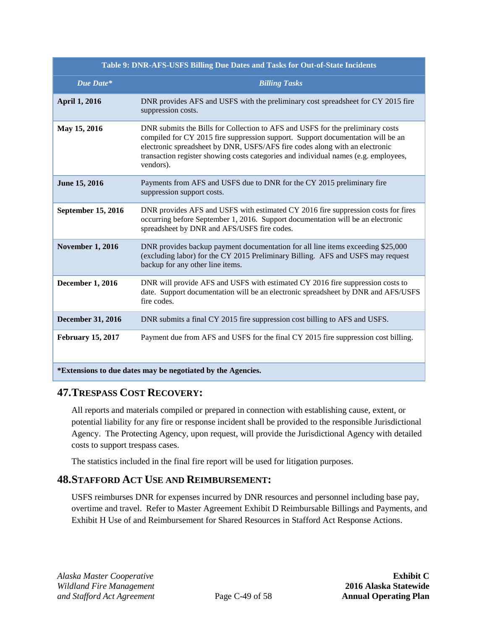<span id="page-56-0"></span>

| Table 9: DNR-AFS-USFS Billing Due Dates and Tasks for Out-of-State Incidents |                                                                                                                                                                                                                                                                                                                                                      |  |
|------------------------------------------------------------------------------|------------------------------------------------------------------------------------------------------------------------------------------------------------------------------------------------------------------------------------------------------------------------------------------------------------------------------------------------------|--|
| Due Date*                                                                    | <b>Billing Tasks</b>                                                                                                                                                                                                                                                                                                                                 |  |
| <b>April 1, 2016</b>                                                         | DNR provides AFS and USFS with the preliminary cost spreadsheet for CY 2015 fire<br>suppression costs.                                                                                                                                                                                                                                               |  |
| May 15, 2016                                                                 | DNR submits the Bills for Collection to AFS and USFS for the preliminary costs<br>compiled for CY 2015 fire suppression support. Support documentation will be an<br>electronic spreadsheet by DNR, USFS/AFS fire codes along with an electronic<br>transaction register showing costs categories and individual names (e.g. employees,<br>vendors). |  |
| June 15, 2016                                                                | Payments from AFS and USFS due to DNR for the CY 2015 preliminary fire<br>suppression support costs.                                                                                                                                                                                                                                                 |  |
| <b>September 15, 2016</b>                                                    | DNR provides AFS and USFS with estimated CY 2016 fire suppression costs for fires<br>occurring before September 1, 2016. Support documentation will be an electronic<br>spreadsheet by DNR and AFS/USFS fire codes.                                                                                                                                  |  |
| <b>November 1, 2016</b>                                                      | DNR provides backup payment documentation for all line items exceeding \$25,000<br>(excluding labor) for the CY 2015 Preliminary Billing. AFS and USFS may request<br>backup for any other line items.                                                                                                                                               |  |
| <b>December 1, 2016</b>                                                      | DNR will provide AFS and USFS with estimated CY 2016 fire suppression costs to<br>date. Support documentation will be an electronic spreadsheet by DNR and AFS/USFS<br>fire codes.                                                                                                                                                                   |  |
| <b>December 31, 2016</b>                                                     | DNR submits a final CY 2015 fire suppression cost billing to AFS and USFS.                                                                                                                                                                                                                                                                           |  |
| <b>February 15, 2017</b>                                                     | Payment due from AFS and USFS for the final CY 2015 fire suppression cost billing.                                                                                                                                                                                                                                                                   |  |
| *Extensions to due dates may be negotiated by the Agencies.                  |                                                                                                                                                                                                                                                                                                                                                      |  |

## **47.TRESPASS COST RECOVERY:**

All reports and materials compiled or prepared in connection with establishing cause, extent, or potential liability for any fire or response incident shall be provided to the responsible Jurisdictional Agency. The Protecting Agency, upon request, will provide the Jurisdictional Agency with detailed costs to support trespass cases.

The statistics included in the final fire report will be used for litigation purposes.

## **48.STAFFORD ACT USE AND REIMBURSEMENT:**

USFS reimburses DNR for expenses incurred by DNR resources and personnel including base pay, overtime and travel. Refer to Master Agreement Exhibit D Reimbursable Billings and Payments, and Exhibit H Use of and Reimbursement for Shared Resources in Stafford Act Response Actions.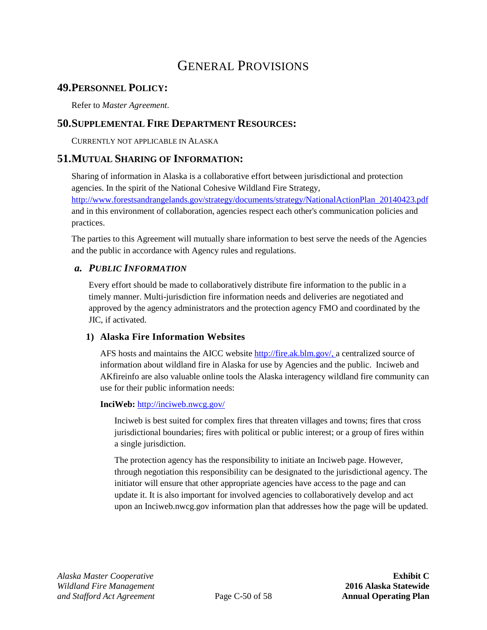# GENERAL PROVISIONS

## **49.PERSONNEL POLICY:**

Refer to *Master Agreement*.

## **50.SUPPLEMENTAL FIRE DEPARTMENT RESOURCES:**

CURRENTLY NOT APPLICABLE IN ALASKA

## <span id="page-57-1"></span>**51.MUTUAL SHARING OF INFORMATION:**

Sharing of information in Alaska is a collaborative effort between jurisdictional and protection agencies. In the spirit of the National Cohesive Wildland Fire Strategy, [http://www.forestsandrangelands.gov/strategy/documents/strategy/NationalActionPlan\\_20140423.pdf](http://www.forestsandrangelands.gov/strategy/documents/strategy/NationalActionPlan_20140423.pdf) and in this environment of collaboration, agencies respect each other's communication policies and practices.

The parties to this Agreement will mutually share information to best serve the needs of the Agencies and the public in accordance with Agency rules and regulations.

#### <span id="page-57-0"></span>*a. PUBLIC INFORMATION*

Every effort should be made to collaboratively distribute fire information to the public in a timely manner. Multi-jurisdiction fire information needs and deliveries are negotiated and approved by the agency administrators and the protection agency FMO and coordinated by the JIC, if activated.

#### **1) Alaska Fire Information Websites**

AFS hosts and maintains the AICC website [http://fire.ak.blm.gov/,](http://fire.ak.blm.gov/) a centralized source of information about wildland fire in Alaska for use by Agencies and the public. Inciweb and AKfireinfo are also valuable online tools the Alaska interagency wildland fire community can use for their public information needs:

#### **InciWeb:** <http://inciweb.nwcg.gov/>

[Inciweb](http://inciweb.nwcg.gov/) is best suited for complex fires that threaten villages and towns; fires that cross jurisdictional boundaries; fires with political or public interest; or a group of fires within a single jurisdiction.

The protection agency has the responsibility to initiate an [Inciweb](http://nciweb.nwcg.gov/) page. However, through negotiation this responsibility can be designated to the jurisdictional agency. The initiator will ensure that other appropriate agencies have access to the page and can update it. It is also important for involved agencies to collaboratively develop and act upon an [Inciweb.nwcg.gov](http://nciweb.nwcg.gov/) information plan that addresses how the page will be updated.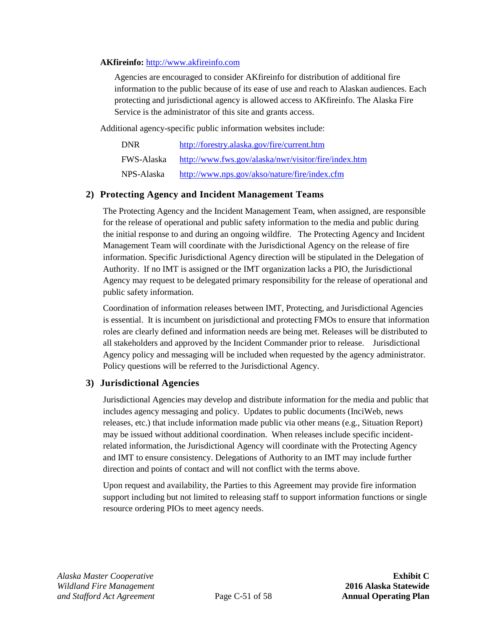#### **AKfireinfo:** [http://www.akfireinfo.com](http://www.akfireinfo.com/)

Agencies are encouraged to consider [AKfireinfo](http://akfireinfo.com/) for distribution of additional fire information to the public because of its ease of use and reach to Alaskan audiences. Each protecting and jurisdictional agency is allowed access to [AKfireinfo.](http://akfireinfo.com/) The Alaska Fire Service is the administrator of this site and grants access.

Additional agency-specific public information websites include:

| <b>DNR</b>        | http://forestry.alaska.gov/fire/current.htm          |
|-------------------|------------------------------------------------------|
| <b>FWS-Alaska</b> | http://www.fws.gov/alaska/nwr/visitor/fire/index.htm |
| NPS-Alaska        | http://www.nps.gov/akso/nature/fire/index.cfm        |

#### **2) Protecting Agency and Incident Management Teams**

The Protecting Agency and the Incident Management Team, when assigned, are responsible for the release of operational and public safety information to the media and public during the initial response to and during an ongoing wildfire. The Protecting Agency and Incident Management Team will coordinate with the Jurisdictional Agency on the release of fire information. Specific Jurisdictional Agency direction will be stipulated in the Delegation of Authority. If no IMT is assigned or the IMT organization lacks a PIO, the Jurisdictional Agency may request to be delegated primary responsibility for the release of operational and public safety information.

Coordination of information releases between IMT, Protecting, and Jurisdictional Agencies is essential. It is incumbent on jurisdictional and protecting FMOs to ensure that information roles are clearly defined and information needs are being met. Releases will be distributed to all stakeholders and approved by the Incident Commander prior to release. Jurisdictional Agency policy and messaging will be included when requested by the agency administrator. Policy questions will be referred to the Jurisdictional Agency.

### **3) Jurisdictional Agencies**

Jurisdictional Agencies may develop and distribute information for the media and public that includes agency messaging and policy. Updates to public documents (InciWeb, news releases, etc.) that include information made public via other means (e.g., Situation Report) may be issued without additional coordination. When releases include specific incidentrelated information, the Jurisdictional Agency will coordinate with the Protecting Agency and IMT to ensure consistency. Delegations of Authority to an IMT may include further direction and points of contact and will not conflict with the terms above.

Upon request and availability, the Parties to this Agreement may provide fire information support including but not limited to releasing staff to support information functions or single resource ordering PIOs to meet agency needs.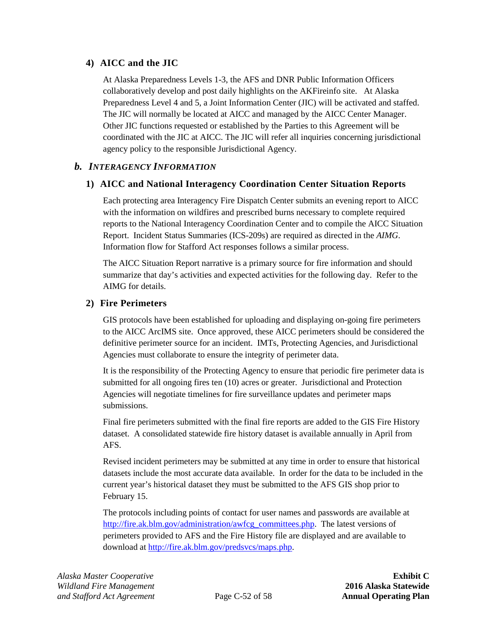#### **4) AICC and the JIC**

At Alaska Preparedness Levels 1-3, the AFS and DNR Public Information Officers collaboratively develop and post daily highlights on the AKFireinfo site. At Alaska Preparedness Level 4 and 5, a Joint Information Center (JIC) will be activated and staffed. The JIC will normally be located at AICC and managed by the AICC Center Manager. Other JIC functions requested or established by the Parties to this Agreement will be coordinated with the JIC at AICC. The JIC will refer all inquiries concerning jurisdictional agency policy to the responsible Jurisdictional Agency.

### <span id="page-59-0"></span>*b. INTERAGENCY INFORMATION*

#### **1) AICC and National Interagency Coordination Center Situation Reports**

Each protecting area Interagency Fire Dispatch Center submits an evening report to AICC with the information on wildfires and prescribed burns necessary to complete required reports to the National Interagency Coordination Center and to compile the AICC Situation Report. Incident Status Summaries (ICS-209s) are required as directed in the *AIMG*. Information flow for Stafford Act responses follows a similar process.

The AICC Situation Report narrative is a primary source for fire information and should summarize that day's activities and expected activities for the following day. Refer to the AIMG for details.

#### **2) Fire Perimeters**

GIS protocols have been established for uploading and displaying on-going fire perimeters to the AICC ArcIMS site. Once approved, these AICC perimeters should be considered the definitive perimeter source for an incident. IMTs, Protecting Agencies, and Jurisdictional Agencies must collaborate to ensure the integrity of perimeter data.

It is the responsibility of the Protecting Agency to ensure that periodic fire perimeter data is submitted for all ongoing fires ten (10) acres or greater. Jurisdictional and Protection Agencies will negotiate timelines for fire surveillance updates and perimeter maps submissions.

Final fire perimeters submitted with the final fire reports are added to the GIS Fire History dataset. A consolidated statewide fire history dataset is available annually in April from AFS.

Revised incident perimeters may be submitted at any time in order to ensure that historical datasets include the most accurate data available. In order for the data to be included in the current year's historical dataset they must be submitted to the AFS GIS shop prior to February 15.

The protocols including points of contact for user names and passwords are available at [http://fire.ak.blm.gov/administration/awfcg\\_committees.php.](http://fire.ak.blm.gov/administration/awfcg_committees.php) The latest versions of perimeters provided to AFS and the Fire History file are displayed and are available to download at [http://fire.ak.blm.gov/predsvcs/maps.php.](http://fire.ak.blm.gov/predsvcs/maps.php)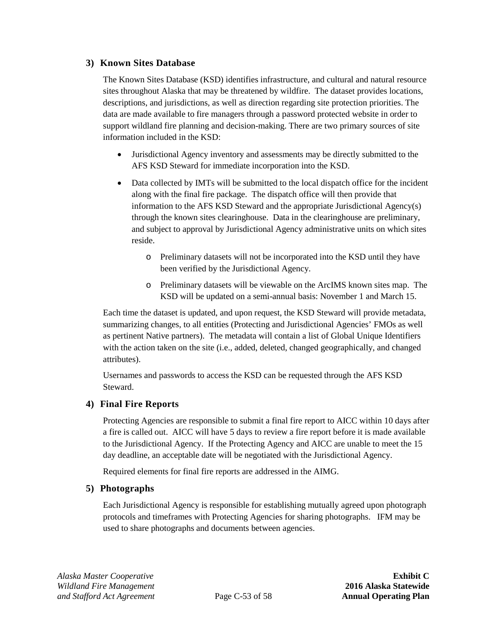#### **3) Known Sites Database**

The Known Sites Database (KSD) identifies infrastructure, and cultural and natural resource sites throughout Alaska that may be threatened by wildfire. The dataset provides locations, descriptions, and jurisdictions, as well as direction regarding site protection priorities. The data are made available to fire managers through a password protected website in order to support wildland fire planning and decision-making. There are two primary sources of site information included in the KSD:

- Jurisdictional Agency inventory and assessments may be directly submitted to the AFS KSD Steward for immediate incorporation into the KSD.
- Data collected by IMTs will be submitted to the local dispatch office for the incident along with the final fire package. The dispatch office will then provide that information to the AFS KSD Steward and the appropriate Jurisdictional Agency(s) through the known sites clearinghouse. Data in the clearinghouse are preliminary, and subject to approval by Jurisdictional Agency administrative units on which sites reside.
	- o Preliminary datasets will not be incorporated into the KSD until they have been verified by the Jurisdictional Agency.
	- o Preliminary datasets will be viewable on the ArcIMS known sites map. The KSD will be updated on a semi-annual basis: November 1 and March 15.

Each time the dataset is updated, and upon request, the KSD Steward will provide metadata, summarizing changes, to all entities (Protecting and Jurisdictional Agencies' FMOs as well as pertinent Native partners). The metadata will contain a list of Global Unique Identifiers with the action taken on the site (i.e., added, deleted, changed geographically, and changed attributes).

Usernames and passwords to access the KSD can be requested through the AFS KSD Steward.

### **4) Final Fire Reports**

Protecting Agencies are responsible to submit a final fire report to AICC within 10 days after a fire is called out. AICC will have 5 days to review a fire report before it is made available to the Jurisdictional Agency. If the Protecting Agency and AICC are unable to meet the 15 day deadline, an acceptable date will be negotiated with the Jurisdictional Agency.

Required elements for final fire reports are addressed in the AIMG.

#### **5) Photographs**

Each Jurisdictional Agency is responsible for establishing mutually agreed upon photograph protocols and timeframes with Protecting Agencies for sharing photographs. IFM may be used to share photographs and documents between agencies.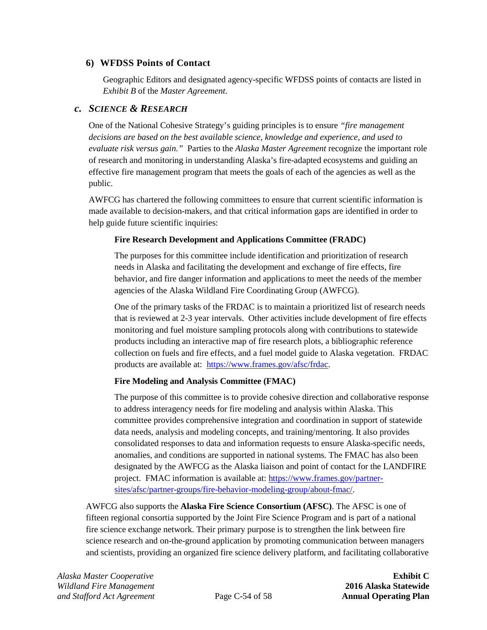#### **6) WFDSS Points of Contact**

Geographic Editors and designated agency-specific WFDSS points of contacts are listed in *Exhibit B* of the *Master Agreement*.

#### *c. SCIENCE & RESEARCH*

One of the National Cohesive Strategy's guiding principles is to ensure *"fire management decisions are based on the best available science, knowledge and experience, and used to evaluate risk versus gain."* Parties to the *Alaska Master Agreement* recognize the important role of research and monitoring in understanding Alaska's fire-adapted ecosystems and guiding an effective fire management program that meets the goals of each of the agencies as well as the public.

AWFCG has chartered the following committees to ensure that current scientific information is made available to decision-makers, and that critical information gaps are identified in order to help guide future scientific inquiries:

#### **Fire Research Development and Applications Committee (FRADC)**

The purposes for this committee include identification and prioritization of research needs in Alaska and facilitating the development and exchange of fire effects, fire behavior, and fire danger information and applications to meet the needs of the member agencies of the Alaska Wildland Fire Coordinating Group (AWFCG).

One of the primary tasks of the FRDAC is to maintain a prioritized list of research needs that is reviewed at 2-3 year intervals. Other activities include development of fire effects monitoring and fuel moisture sampling protocols along with contributions to statewide products including an interactive map of fire research plots, a bibliographic reference collection on fuels and fire effects, and a fuel model guide to Alaska vegetation. FRDAC products are available at: [https://www.frames.gov/afsc/frdac.](https://www.frames.gov/afsc/frdac)

### **Fire Modeling and Analysis Committee (FMAC)**

The purpose of this committee is to provide cohesive direction and collaborative response to address interagency needs for fire modeling and analysis within Alaska. This committee provides comprehensive integration and coordination in support of statewide data needs, analysis and modeling concepts, and training/mentoring. It also provides consolidated responses to data and information requests to ensure Alaska-specific needs, anomalies, and conditions are supported in national systems. The FMAC has also been designated by the AWFCG as the Alaska liaison and point of contact for the LANDFIRE project. FMAC information is available at: [https://www.frames.gov/partner](https://www.frames.gov/partner-sites/afsc/partner-groups/fire-behavior-modeling-group/about-fmac/)[sites/afsc/partner-groups/fire-behavior-modeling-group/about-fmac/.](https://www.frames.gov/partner-sites/afsc/partner-groups/fire-behavior-modeling-group/about-fmac/)

AWFCG also supports the **Alaska Fire Science Consortium (AFSC)**. The AFSC is one of fifteen regional consortia supported by the Joint Fire Science Program and is part of a national fire science exchange network. Their primary purpose is to strengthen the link between fire science research and on-the-ground application by promoting communication between managers and scientists, providing an organized fire science delivery platform, and facilitating collaborative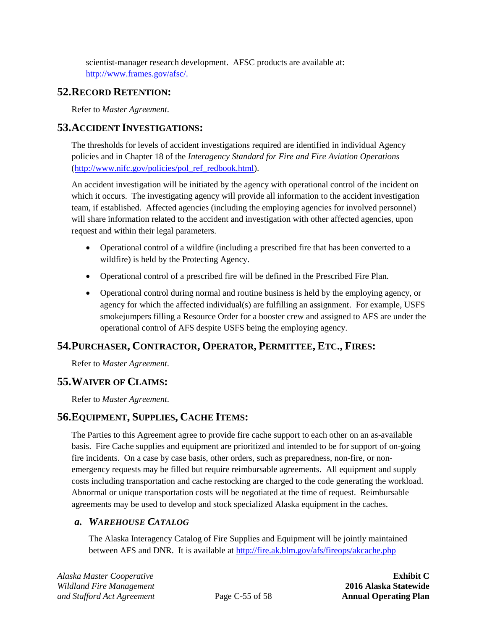scientist-manager research development. AFSC products are available at: [http://www.frames.gov/afsc/.](http://www.frames.gov/afsc/)

## **52.RECORD RETENTION:**

Refer to *Master Agreement*.

## **53.ACCIDENT INVESTIGATIONS:**

The thresholds for levels of accident investigations required are identified in individual Agency policies and in Chapter 18 of the *Interagency Standard for Fire and Fire Aviation Operations* [\(http://www.nifc.gov/policies/pol\\_ref\\_redbook.html\)](http://www.nifc.gov/policies/pol_ref_redbook.html).

An accident investigation will be initiated by the agency with operational control of the incident on which it occurs. The investigating agency will provide all information to the accident investigation team, if established. Affected agencies (including the employing agencies for involved personnel) will share information related to the accident and investigation with other affected agencies, upon request and within their legal parameters.

- Operational control of a wildfire (including a prescribed fire that has been converted to a wildfire) is held by the Protecting Agency.
- Operational control of a prescribed fire will be defined in the Prescribed Fire Plan.
- Operational control during normal and routine business is held by the employing agency, or agency for which the affected individual(s) are fulfilling an assignment. For example, USFS smokejumpers filling a Resource Order for a booster crew and assigned to AFS are under the operational control of AFS despite USFS being the employing agency.

## **54.PURCHASER, CONTRACTOR, OPERATOR, PERMITTEE, ETC., FIRES:**

Refer to *Master Agreement*.

## **55.WAIVER OF CLAIMS:**

Refer to *Master Agreement*.

## <span id="page-62-0"></span>**56.EQUIPMENT, SUPPLIES, CACHE ITEMS:**

The Parties to this Agreement agree to provide fire cache support to each other on an as-available basis. Fire Cache supplies and equipment are prioritized and intended to be for support of on-going fire incidents. On a case by case basis, other orders, such as preparedness, non-fire, or nonemergency requests may be filled but require reimbursable agreements. All equipment and supply costs including transportation and cache restocking are charged to the code generating the workload. Abnormal or unique transportation costs will be negotiated at the time of request. Reimbursable agreements may be used to develop and stock specialized Alaska equipment in the caches.

## <span id="page-62-1"></span>*a. WAREHOUSE CATALOG*

The Alaska Interagency Catalog of Fire Supplies and Equipment will be jointly maintained between AFS and DNR. It is available a[t http://fire.ak.blm.gov/afs/fireops/akcache.php](http://fire.ak.blm.gov/afs/fireops/akcache.php)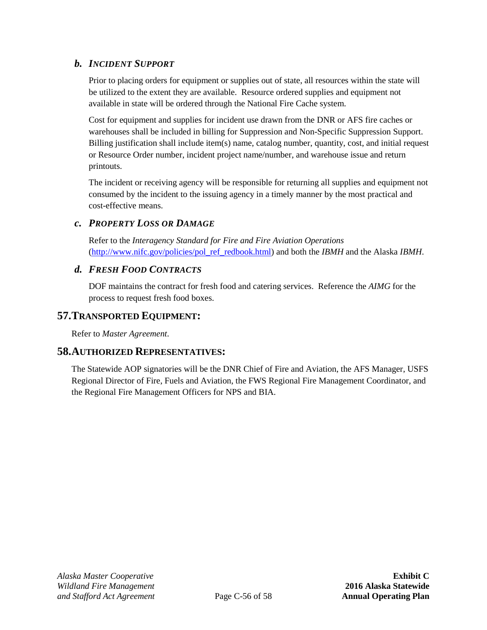## *b. INCIDENT SUPPORT*

Prior to placing orders for equipment or supplies out of state, all resources within the state will be utilized to the extent they are available. Resource ordered supplies and equipment not available in state will be ordered through the National Fire Cache system.

Cost for equipment and supplies for incident use drawn from the DNR or AFS fire caches or warehouses shall be included in billing for Suppression and Non-Specific Suppression Support. Billing justification shall include item(s) name, catalog number, quantity, cost, and initial request or Resource Order number, incident project name/number, and warehouse issue and return printouts.

The incident or receiving agency will be responsible for returning all supplies and equipment not consumed by the incident to the issuing agency in a timely manner by the most practical and cost-effective means.

## *c. PROPERTY LOSS OR DAMAGE*

Refer to the *Interagency Standard for Fire and Fire Aviation Operations* [\(http://www.nifc.gov/policies/pol\\_ref\\_redbook.html\)](http://www.nifc.gov/policies/pol_ref_redbook.html) and both the *IBMH* and the Alaska *IBMH*.

## <span id="page-63-0"></span>*d. FRESH FOOD CONTRACTS*

DOF maintains the contract for fresh food and catering services. Reference the *AIMG* for the process to request fresh food boxes.

## **57.TRANSPORTED EQUIPMENT:**

Refer to *Master Agreement*.

## **58.AUTHORIZED REPRESENTATIVES:**

The Statewide AOP signatories will be the DNR Chief of Fire and Aviation, the AFS Manager, USFS Regional Director of Fire, Fuels and Aviation, the FWS Regional Fire Management Coordinator, and the Regional Fire Management Officers for NPS and BIA.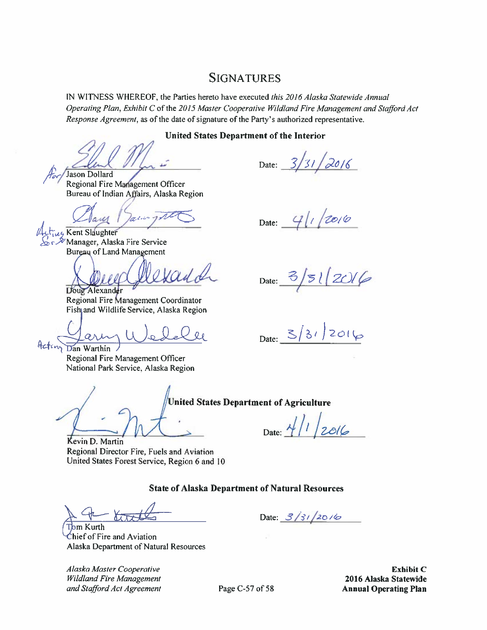## **SIGNATURES**

IN WITNESS WHEREOF, the Parties hereto have executed this 2016 Alaska Statewide Annual Operating Plan, Exhibit C of the 2015 Master Cooperative Wildland Fire Management and Stafford Act *Response Agreement*, as of the date of signature of the Party's authorized representative.

#### **United States Department of the Interior**

Jason Dollard

Date:  $3/31/2016$ 

Date:  $4|1/20/6$ 

Regional Fire Management Officer Bureau of Indian Affairs, Alaska Region

lacin Lus Kent Slaughter

Manager, Alaska Fire Service Bureau of Land Management

Vaul de Doug Alexander

Regional Fire Management Coordinator Fish and Wildlife Service, Alaska Region

 $Q_{\ell}$ 

Dan Warthin Regional Fire Management Officer National Park Service, Alaska Region

**United States Department of Agriculture** 

Date:  $4/1/2016$ 

Kevin D. Martin Regional Director Fire, Fuels and Aviation United States Forest Service, Region 6 and 10

#### **State of Alaska Department of Natural Resources**

Kurth Chief of Fire and Aviation Alaska Department of Natural Resources

Alaska Master Cooperative **Wildland Fire Management** and Stafford Act Agreement Date:  $3/3/20/6$ 

**Exhibit C** 2016 Alaska Statewide **Annual Operating Plan** 

Page C-57 of 58

Date:  $3/51/2016$ 

Date:  $3/31/2016$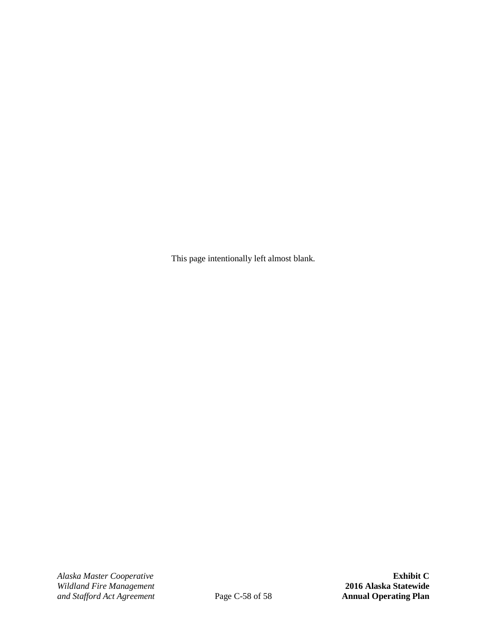This page intentionally left almost blank.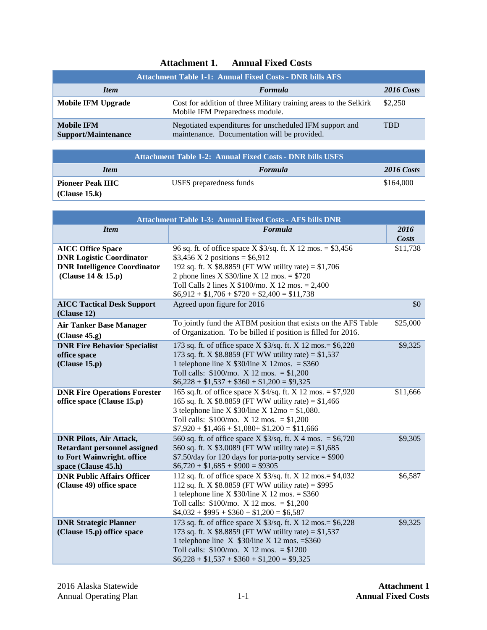<span id="page-66-0"></span>

| <b>Attachment Table 1-1: Annual Fixed Costs - DNR bills AFS</b> |                                                                                                         |                   |
|-----------------------------------------------------------------|---------------------------------------------------------------------------------------------------------|-------------------|
| <b>Item</b>                                                     | <b>Formula</b>                                                                                          | <b>2016 Costs</b> |
| Mobile IFM Upgrade                                              | Cost for addition of three Military training areas to the Selkirk<br>Mobile IFM Preparedness module.    | \$2,250           |
| <b>Mobile IFM</b><br><b>Support/Maintenance</b>                 | Negotiated expenditures for unscheduled IFM support and<br>maintenance. Documentation will be provided. | <b>TRD</b>        |

| <b>Attachment Table 1-2: Annual Fixed Costs - DNR bills USFS</b> |                         |                   |  |
|------------------------------------------------------------------|-------------------------|-------------------|--|
| <i>Item</i>                                                      | <b>Formula</b>          | <b>2016 Costs</b> |  |
| <b>Pioneer Peak IHC</b>                                          | USFS preparedness funds | \$164,000         |  |
| (Clause 15.k)                                                    |                         |                   |  |

| <b>Attachment Table 1-3: Annual Fixed Costs - AFS bills DNR</b>                                                                                               |                                                                                                                                                                                                                                                                                                                                                    |                      |  |
|---------------------------------------------------------------------------------------------------------------------------------------------------------------|----------------------------------------------------------------------------------------------------------------------------------------------------------------------------------------------------------------------------------------------------------------------------------------------------------------------------------------------------|----------------------|--|
| <b>Item</b>                                                                                                                                                   | Formula                                                                                                                                                                                                                                                                                                                                            | 2016<br><b>Costs</b> |  |
| <b>AICC Office Space</b><br><b>DNR Logistic Coordinator</b><br><b>DNR Intelligence Coordinator</b><br>(Clause 14 & 15.p)<br><b>AICC Tactical Desk Support</b> | 96 sq. ft. of office space X $$3/sq$ . ft. X 12 mos. = \$3,456<br>\$3,456 X 2 positions = $$6,912$<br>192 sq. ft. X $$8.8859$ (FT WW utility rate) = $$1,706$<br>2 phone lines X $$30$ /line X 12 mos. = \$720<br>Toll Calls 2 lines X $$100/$ mo. X 12 mos. = 2,400<br>$$6,912 + $1,706 + $720 + $2,400 = $11,738$<br>Agreed upon figure for 2016 | \$11,738<br>\$0      |  |
| (Clause 12)<br><b>Air Tanker Base Manager</b><br>(Clause 45.g)                                                                                                | To jointly fund the ATBM position that exists on the AFS Table<br>of Organization. To be billed if position is filled for 2016.                                                                                                                                                                                                                    | \$25,000             |  |
| <b>DNR Fire Behavior Specialist</b><br>office space<br>(Clause 15.p)                                                                                          | 173 sq. ft. of office space X \$3/sq. ft. X 12 mos. = \$6,228<br>173 sq. ft. X \$8.8859 (FT WW utility rate) = $$1,537$<br>1 telephone line X $$30/$ line X $12$ mos. = \$360<br>Toll calls: $$100/mo. X 12 mos. = $1,200$<br>$$6,228 + $1,537 + $360 + $1,200 = $9,325$                                                                           | \$9,325              |  |
| <b>DNR Fire Operations Forester</b><br>office space (Clause 15.p)                                                                                             | 165 sq.ft. of office space X $4/sq$ . ft. X 12 mos. = \$7,920<br>165 sq. ft. X $$8.8859$ (FT WW utility rate) = $$1,466$<br>3 telephone line X $$30/$ line X $12$ mo = \$1,080.<br>Toll calls: $$100/mo. X 12 mos. = $1,200$<br>$$7,920 + $1,466 + $1,080 + $1,200 = $11,666$                                                                      | \$11,666             |  |
| <b>DNR Pilots, Air Attack,</b><br><b>Retardant personnel assigned</b><br>to Fort Wainwright. office<br>space (Clause 45.h)                                    | 560 sq. ft. of office space X $$3/sq$ . ft. X 4 mos. = \$6,720<br>560 sq. ft. X \$3.0089 (FT WW utility rate) = $$1,685$<br>$$7.50$ /day for 120 days for porta-potty service = \$900<br>$$6,720 + $1,685 + $900 = $9305$                                                                                                                          | \$9,305              |  |
| <b>DNR Public Affairs Officer</b><br>(Clause 49) office space                                                                                                 | 112 sq. ft. of office space X \$3/sq. ft. X 12 mos. = \$4,032<br>112 sq. ft. X $$8.8859$ (FT WW utility rate) = $$995$<br>1 telephone line X $$30/$ line X 12 mos. = \$360<br>Toll calls: $$100/mol$ . X 12 mos. = $$1,200$<br>$$4,032 + $995 + $360 + $1,200 = $6,587$                                                                            | \$6,587              |  |
| <b>DNR Strategic Planner</b><br>(Clause 15.p) office space                                                                                                    | 173 sq. ft. of office space X \$3/sq. ft. X 12 mos. = \$6,228<br>173 sq. ft. X \$8.8859 (FT WW utility rate) = $$1,537$<br>1 telephone line $X$ \$30/line $X$ 12 mos. = \$360<br>Toll calls: $$100/mo. X 12 mos. = $1200$<br>$$6,228 + $1,537 + $360 + $1,200 = $9,325$                                                                            | \$9,325              |  |

# **Attachment 1. Annual Fixed Costs**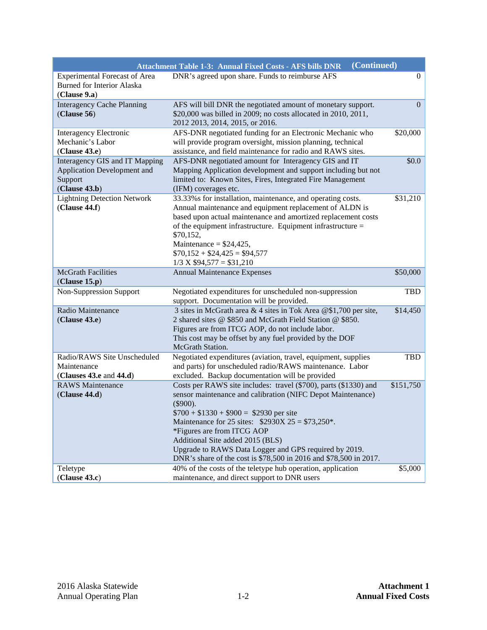|                                                                                           | (Continued)<br><b>Attachment Table 1-3: Annual Fixed Costs - AFS bills DNR</b>                                                                                                                                                                                                                                                                                                                                                                 |                |
|-------------------------------------------------------------------------------------------|------------------------------------------------------------------------------------------------------------------------------------------------------------------------------------------------------------------------------------------------------------------------------------------------------------------------------------------------------------------------------------------------------------------------------------------------|----------------|
| <b>Experimental Forecast of Area</b><br><b>Burned for Interior Alaska</b><br>(Clause 9.a) | DNR's agreed upon share. Funds to reimburse AFS                                                                                                                                                                                                                                                                                                                                                                                                | $\overline{0}$ |
| <b>Interagency Cache Planning</b><br>(Clause 56)                                          | AFS will bill DNR the negotiated amount of monetary support.<br>\$20,000 was billed in 2009; no costs allocated in 2010, 2011,<br>2012 2013, 2014, 2015, or 2016.                                                                                                                                                                                                                                                                              | $\Omega$       |
| <b>Interagency Electronic</b><br>Mechanic's Labor<br>(Clause 43.e)                        | AFS-DNR negotiated funding for an Electronic Mechanic who<br>will provide program oversight, mission planning, technical<br>assistance, and field maintenance for radio and RAWS sites.                                                                                                                                                                                                                                                        | \$20,000       |
| Interagency GIS and IT Mapping<br>Application Development and<br>Support<br>(Clause 43.b) | AFS-DNR negotiated amount for Interagency GIS and IT<br>Mapping Application development and support including but not<br>limited to: Known Sites, Fires, Integrated Fire Management<br>(IFM) coverages etc.                                                                                                                                                                                                                                    | \$0.0\$        |
| <b>Lightning Detection Network</b><br>(Clause 44.f)                                       | 33.33% s for installation, maintenance, and operating costs.<br>Annual maintenance and equipment replacement of ALDN is<br>based upon actual maintenance and amortized replacement costs<br>of the equipment infrastructure. Equipment infrastructure $=$<br>\$70,152,<br>Maintenance = $$24,425$ ,<br>$$70,152 + $24,425 = $94,577$<br>$1/3$ X \$94,577 = \$31,210                                                                            | \$31,210       |
| <b>McGrath Facilities</b><br>(Clause 15.p)                                                | <b>Annual Maintenance Expenses</b>                                                                                                                                                                                                                                                                                                                                                                                                             | \$50,000       |
| <b>Non-Suppression Support</b>                                                            | Negotiated expenditures for unscheduled non-suppression<br>support. Documentation will be provided.                                                                                                                                                                                                                                                                                                                                            | TBD            |
| Radio Maintenance<br>(Clause 43.e)                                                        | 3 sites in McGrath area & 4 sites in Tok Area @\$1,700 per site,<br>2 shared sites @ \$850 and McGrath Field Station @ \$850.<br>Figures are from ITCG AOP, do not include labor.<br>This cost may be offset by any fuel provided by the DOF<br>McGrath Station.                                                                                                                                                                               | \$14,450       |
| Radio/RAWS Site Unscheduled<br>Maintenance<br>(Clauses 43.e and $44.d$ )                  | Negotiated expenditures (aviation, travel, equipment, supplies<br>and parts) for unscheduled radio/RAWS maintenance. Labor<br>excluded. Backup documentation will be provided                                                                                                                                                                                                                                                                  | TBD            |
| <b>RAWS</b> Maintenance<br>(Clause 44.d)                                                  | Costs per RAWS site includes: travel (\$700), parts (\$1330) and<br>sensor maintenance and calibration (NIFC Depot Maintenance)<br>$(\$900).$<br>$$700 + $1330 + $900 = $2930$ per site<br>Maintenance for 25 sites: $$2930X 25 = $73,250^*$ .<br>*Figures are from ITCG AOP<br>Additional Site added 2015 (BLS)<br>Upgrade to RAWS Data Logger and GPS required by 2019.<br>DNR's share of the cost is \$78,500 in 2016 and \$78,500 in 2017. | \$151,750      |
| Teletype<br>(Clause 43.c)                                                                 | 40% of the costs of the teletype hub operation, application<br>maintenance, and direct support to DNR users                                                                                                                                                                                                                                                                                                                                    | \$5,000        |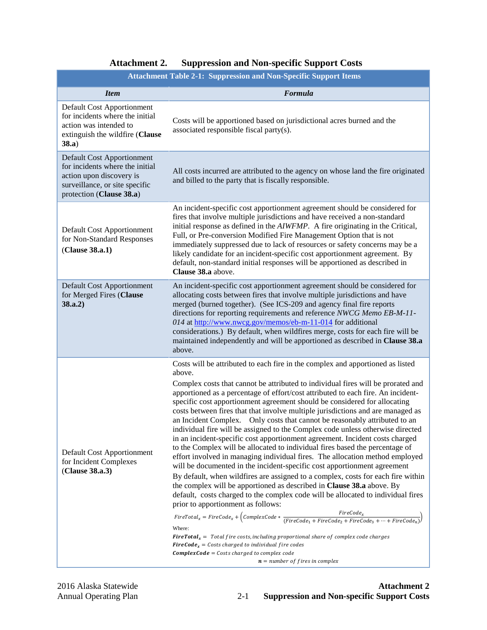<span id="page-68-0"></span>

| <b>Attachment Table 2-1: Suppression and Non-Specific Support Items</b>                                                                                        |                                                                                                                                                                                                                                                                                                                                                                                                                                                                                                                                                                                                                                                                                                                                                                                                                                                                                                                                                                                                                                                                                                                                                                                                                                                                                                                                                                                                                                                                                                                                                                                                                                                                                 |  |  |
|----------------------------------------------------------------------------------------------------------------------------------------------------------------|---------------------------------------------------------------------------------------------------------------------------------------------------------------------------------------------------------------------------------------------------------------------------------------------------------------------------------------------------------------------------------------------------------------------------------------------------------------------------------------------------------------------------------------------------------------------------------------------------------------------------------------------------------------------------------------------------------------------------------------------------------------------------------------------------------------------------------------------------------------------------------------------------------------------------------------------------------------------------------------------------------------------------------------------------------------------------------------------------------------------------------------------------------------------------------------------------------------------------------------------------------------------------------------------------------------------------------------------------------------------------------------------------------------------------------------------------------------------------------------------------------------------------------------------------------------------------------------------------------------------------------------------------------------------------------|--|--|
| <b>Item</b>                                                                                                                                                    | Formula                                                                                                                                                                                                                                                                                                                                                                                                                                                                                                                                                                                                                                                                                                                                                                                                                                                                                                                                                                                                                                                                                                                                                                                                                                                                                                                                                                                                                                                                                                                                                                                                                                                                         |  |  |
| Default Cost Apportionment<br>for incidents where the initial<br>action was intended to<br>extinguish the wildfire (Clause<br>38.a)                            | Costs will be apportioned based on jurisdictional acres burned and the<br>associated responsible fiscal party(s).                                                                                                                                                                                                                                                                                                                                                                                                                                                                                                                                                                                                                                                                                                                                                                                                                                                                                                                                                                                                                                                                                                                                                                                                                                                                                                                                                                                                                                                                                                                                                               |  |  |
| <b>Default Cost Apportionment</b><br>for incidents where the initial<br>action upon discovery is<br>surveillance, or site specific<br>protection (Clause 38.a) | All costs incurred are attributed to the agency on whose land the fire originated<br>and billed to the party that is fiscally responsible.                                                                                                                                                                                                                                                                                                                                                                                                                                                                                                                                                                                                                                                                                                                                                                                                                                                                                                                                                                                                                                                                                                                                                                                                                                                                                                                                                                                                                                                                                                                                      |  |  |
| Default Cost Apportionment<br>for Non-Standard Responses<br>(Clause 38.a.1)                                                                                    | An incident-specific cost apportionment agreement should be considered for<br>fires that involve multiple jurisdictions and have received a non-standard<br>initial response as defined in the AIWFMP. A fire originating in the Critical,<br>Full, or Pre-conversion Modified Fire Management Option that is not<br>immediately suppressed due to lack of resources or safety concerns may be a<br>likely candidate for an incident-specific cost apportionment agreement. By<br>default, non-standard initial responses will be apportioned as described in<br>Clause 38.a above.                                                                                                                                                                                                                                                                                                                                                                                                                                                                                                                                                                                                                                                                                                                                                                                                                                                                                                                                                                                                                                                                                             |  |  |
| <b>Default Cost Apportionment</b><br>for Merged Fires (Clause<br>38.a.2)                                                                                       | An incident-specific cost apportionment agreement should be considered for<br>allocating costs between fires that involve multiple jurisdictions and have<br>merged (burned together). (See ICS-209 and agency final fire reports<br>directions for reporting requirements and reference NWCG Memo EB-M-11-<br>014 at http://www.nwcg.gov/memos/eb-m-11-014 for additional<br>considerations.) By default, when wildfires merge, costs for each fire will be<br>maintained independently and will be apportioned as described in Clause 38.a<br>above.                                                                                                                                                                                                                                                                                                                                                                                                                                                                                                                                                                                                                                                                                                                                                                                                                                                                                                                                                                                                                                                                                                                          |  |  |
| Default Cost Apportionment<br>for Incident Complexes<br>(Clause 38.a.3)                                                                                        | Costs will be attributed to each fire in the complex and apportioned as listed<br>above.<br>Complex costs that cannot be attributed to individual fires will be prorated and<br>apportioned as a percentage of effort/cost attributed to each fire. An incident-<br>specific cost apportionment agreement should be considered for allocating<br>costs between fires that that involve multiple jurisdictions and are managed as<br>an Incident Complex. Only costs that cannot be reasonably attributed to an<br>individual fire will be assigned to the Complex code unless otherwise directed<br>in an incident-specific cost apportionment agreement. Incident costs charged<br>to the Complex will be allocated to individual fires based the percentage of<br>effort involved in managing individual fires. The allocation method employed<br>will be documented in the incident-specific cost apportionment agreement<br>By default, when wildfires are assigned to a complex, costs for each fire within<br>the complex will be apportioned as described in Clause 38.a above. By<br>default, costs charged to the complex code will be allocated to individual fires<br>prior to apportionment as follows:<br>$FireTotal_x = FireCode_x + (ComplexCode * \frac{FireCode_x}{(FireCode_1 + FireCode_2 + FireCode_3 + \cdots + FireCode_n)})$<br>Where:<br><b>FireTotal</b> <sub><math>x</math></sub> = Total fire costs, including proportional share of complex code charges<br><b>FireCode</b> <sub>x</sub> = Costs charged to individual fire codes<br>$Complete \textit{Code} = \textit{Costs} \textit{charged to complex code}$<br>$n = number of fires in complex$ |  |  |

# **Attachment 2. Suppression and Non-specific Support Costs**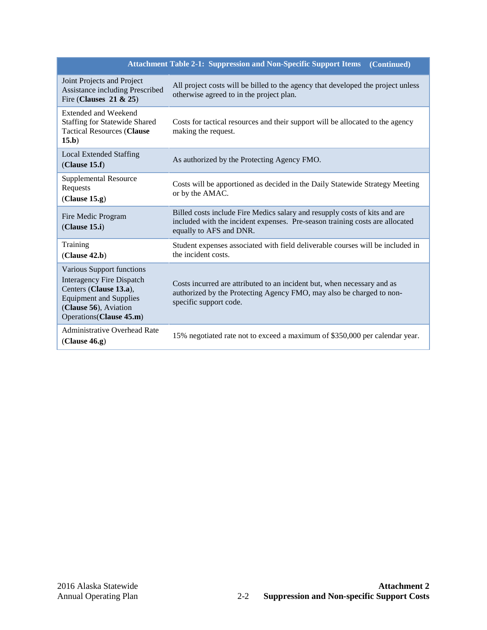|                                                                                                                                                                               | <b>Attachment Table 2-1: Suppression and Non-Specific Support Items</b><br>(Continued)                                                                                                |
|-------------------------------------------------------------------------------------------------------------------------------------------------------------------------------|---------------------------------------------------------------------------------------------------------------------------------------------------------------------------------------|
| Joint Projects and Project<br>Assistance including Prescribed<br>Fire (Clauses $21 & 25$ )                                                                                    | All project costs will be billed to the agency that developed the project unless<br>otherwise agreed to in the project plan.                                                          |
| <b>Extended and Weekend</b><br><b>Staffing for Statewide Shared</b><br><b>Tactical Resources (Clause</b><br>15.b)                                                             | Costs for tactical resources and their support will be allocated to the agency<br>making the request.                                                                                 |
| <b>Local Extended Staffing</b><br>(Clause 15.f)                                                                                                                               | As authorized by the Protecting Agency FMO.                                                                                                                                           |
| <b>Supplemental Resource</b><br>Requests<br>(Clause 15.g)                                                                                                                     | Costs will be apportioned as decided in the Daily Statewide Strategy Meeting<br>or by the AMAC.                                                                                       |
| Fire Medic Program<br>(Clause 15.i)                                                                                                                                           | Billed costs include Fire Medics salary and resupply costs of kits and are<br>included with the incident expenses. Pre-season training costs are allocated<br>equally to AFS and DNR. |
| Training<br>(Clause 42.b)                                                                                                                                                     | Student expenses associated with field deliverable courses will be included in<br>the incident costs.                                                                                 |
| Various Support functions<br><b>Interagency Fire Dispatch</b><br>Centers (Clause 13.a),<br><b>Equipment and Supplies</b><br>(Clause 56), Aviation<br>Operations (Clause 45.m) | Costs incurred are attributed to an incident but, when necessary and as<br>authorized by the Protecting Agency FMO, may also be charged to non-<br>specific support code.             |
| <b>Administrative Overhead Rate</b><br>(Clause 46.g)                                                                                                                          | 15% negotiated rate not to exceed a maximum of \$350,000 per calendar year.                                                                                                           |

#### **Attachment Table 2-1: Suppression and Non-Specific Support Items**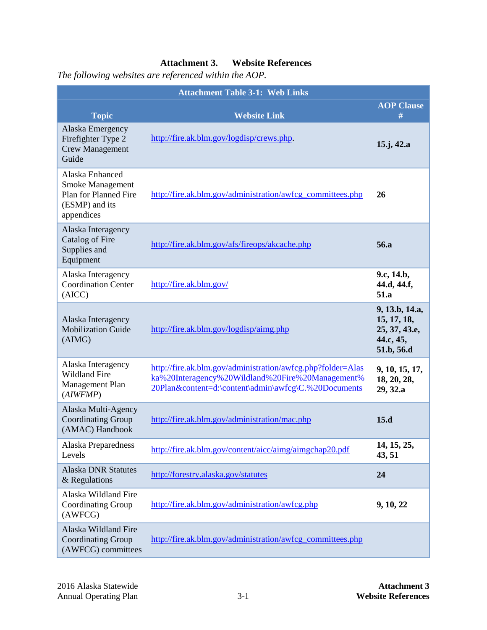## **Attachment 3. Website References**

*The following websites are referenced within the AOP.*

| <b>Attachment Table 3-1: Web Links</b>                                                              |                                                                                                                                                                         |                                                                           |  |
|-----------------------------------------------------------------------------------------------------|-------------------------------------------------------------------------------------------------------------------------------------------------------------------------|---------------------------------------------------------------------------|--|
| <b>Topic</b>                                                                                        | <b>Website Link</b>                                                                                                                                                     | <b>AOP Clause</b><br>#                                                    |  |
| Alaska Emergency<br>Firefighter Type 2<br><b>Crew Management</b><br>Guide                           | http://fire.ak.blm.gov/logdisp/crews.php.                                                                                                                               | $15$ .j, 42.a                                                             |  |
| Alaska Enhanced<br><b>Smoke Management</b><br>Plan for Planned Fire<br>(ESMP) and its<br>appendices | http://fire.ak.blm.gov/administration/awfcg_committees.php                                                                                                              | 26                                                                        |  |
| Alaska Interagency<br>Catalog of Fire<br>Supplies and<br>Equipment                                  | http://fire.ak.blm.gov/afs/fireops/akcache.php                                                                                                                          | 56.a                                                                      |  |
| Alaska Interagency<br><b>Coordination Center</b><br>(AICC)                                          | http://fire.ak.blm.gov/                                                                                                                                                 | 9.c, 14.b,<br>44.d, 44.f,<br>51.a                                         |  |
| Alaska Interagency<br><b>Mobilization Guide</b><br>(AIMG)                                           | http://fire.ak.blm.gov/logdisp/aimg.php                                                                                                                                 | 9, 13.b, 14.a,<br>15, 17, 18,<br>25, 37, 43.e,<br>44.c, 45,<br>51.b, 56.d |  |
| Alaska Interagency<br><b>Wildland Fire</b><br>Management Plan<br>(AIWFMP)                           | http://fire.ak.blm.gov/administration/awfcg.php?folder=Alas<br>ka%20Interagency%20Wildland%20Fire%20Management%<br>20Plan&content=d:\content\admin\awfcg\C.%20Documents | 9, 10, 15, 17,<br>18, 20, 28,<br>29, 32.a                                 |  |
| Alaska Multi-Agency<br><b>Coordinating Group</b><br>(AMAC) Handbook                                 | http://fire.ak.blm.gov/administration/mac.php                                                                                                                           | 15.d                                                                      |  |
| Alaska Preparedness<br>Levels                                                                       | http://fire.ak.blm.gov/content/aicc/aimg/aimgchap20.pdf                                                                                                                 | 14, 15, 25,<br>43, 51                                                     |  |
| <b>Alaska DNR Statutes</b><br>& Regulations                                                         | http://forestry.alaska.gov/statutes                                                                                                                                     | 24                                                                        |  |
| Alaska Wildland Fire<br>Coordinating Group<br>(AWFCG)                                               | http://fire.ak.blm.gov/administration/awfcg.php                                                                                                                         | 9, 10, 22                                                                 |  |
| Alaska Wildland Fire<br><b>Coordinating Group</b><br>(AWFCG) committees                             | http://fire.ak.blm.gov/administration/awfcg_committees.php                                                                                                              |                                                                           |  |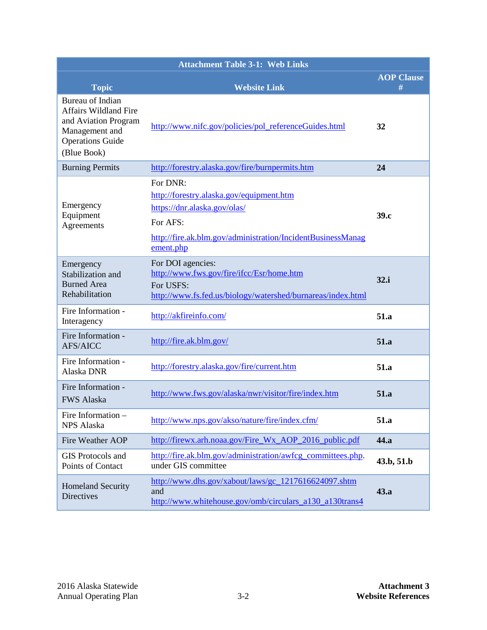| <b>Attachment Table 3-1: Web Links</b>                                                                                               |                                                                                                                                                                              |                        |
|--------------------------------------------------------------------------------------------------------------------------------------|------------------------------------------------------------------------------------------------------------------------------------------------------------------------------|------------------------|
| <b>Topic</b>                                                                                                                         | <b>Website Link</b>                                                                                                                                                          | <b>AOP Clause</b><br># |
| Bureau of Indian<br><b>Affairs Wildland Fire</b><br>and Aviation Program<br>Management and<br><b>Operations Guide</b><br>(Blue Book) | http://www.nifc.gov/policies/pol referenceGuides.html                                                                                                                        | 32                     |
| <b>Burning Permits</b>                                                                                                               | http://forestry.alaska.gov/fire/burnpermits.htm                                                                                                                              | 24                     |
| Emergency<br>Equipment<br>Agreements                                                                                                 | For DNR:<br>http://forestry.alaska.gov/equipment.htm<br>https://dnr.alaska.gov/olas/<br>For AFS:<br>http://fire.ak.blm.gov/administration/IncidentBusinessManag<br>ement.php | 39.c                   |
| Emergency<br>Stabilization and<br><b>Burned Area</b><br>Rehabilitation                                                               | For DOI agencies:<br>http://www.fws.gov/fire/ifcc/Esr/home.htm<br>For USFS:<br>http://www.fs.fed.us/biology/watershed/burnareas/index.html                                   | 32.i                   |
| Fire Information -<br>Interagency                                                                                                    | http://akfireinfo.com/                                                                                                                                                       | 51.a                   |
| Fire Information -<br><b>AFS/AICC</b>                                                                                                | http://fire.ak.blm.gov/                                                                                                                                                      | 51.a                   |
| Fire Information -<br>Alaska DNR                                                                                                     | http://forestry.alaska.gov/fire/current.htm                                                                                                                                  | 51.a                   |
| Fire Information -<br><b>FWS Alaska</b>                                                                                              | http://www.fws.gov/alaska/nwr/visitor/fire/index.htm                                                                                                                         | 51.a                   |
| Fire Information -<br>NPS Alaska                                                                                                     | http://www.nps.gov/akso/nature/fire/index.cfm/                                                                                                                               | 51.a                   |
| Fire Weather AOP                                                                                                                     | http://firewx.arh.noaa.gov/Fire_Wx_AOP_2016_public.pdf                                                                                                                       | 44.a                   |
| GIS Protocols and<br>Points of Contact                                                                                               | http://fire.ak.blm.gov/administration/awfcg_committees.php.<br>under GIS committee                                                                                           | 43.b, 51.b             |
| <b>Homeland Security</b><br>Directives                                                                                               | http://www.dhs.gov/xabout/laws/gc_1217616624097.shtm<br>and<br>http://www.whitehouse.gov/omb/circulars_a130_a130trans4                                                       | 43.a                   |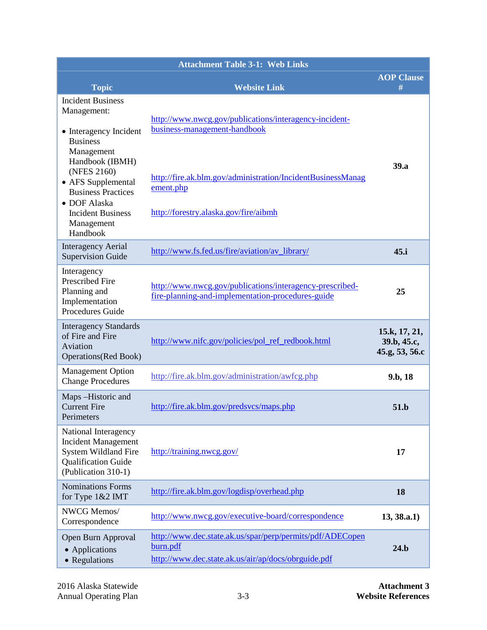| <b>Attachment Table 3-1: Web Links</b>                                                                                        |                                                                                                                              |                                                |  |  |  |  |  |  |  |  |  |
|-------------------------------------------------------------------------------------------------------------------------------|------------------------------------------------------------------------------------------------------------------------------|------------------------------------------------|--|--|--|--|--|--|--|--|--|
| <b>Topic</b>                                                                                                                  | <b>Website Link</b>                                                                                                          | <b>AOP Clause</b><br>#                         |  |  |  |  |  |  |  |  |  |
| <b>Incident Business</b><br>Management:<br>• Interagency Incident<br><b>Business</b><br>Management                            | http://www.nwcg.gov/publications/interagency-incident-<br>business-management-handbook                                       |                                                |  |  |  |  |  |  |  |  |  |
| Handbook (IBMH)<br>(NFES 2160)<br>• AFS Supplemental<br><b>Business Practices</b><br>• DOF Alaska<br><b>Incident Business</b> | http://fire.ak.blm.gov/administration/IncidentBusinessManag<br>ement.php<br>http://forestry.alaska.gov/fire/aibmh            | 39.a                                           |  |  |  |  |  |  |  |  |  |
| Management<br>Handbook                                                                                                        |                                                                                                                              |                                                |  |  |  |  |  |  |  |  |  |
| <b>Interagency Aerial</b><br><b>Supervision Guide</b>                                                                         | http://www.fs.fed.us/fire/aviation/av library/                                                                               | 45.i                                           |  |  |  |  |  |  |  |  |  |
| Interagency<br><b>Prescribed Fire</b><br>Planning and<br>Implementation<br>Procedures Guide                                   | http://www.nwcg.gov/publications/interagency-prescribed-<br>fire-planning-and-implementation-procedures-guide                | 25                                             |  |  |  |  |  |  |  |  |  |
| <b>Interagency Standards</b><br>of Fire and Fire<br>Aviation<br><b>Operations</b> (Red Book)                                  | http://www.nifc.gov/policies/pol_ref_redbook.html                                                                            | 15.k, 17, 21,<br>39.b, 45.c,<br>45.g, 53, 56.c |  |  |  |  |  |  |  |  |  |
| <b>Management Option</b><br><b>Change Procedures</b>                                                                          | http://fire.ak.blm.gov/administration/awfcg.php                                                                              | 9.b, 18                                        |  |  |  |  |  |  |  |  |  |
| Maps-Historic and<br><b>Current Fire</b><br>Perimeters                                                                        | http://fire.ak.blm.gov/predsvcs/maps.php                                                                                     | 51.b                                           |  |  |  |  |  |  |  |  |  |
| National Interagency<br><b>Incident Management</b><br>System Wildland Fire<br>Qualification Guide<br>(Publication 310-1)      | http://training.nwcg.gov/                                                                                                    | 17                                             |  |  |  |  |  |  |  |  |  |
| <b>Nominations Forms</b><br>for Type 1&2 IMT                                                                                  | http://fire.ak.blm.gov/logdisp/overhead.php                                                                                  | 18                                             |  |  |  |  |  |  |  |  |  |
| NWCG Memos/<br>Correspondence                                                                                                 | http://www.nwcg.gov/executive-board/correspondence                                                                           | 13, 38.a.1)                                    |  |  |  |  |  |  |  |  |  |
| Open Burn Approval<br>• Applications<br>• Regulations                                                                         | http://www.dec.state.ak.us/spar/perp/permits/pdf/ADECopen<br>burn.pdf<br>http://www.dec.state.ak.us/air/ap/docs/obrguide.pdf | 24.b                                           |  |  |  |  |  |  |  |  |  |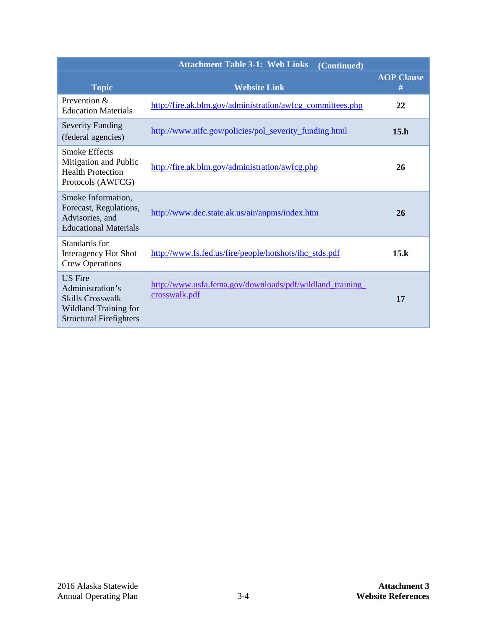|                                                                                                                                 | <b>Attachment Table 3-1: Web Links</b><br>(Continued)                     |                        |
|---------------------------------------------------------------------------------------------------------------------------------|---------------------------------------------------------------------------|------------------------|
| <b>Topic</b>                                                                                                                    | <b>Website Link</b>                                                       | <b>AOP Clause</b><br># |
| Prevention $\&$<br><b>Education Materials</b>                                                                                   | http://fire.ak.blm.gov/administration/awfcg_committees.php                | 22                     |
| <b>Severity Funding</b><br>(federal agencies)                                                                                   | http://www.nifc.gov/policies/pol_severity_funding.html                    | 15.h                   |
| <b>Smoke Effects</b><br>Mitigation and Public<br><b>Health Protection</b><br>Protocols (AWFCG)                                  | http://fire.ak.blm.gov/administration/awfcg.php                           | 26                     |
| Smoke Information,<br>Forecast, Regulations,<br>Advisories, and<br><b>Educational Materials</b>                                 | http://www.dec.state.ak.us/air/anpms/index.htm                            | 26                     |
| Standards for<br>Interagency Hot Shot<br><b>Crew Operations</b>                                                                 | http://www.fs.fed.us/fire/people/hotshots/ihc_stds.pdf                    | 15.k                   |
| <b>US</b> Fire<br>Administration's<br><b>Skills Crosswalk</b><br><b>Wildland Training for</b><br><b>Structural Firefighters</b> | http://www.usfa.fema.gov/downloads/pdf/wildland_training<br>crosswalk.pdf | 17                     |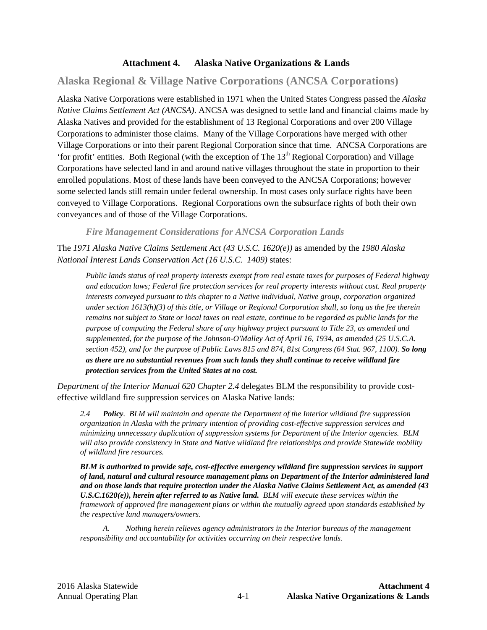### **Attachment 4. Alaska Native Organizations & Lands**

# **Alaska Regional & Village Native Corporations (ANCSA Corporations)**

Alaska Native Corporations were established in 1971 when the United States Congress passed the *Alaska Native Claims Settlement Act (ANCSA)*. ANCSA was designed to settle land and financial claims made by Alaska Natives and provided for the establishment of 13 Regional Corporations and over 200 Village Corporations to administer those claims. Many of the Village Corporations have merged with other Village Corporations or into their parent Regional Corporation since that time. ANCSA Corporations are 'for profit' entities. Both Regional (with the exception of The  $13<sup>th</sup>$  Regional Corporation) and Village Corporations have selected land in and around native villages throughout the state in proportion to their enrolled populations. Most of these lands have been conveyed to the ANCSA Corporations; however some selected lands still remain under federal ownership. In most cases only surface rights have been conveyed to Village Corporations. Regional Corporations own the subsurface rights of both their own conveyances and of those of the Village Corporations.

*Fire Management Considerations for ANCSA Corporation Lands*

The *1971 Alaska Native Claims Settlement Act (43 U.S.C. 1620(e))* as amended by the *1980 Alaska National Interest Lands Conservation Act (16 U.S.C. 1409)* states:

*Public lands status of real property interests exempt from real estate taxes for purposes of Federal highway and education laws; Federal fire protection services for real property interests without cost. Real property interests conveyed pursuant to this chapter to a Native individual, Native group, corporation organized under section 1613(h)(3) of this title, or Village or Regional Corporation shall, so long as the fee therein remains not subject to State or local taxes on real estate, continue to be regarded as public lands for the purpose of computing the Federal share of any highway project pursuant to Title 23, as amended and supplemented, for the purpose of the Johnson-O'Malley Act of April 16, 1934, as amended (25 U.S.C.A. section 452), and for the purpose of Public Laws 815 and 874, 81st Congress (64 Stat. 967, 1100). So long as there are no substantial revenues from such lands they shall continue to receive wildland fire protection services from the United States at no cost.*

*Department of the Interior Manual 620 Chapter 2.4* delegates BLM the responsibility to provide costeffective wildland fire suppression services on Alaska Native lands:

*2.4 Policy. BLM will maintain and operate the Department of the Interior wildland fire suppression organization in Alaska with the primary intention of providing cost-effective suppression services and minimizing unnecessary duplication of suppression systems for Department of the Interior agencies. BLM will also provide consistency in State and Native wildland fire relationships and provide Statewide mobility of wildland fire resources.*

*BLM is authorized to provide safe, cost-effective emergency wildland fire suppression services in support of land, natural and cultural resource management plans on Department of the Interior administered land and on those lands that require protection under the Alaska Native Claims Settlement Act, as amended (43 U.S.C.1620(e)), herein after referred to as Native land. BLM will execute these services within the framework of approved fire management plans or within the mutually agreed upon standards established by the respective land managers/owners.*

*A. Nothing herein relieves agency administrators in the Interior bureaus of the management responsibility and accountability for activities occurring on their respective lands.*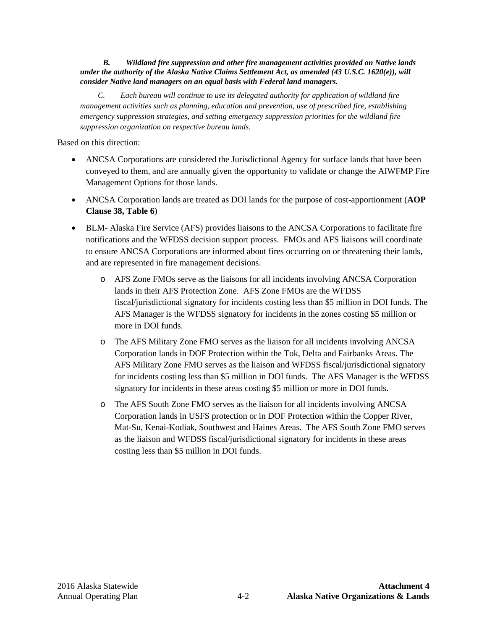#### *B. Wildland fire suppression and other fire management activities provided on Native lands under the authority of the Alaska Native Claims Settlement Act, as amended (43 U.S.C. 1620(e)), will consider Native land managers on an equal basis with Federal land managers.*

 *C. Each bureau will continue to use its delegated authority for application of wildland fire management activities such as planning, education and prevention, use of prescribed fire, establishing emergency suppression strategies, and setting emergency suppression priorities for the wildland fire suppression organization on respective bureau lands.*

Based on this direction:

- ANCSA Corporations are considered the Jurisdictional Agency for surface lands that have been conveyed to them, and are annually given the opportunity to validate or change the AIWFMP Fire Management Options for those lands.
- ANCSA Corporation lands are treated as DOI lands for the purpose of cost-apportionment (**AOP Clause [38,](#page-37-0) [Table 6](#page-37-1)**)
- BLM- Alaska Fire Service (AFS) provides liaisons to the ANCSA Corporations to facilitate fire notifications and the WFDSS decision support process. FMOs and AFS liaisons will coordinate to ensure ANCSA Corporations are informed about fires occurring on or threatening their lands, and are represented in fire management decisions.
	- o AFS Zone FMOs serve as the liaisons for all incidents involving ANCSA Corporation lands in their AFS Protection Zone. AFS Zone FMOs are the WFDSS fiscal/jurisdictional signatory for incidents costing less than \$5 million in DOI funds. The AFS Manager is the WFDSS signatory for incidents in the zones costing \$5 million or more in DOI funds.
	- o The AFS Military Zone FMO serves as the liaison for all incidents involving ANCSA Corporation lands in DOF Protection within the Tok, Delta and Fairbanks Areas. The AFS Military Zone FMO serves as the liaison and WFDSS fiscal/jurisdictional signatory for incidents costing less than \$5 million in DOI funds. The AFS Manager is the WFDSS signatory for incidents in these areas costing \$5 million or more in DOI funds.
	- o The AFS South Zone FMO serves as the liaison for all incidents involving ANCSA Corporation lands in USFS protection or in DOF Protection within the Copper River, Mat-Su, Kenai-Kodiak, Southwest and Haines Areas. The AFS South Zone FMO serves as the liaison and WFDSS fiscal/jurisdictional signatory for incidents in these areas costing less than \$5 million in DOI funds.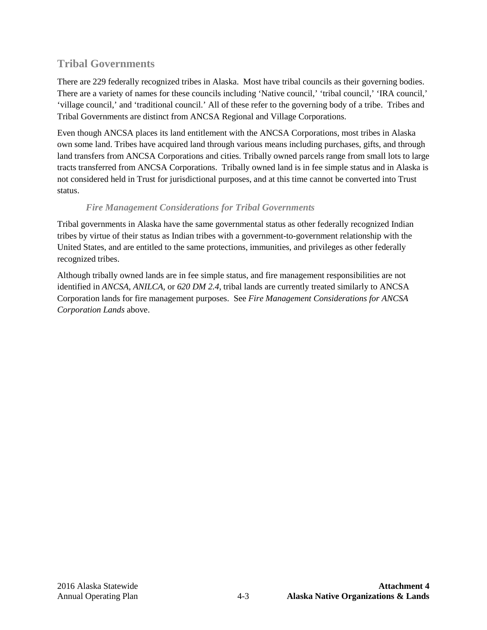# **Tribal Governments**

There are 229 federally recognized tribes in Alaska. Most have tribal councils as their governing bodies. There are a variety of names for these councils including 'Native council,' 'tribal council,' 'IRA council,' 'village council,' and 'traditional council.' All of these refer to the governing body of a tribe. Tribes and Tribal Governments are distinct from ANCSA Regional and Village Corporations.

Even though ANCSA places its land entitlement with the ANCSA Corporations, most tribes in Alaska own some land. Tribes have acquired land through various means including purchases, gifts, and through land transfers from ANCSA Corporations and cities. Tribally owned parcels range from small lots to large tracts transferred from ANCSA Corporations. Tribally owned land is in fee simple status and in Alaska is not considered held in Trust for jurisdictional purposes, and at this time cannot be converted into Trust status.

# *Fire Management Considerations for Tribal Governments*

Tribal governments in Alaska have the same governmental status as other federally recognized Indian tribes by virtue of their status as Indian tribes with a government-to-government relationship with the United States, and are entitled to the same protections, immunities, and privileges as other federally recognized tribes.

Although tribally owned lands are in fee simple status, and fire management responsibilities are not identified in *ANCSA*, *ANILCA*, or *620 DM 2.4*, tribal lands are currently treated similarly to ANCSA Corporation lands for fire management purposes. See *Fire Management Considerations for ANCSA Corporation Lands* above.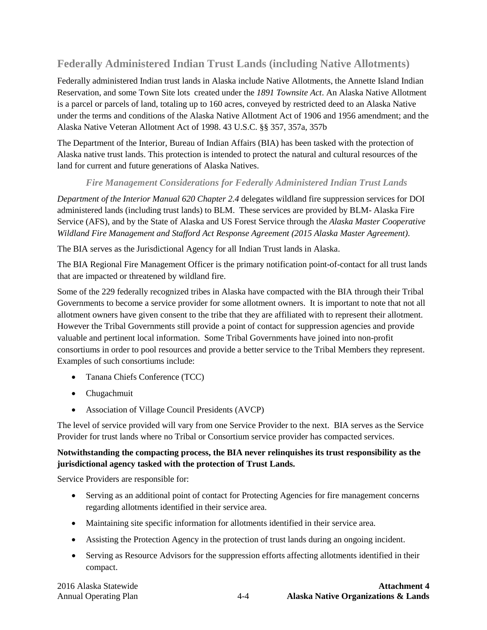# **Federally Administered Indian Trust Lands (including Native Allotments)**

Federally administered Indian trust lands in Alaska include Native Allotments, the Annette Island Indian Reservation, and some Town Site lots created under the *1891 Townsite Act*. An Alaska Native Allotment is a parcel or parcels of land, totaling up to 160 acres, conveyed by restricted deed to an Alaska Native under the terms and conditions of the Alaska Native Allotment Act of 1906 and 1956 amendment; and the Alaska Native Veteran Allotment Act of 1998. 43 U.S.C. §§ 357, 357a, 357b

The Department of the Interior, Bureau of Indian Affairs (BIA) has been tasked with the protection of Alaska native trust lands. This protection is intended to protect the natural and cultural resources of the land for current and future generations of Alaska Natives.

# *Fire Management Considerations for Federally Administered Indian Trust Lands*

*Department of the Interior Manual 620 Chapter 2.4* delegates wildland fire suppression services for DOI administered lands (including trust lands) to BLM. These services are provided by BLM- Alaska Fire Service (AFS), and by the State of Alaska and US Forest Service through the *Alaska Master Cooperative Wildland Fire Management and Stafford Act Response Agreement (2015 Alaska Master Agreement)*.

The BIA serves as the Jurisdictional Agency for all Indian Trust lands in Alaska.

The BIA Regional Fire Management Officer is the primary notification point-of-contact for all trust lands that are impacted or threatened by wildland fire.

Some of the 229 federally recognized tribes in Alaska have compacted with the BIA through their Tribal Governments to become a service provider for some allotment owners. It is important to note that not all allotment owners have given consent to the tribe that they are affiliated with to represent their allotment. However the Tribal Governments still provide a point of contact for suppression agencies and provide valuable and pertinent local information. Some Tribal Governments have joined into non-profit consortiums in order to pool resources and provide a better service to the Tribal Members they represent. Examples of such consortiums include:

- Tanana Chiefs Conference (TCC)
- Chugachmuit
- Association of Village Council Presidents (AVCP)

The level of service provided will vary from one Service Provider to the next. BIA serves as the Service Provider for trust lands where no Tribal or Consortium service provider has compacted services.

## **Notwithstanding the compacting process, the BIA never relinquishes its trust responsibility as the jurisdictional agency tasked with the protection of Trust Lands.**

Service Providers are responsible for:

- Serving as an additional point of contact for Protecting Agencies for fire management concerns regarding allotments identified in their service area.
- Maintaining site specific information for allotments identified in their service area.
- Assisting the Protection Agency in the protection of trust lands during an ongoing incident.
- Serving as Resource Advisors for the suppression efforts affecting allotments identified in their compact.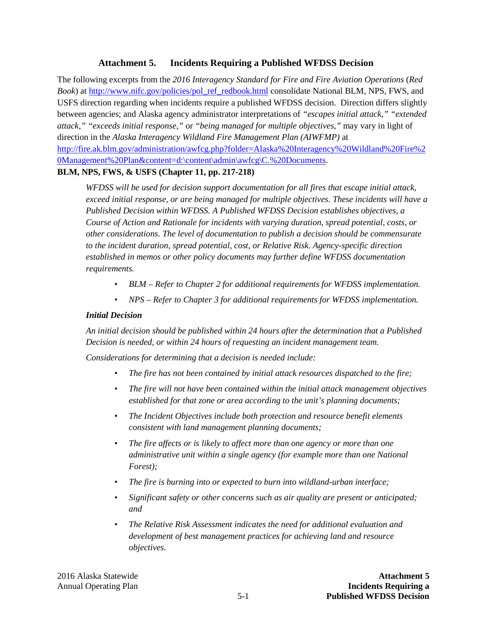### **Attachment 5. Incidents Requiring a Published WFDSS Decision**

The following excerpts from the *2016 Interagency Standard for Fire and Fire Aviation Operations* (*Red Book*) a[t http://www.nifc.gov/policies/pol\\_ref\\_redbook.html](http://www.nifc.gov/policies/pol_ref_redbook.html) consolidate National BLM, NPS, FWS, and USFS direction regarding when incidents require a published WFDSS decision. Direction differs slightly between agencies; and Alaska agency administrator interpretations of *"escapes initial attack," "extended attack," "exceeds initial response,"* or *"being managed for multiple objectives,"* may vary in light of direction in the *Alaska Interagency Wildland Fire Management Plan (AIWFMP)* at [http://fire.ak.blm.gov/administration/awfcg.php?folder=Alaska%20Interagency%20Wildland%20Fire%2](http://fire.ak.blm.gov/administration/awfcg.php?folder=Alaska%20Interagency%20Wildland%20Fire%20Management%20Plan&content=d:%5Ccontent%5Cadmin%5Cawfcg%5CC.%20Documents) [0Management%20Plan&content=d:\content\admin\awfcg\C.%20Documents.](http://fire.ak.blm.gov/administration/awfcg.php?folder=Alaska%20Interagency%20Wildland%20Fire%20Management%20Plan&content=d:%5Ccontent%5Cadmin%5Cawfcg%5CC.%20Documents)

### **BLM, NPS, FWS, & USFS (Chapter 11, pp. 217-218)**

*WFDSS will be used for decision support documentation for all fires that escape initial attack, exceed initial response, or are being managed for multiple objectives. These incidents will have a Published Decision within WFDSS. A Published WFDSS Decision establishes objectives, a Course of Action and Rationale for incidents with varying duration, spread potential, costs, or other considerations. The level of documentation to publish a decision should be commensurate to the incident duration, spread potential, cost, or Relative Risk. Agency-specific direction established in memos or other policy documents may further define WFDSS documentation requirements.* 

- *BLM – Refer to Chapter 2 for additional requirements for WFDSS implementation.*
- *NPS – Refer to Chapter 3 for additional requirements for WFDSS implementation.*

#### *Initial Decision*

*An initial decision should be published within 24 hours after the determination that a Published Decision is needed, or within 24 hours of requesting an incident management team.*

*Considerations for determining that a decision is needed include:*

- *The fire has not been contained by initial attack resources dispatched to the fire;*
- *The fire will not have been contained within the initial attack management objectives established for that zone or area according to the unit's planning documents;*
- *The Incident Objectives include both protection and resource benefit elements consistent with land management planning documents;*
- *The fire affects or is likely to affect more than one agency or more than one administrative unit within a single agency (for example more than one National Forest);*
- *The fire is burning into or expected to burn into wildland-urban interface;*
- *Significant safety or other concerns such as air quality are present or anticipated; and*
- *The Relative Risk Assessment indicates the need for additional evaluation and development of best management practices for achieving land and resource objectives.*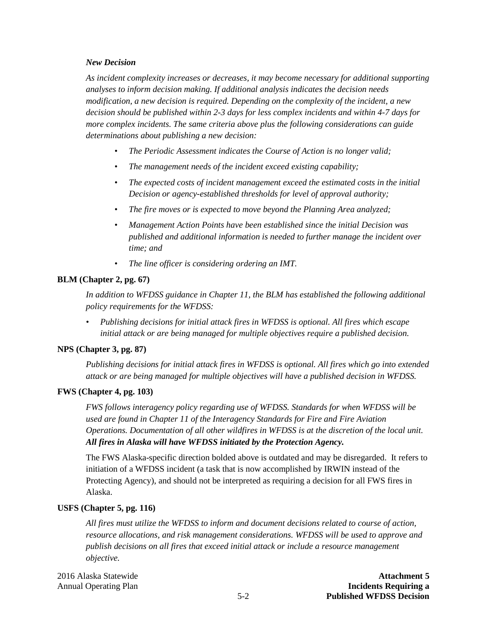#### *New Decision*

*As incident complexity increases or decreases, it may become necessary for additional supporting analyses to inform decision making. If additional analysis indicates the decision needs modification, a new decision is required. Depending on the complexity of the incident, a new decision should be published within 2-3 days for less complex incidents and within 4-7 days for more complex incidents. The same criteria above plus the following considerations can guide determinations about publishing a new decision:*

- *The Periodic Assessment indicates the Course of Action is no longer valid;*
- *The management needs of the incident exceed existing capability;*
- *The expected costs of incident management exceed the estimated costs in the initial Decision or agency-established thresholds for level of approval authority;*
- *The fire moves or is expected to move beyond the Planning Area analyzed;*
- *Management Action Points have been established since the initial Decision was published and additional information is needed to further manage the incident over time; and*
- *The line officer is considering ordering an IMT.*

### **BLM (Chapter 2, pg. 67)**

*In addition to WFDSS guidance in Chapter 11, the BLM has established the following additional policy requirements for the WFDSS:* 

*• Publishing decisions for initial attack fires in WFDSS is optional. All fires which escape initial attack or are being managed for multiple objectives require a published decision.*

#### **NPS (Chapter 3, pg. 87)**

*Publishing decisions for initial attack fires in WFDSS is optional. All fires which go into extended attack or are being managed for multiple objectives will have a published decision in WFDSS.*

#### **FWS (Chapter 4, pg. 103)**

*FWS follows interagency policy regarding use of WFDSS. Standards for when WFDSS will be used are found in Chapter 11 of the Interagency Standards for Fire and Fire Aviation Operations. Documentation of all other wildfires in WFDSS is at the discretion of the local unit. All fires in Alaska will have WFDSS initiated by the Protection Agency.*

The FWS Alaska-specific direction bolded above is outdated and may be disregarded. It refers to initiation of a WFDSS incident (a task that is now accomplished by IRWIN instead of the Protecting Agency), and should not be interpreted as requiring a decision for all FWS fires in Alaska.

#### **USFS (Chapter 5, pg. 116)**

*All fires must utilize the WFDSS to inform and document decisions related to course of action, resource allocations, and risk management considerations. WFDSS will be used to approve and publish decisions on all fires that exceed initial attack or include a resource management objective.*